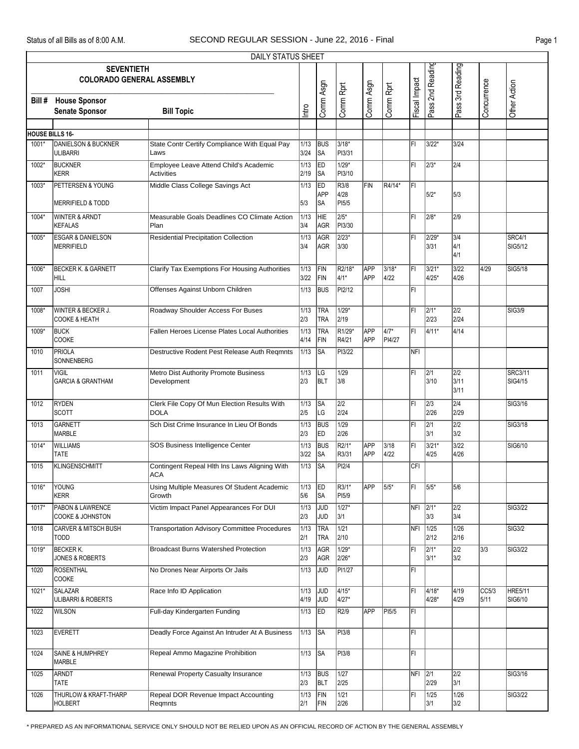|                        | DAILY STATUS SHEET                                    |                                                             |              |                          |                              |                          |                          |               |                          |                          |               |                           |  |
|------------------------|-------------------------------------------------------|-------------------------------------------------------------|--------------|--------------------------|------------------------------|--------------------------|--------------------------|---------------|--------------------------|--------------------------|---------------|---------------------------|--|
|                        | <b>SEVENTIETH</b><br><b>COLORADO GENERAL ASSEMBLY</b> |                                                             |              | Comm Asgn                |                              | Comm Asgn                |                          | Fiscal Impact | Pass 2nd Reading         | Pass 3rd Reading         | Concurrence   | Other Action              |  |
| Bill #                 | <b>House Sponsor</b><br><b>Senate Sponsor</b>         | <b>Bill Topic</b>                                           | Intro        |                          | Comm Rprt                    |                          | Comm Rprt                |               |                          |                          |               |                           |  |
|                        |                                                       |                                                             |              |                          |                              |                          |                          |               |                          |                          |               |                           |  |
| <b>HOUSE BILLS 16-</b> |                                                       |                                                             |              |                          |                              |                          |                          |               |                          |                          |               |                           |  |
| 1001*                  | <b>DANIELSON &amp; BUCKNER</b><br><b>ULIBARRI</b>     | State Contr Certify Compliance With Equal Pay<br>Laws       | 1/13<br>3/24 | <b>BUS</b><br>SA         | $3/18*$<br>PI3/31            |                          |                          | l۴ı           | 3/22*                    | 3/24                     |               |                           |  |
| 1002*                  | <b>BUCKNER</b><br><b>KERR</b>                         | Employee Leave Attend Child's Academic<br><b>Activities</b> | 1/13<br>2/19 | ED<br> SA                | $1/29*$<br>PI3/10            |                          |                          | ΙFΙ           | $\sqrt{2/3^*}$           | 2/4                      |               |                           |  |
| 1003*                  | PETTERSEN & YOUNG<br><b>MERRIFIELD &amp; TODD</b>     | Middle Class College Savings Act                            | 1/13<br>5/3  | <b>ED</b><br>APP<br> SA  | R3/8<br>4/28<br>PI5/5        | FIN                      | R4/14*                   | l۴ı           | 5/2*                     | 5/3                      |               |                           |  |
| 1004*                  | <b>WINTER &amp; ARNDT</b><br><b>KEFALAS</b>           | Measurable Goals Deadlines CO Climate Action<br>Plan        | 1/13<br>3/4  | HIE<br>AGR               | $2/5*$<br>PI3/30             |                          |                          | l۴ı           | 2/8*                     | 2/9                      |               |                           |  |
| 1005*                  | <b>ESGAR &amp; DANIELSON</b><br><b>MERRIFIELD</b>     | <b>Residential Precipitation Collection</b>                 | 1/13<br>3/4  | AGR<br>AGR               | $2/23*$<br>3/30              |                          |                          | İΕΙ           | 2/29*<br>3/31            | 3/4<br>4/1<br>4/1        |               | <b>SRC4/1</b><br>SIG5/12  |  |
| 1006*                  | <b>BECKER K. &amp; GARNETT</b><br><b>HILL</b>         | Clarify Tax Exemptions For Housing Authorities              | 1/13<br>3/22 | FIN<br>FIN               | R2/18*<br>4/1*               | APP<br>APP               | 3/18*<br>4/22            | l۴ı           | 3/21*<br>4/25*           | $3/22$<br>4/26           | 4/29          | SIG5/18                   |  |
| 1007                   | <b>JOSHI</b>                                          | Offenses Against Unborn Children                            | 1/13         | <b>BUS</b>               | PI2/12                       |                          |                          | İΕΙ           |                          |                          |               |                           |  |
| 1008                   | WINTER & BECKER J.<br><b>COOKE &amp; HEATH</b>        | Roadway Shoulder Access For Buses                           | 1/13<br>2/3  | <b>TRA</b><br><b>TRA</b> | $1/29*$<br>2/19              |                          |                          | ΙFΙ           | $\sqrt{2/1^*}$<br>2/23   | 2/2<br>2/24              |               | <b>SIG3/9</b>             |  |
| 1009*                  | <b>BUCK</b><br><b>COOKE</b>                           | Fallen Heroes License Plates Local Authorities              | 1/13<br>4/14 | <b>TRA</b><br>FIN        | R <sub>1/29</sub> *<br>R4/21 | <b>APP</b><br>APP        | $\sqrt{4/7^*}$<br>PI4/27 | l۴ı           | 4/11*                    | 4/14                     |               |                           |  |
| 1010                   | <b>PRIOLA</b><br>SONNENBERG                           | Destructive Rodent Pest Release Auth Regmnts                | 1/13         | <b>SA</b>                | <b>PI3/22</b>                |                          |                          | NFI           |                          |                          |               |                           |  |
| 1011                   | <b>VIGIL</b><br><b>GARCIA &amp; GRANTHAM</b>          | Metro Dist Authority Promote Business<br>Development        | 1/13<br>2/3  | LG<br><b>BLT</b>         | 1/29<br>3/8                  |                          |                          | FI            | $\overline{2/1}$<br>3/10 | 2/2<br>3/11<br>3/11      |               | <b>SRC3/11</b><br>SIG4/15 |  |
| 1012                   | <b>RYDEN</b><br><b>SCOTT</b>                          | Clerk File Copy Of Mun Election Results With<br><b>DOLA</b> | 1/13<br>2/5  | <b>SA</b><br> LG         | $\overline{2/2}$<br>2/24     |                          |                          | l۴ı           | $\sqrt{2/3}$<br>2/26     | $\overline{2/4}$<br>2/29 |               | SIG3/16                   |  |
| 1013                   | <b>GARNETT</b><br><b>MARBLE</b>                       | Sch Dist Crime Insurance In Lieu Of Bonds                   | 1/13<br>2/3  | <b>BUS</b><br>ED         | 1/29<br>2/26                 |                          |                          | FI            | $\sqrt{2/1}$<br>3/1      | $\overline{2/2}$<br>3/2  |               | SIG3/18                   |  |
| 1014*                  | WILLIAMS<br><b>TATE</b>                               | SOS Business Intelligence Center                            | 1/13<br>3/22 | <b>BUS</b><br>SA         | $\overline{R2/1^*}$<br>R3/31 | <b>APP</b><br><b>APP</b> | 3/18<br>4/22             | l۴ı           | 3/21*<br>4/25            | $3/22$<br>4/26           |               | SIG6/10                   |  |
| 1015                   | <b>KLINGENSCHMITT</b>                                 | Contingent Repeal Hlth Ins Laws Aligning With<br>ACA        | 1/13         | <b>SA</b>                | PI2/4                        |                          |                          | CFI           |                          |                          |               |                           |  |
| 1016*                  | YOUNG<br><b>KERR</b>                                  | Using Multiple Measures Of Student Academic<br>Growth       | 1/13<br>5/6  | ED<br><b>SA</b>          | R3/1*<br>PI5/9               | APP                      | $5/5*$                   | ΙFΙ           | 5/5*                     | 5/6                      |               |                           |  |
| 1017*                  | PABON & LAWRENCE<br><b>COOKE &amp; JOHNSTON</b>       | Victim Impact Panel Appearances For DUI                     | 1/13<br>2/3  | JUD<br>JUD               | $1/27*$<br>3/1               |                          |                          | NFI 2/1*      | 3/3                      | 2/2<br>3/4               |               | SIG3/22                   |  |
| 1018                   | <b>CARVER &amp; MITSCH BUSH</b><br><b>TODD</b>        | <b>Transportation Advisory Committee Procedures</b>         | 1/13<br>2/1  | <b>TRA</b><br><b>TRA</b> | $\boxed{1/21}$<br>2/10       |                          |                          | NFI           | 1/25<br>2/12             | 1/26<br>2/16             |               | <b>SIG3/2</b>             |  |
| 1019*                  | <b>BECKER K.</b><br>JONES & ROBERTS                   | <b>Broadcast Burns Watershed Protection</b>                 | 1/13<br>2/3  | AGR<br>AGR               | $1/29*$<br>2/26*             |                          |                          | FI            | $ 2/1*$<br>3/1*          | $\overline{2/2}$<br>3/2  | 3/3           | <b>SIG3/22</b>            |  |
| 1020                   | <b>ROSENTHAL</b><br>COOKE                             | No Drones Near Airports Or Jails                            | 1/13         | JUD                      | PI1/27                       |                          |                          | FL            |                          |                          |               |                           |  |
| 1021*                  | <b>SALAZAR</b><br>ULIBARRI & ROBERTS                  | Race Info ID Application                                    | 1/13<br>4/19 | JUD<br>JUD               | $4/15*$<br>4/27*             |                          |                          | ΙFΙ           | 4/18*<br>4/28*           | 4/19<br>4/29             | CC5/3<br>5/11 | <b>HRE5/11</b><br>SIG6/10 |  |
| 1022                   | <b>WILSON</b>                                         | Full-day Kindergarten Funding                               | 1/13         | ED                       | R2/9                         | APP                      | PI5/5                    | FL            |                          |                          |               |                           |  |
| 1023                   | <b>EVERETT</b>                                        | Deadly Force Against An Intruder At A Business              | 1/13         | SA                       | PI3/8                        |                          |                          | F             |                          |                          |               |                           |  |
| 1024                   | SAINE & HUMPHREY<br><b>MARBLE</b>                     | Repeal Ammo Magazine Prohibition                            | 1/13         | <b>SA</b>                | PI3/8                        |                          |                          | FL            |                          |                          |               |                           |  |
| 1025                   | <b>ARNDT</b><br>TATE                                  | <b>Renewal Property Casualty Insurance</b>                  | 1/13<br>2/3  | <b>BUS</b><br><b>BLT</b> | 1/27<br>2/25                 |                          |                          | NFI 2/1       | 2/29                     | 2/2<br>3/1               |               | SIG3/16                   |  |
| 1026                   | THURLOW & KRAFT-THARP<br><b>HOLBERT</b>               | Repeal DOR Revenue Impact Accounting<br>Regmnts             | 1/13<br>2/1  | FIN<br>FIN               | 1/21<br>2/26                 |                          |                          | FI            | 1/25<br>3/1              | 1/26<br>3/2              |               | SIG3/22                   |  |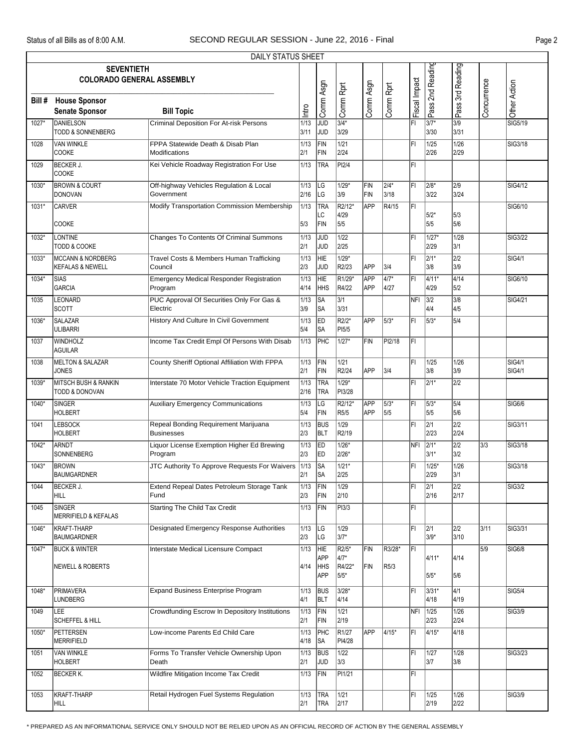|        | DAILY STATUS SHEET                                           |                                                            |              |                                        |                                         |                   |                             |               |                   |                          |             |                                |  |
|--------|--------------------------------------------------------------|------------------------------------------------------------|--------------|----------------------------------------|-----------------------------------------|-------------------|-----------------------------|---------------|-------------------|--------------------------|-------------|--------------------------------|--|
|        | <b>SEVENTIETH</b><br><b>COLORADO GENERAL ASSEMBLY</b>        |                                                            |              |                                        |                                         |                   |                             |               | Pass 2nd Reading  | Pass 3rd Reading         |             |                                |  |
| Bill # | <b>House Sponsor</b><br><b>Senate Sponsor</b>                | <b>Bill Topic</b>                                          | Intro        | Comm Asgn                              | Comm Rprt                               | Comm Asgn         | Comm Rprt                   | Fiscal Impact |                   |                          | Concurrence | Other Action                   |  |
| 1027*  | DANIELSON<br><b>TODD &amp; SONNENBERG</b>                    | <b>Criminal Deposition For At-risk Persons</b>             | 1/13<br>3/11 | <b>JUD</b><br>ljud                     | $3/4*$<br>3/29                          |                   |                             | l۴ı           | 3/7*<br>3/30      | 3/9<br>3/31              |             | SIG5/19                        |  |
| 1028   | <b>VAN WINKLE</b><br><b>COOKE</b>                            | FPPA Statewide Death & Disab Plan<br>Modifications         | 1/13<br>2/1  | FIN<br>FIN                             | 1/21<br>2/24                            |                   |                             | FI            | 1/25<br>2/26      | 1/26<br>2/29             |             | <b>SIG3/18</b>                 |  |
| 1029   | <b>BECKER J.</b><br><b>COOKE</b>                             | Kei Vehicle Roadway Registration For Use                   | 1/13         | TRA                                    | PI2/4                                   |                   |                             | FI            |                   |                          |             |                                |  |
| 1030*  | <b>BROWN &amp; COURT</b><br>DONOVAN                          | Off-highway Vehicles Regulation & Local<br>Government      | 1/13<br>2/16 | LG<br><b>LG</b>                        | $1/29*$<br>3/9                          | FIN<br>FIN        | 2/4*<br>3/18                | l۴ı           | 2/8*<br>3/22      | 2/9<br>3/24              |             | SIG4/12                        |  |
| 1031*  | <b>CARVER</b>                                                | Modify Transportation Commission Membership                | 1/13         | <b>TRA</b><br>LC                       | R2/12*<br>4/29                          | <b>APP</b>        | R4/15                       | İΕΙ           | $5/2*$            | 5/3                      |             | SIG6/10                        |  |
| 1032*  | <b>COOKE</b><br>LONTINE                                      | Changes To Contents Of Criminal Summons                    | 5/3<br>1/13  | FIN<br>JUD                             | 5/5<br>1/22                             |                   |                             | FI            | 5/5<br>$1/27*$    | 5/6<br>1/28              |             | <b>SIG3/22</b>                 |  |
|        | <b>TODD &amp; COOKE</b>                                      |                                                            | 2/1          | JUD                                    | 2/25                                    |                   |                             |               | 2/29              | 3/1                      |             |                                |  |
| 1033*  | <b>MCCANN &amp; NORDBERG</b><br><b>KEFALAS &amp; NEWELL</b>  | Travel Costs & Members Human Trafficking<br>Council        | 1/13<br>2/3  | HIE<br>JUD                             | $1/29*$<br>R2/23                        | <b>APP</b>        | 3/4                         | ΙFΙ           | $2/1*$<br>3/8     | 2/2<br>3/9               |             | <b>SIG4/1</b>                  |  |
| 1034*  | <b>SIAS</b><br><b>GARCIA</b>                                 | <b>Emergency Medical Responder Registration</b><br>Program | 1/13<br>4/14 | HIE<br><b>HHS</b>                      | R <sub>1/29</sub> *<br>R4/22            | APP<br><b>APP</b> | $\sqrt{4/7^*}$<br>4/27      | lFı           | 4/11*<br>4/29     | 4/14<br>5/2              |             | SIG6/10                        |  |
| 1035   | <b>LEONARD</b><br><b>SCOTT</b>                               | PUC Approval Of Securities Only For Gas &<br>Electric      | 1/13<br>3/9  | SA<br>∣SA                              | 3/1<br>3/31                             |                   |                             | NFI           | 3/2<br>4/4        | 3/8<br>4/5               |             | SIG4/21                        |  |
| 1036   | <b>SALAZAR</b><br><b>ULIBARRI</b>                            | History And Culture In Civil Government                    | 1/13<br>5/4  | <b>ED</b><br>∣SA                       | R <sub>2/2</sub> *<br>PI <sub>5/5</sub> | <b>APP</b>        | 5/3*                        | l۴ı           | 5/3*              | 5/4                      |             |                                |  |
| 1037   | WINDHOLZ<br><b>AGUILAR</b>                                   | Income Tax Credit Empl Of Persons With Disab               | 1/13         | PHC                                    | $1/27*$                                 | FIN               | PI2/18                      | ĪFI           |                   |                          |             |                                |  |
| 1038   | <b>MELTON &amp; SALAZAR</b><br><b>JONES</b>                  | County Sheriff Optional Affiliation With FPPA              | 1/13<br>2/1  | FIN<br>FIN                             | 1/21<br>R2/24                           | <b>APP</b>        | 3/4                         | FI            | 1/25<br>3/8       | 1/26<br>3/9              |             | <b>SIG4/1</b><br><b>SIG4/1</b> |  |
| 1039*  | <b>MITSCH BUSH &amp; RANKIN</b><br><b>TODD &amp; DONOVAN</b> | Interstate 70 Motor Vehicle Traction Equipment             | 1/13<br>2/16 | TRA<br><b>TRA</b>                      | $1/29*$<br>PI3/28                       |                   |                             | ΙFΙ           | 2/1*              | 2/2                      |             |                                |  |
| 1040*  | SINGER<br><b>HOLBERT</b>                                     | <b>Auxiliary Emergency Communications</b>                  | 1/13<br>5/4  | <b>LG</b><br>FIN                       | R2/12*<br>R5/5                          | APP<br>APP        | $5/3*$<br>5/5               | İΕΙ           | $5/3*$<br>5/5     | 5/4<br>5/6               |             | SIG6/6                         |  |
| 1041   | <b>LEBSOCK</b><br><b>HOLBERT</b>                             | Repeal Bonding Requirement Marijuana<br><b>Businesses</b>  | 1/13<br>2/3  | <b>BUS</b><br><b>BLT</b>               | 1/29<br>R2/19                           |                   |                             | FI            | 2/1<br>2/23       | $\overline{2/2}$<br>2/24 |             | SIG3/11                        |  |
| 1042*  | ARNDT<br>SONNENBERG                                          | Liquor License Exemption Higher Ed Brewing<br>Program      | 1/13<br>2/3  | ED<br><b>IED</b>                       | $1/26*$<br>$2/26*$                      |                   |                             | NFI           | $ 2/1*$<br>$3/1*$ | $\sqrt{2/2}$<br>3/2      | 3/3         | SIG3/18                        |  |
| 1043*  | <b>BROWN</b><br>BAUMGARDNER                                  | JTC Authority To Approve Requests For Waivers              | 1/13<br>2/1  | <b>SA</b><br>lsa                       | $1/21*$<br>2/25                         |                   |                             | FI            | 1/25*<br>2/29     | 1/26<br>3/1              |             | SIG3/18                        |  |
| 1044   | <b>BECKER J.</b><br>HILL                                     | Extend Repeal Dates Petroleum Storage Tank<br>Fund         | 1/13<br>2/3  | FIN<br>FIN                             | 1/29<br>2/10                            |                   |                             | FI            | 2/1<br>2/16       | $\overline{2/2}$<br>2/17 |             | SIG3/2                         |  |
| 1045   | SINGER<br><b>MERRIFIELD &amp; KEFALAS</b>                    | <b>Starting The Child Tax Credit</b>                       | 1/13         | FIN                                    | PI3/3                                   |                   |                             | ΙFΙ           |                   |                          |             |                                |  |
| 1046*  | KRAFT-THARP<br><b>BAUMGARDNER</b>                            | Designated Emergency Response Authorities                  | 1/13<br>2/3  | <b>LG</b><br><b>LG</b>                 | 1/29<br>3/7*                            |                   |                             | FI            | 2/1<br>3/9*       | 2/2<br>3/10              | 3/11        | SIG3/31                        |  |
| 1047*  | <b>BUCK &amp; WINTER</b><br><b>NEWELL &amp; ROBERTS</b>      | Interstate Medical Licensure Compact                       | 1/13<br>4/14 | <b>HIE</b><br>APP<br><b>HHS</b><br>APP | R2/5*<br>$4/7*$<br>R4/22*<br>5/5*       | FIN<br>FIN        | R3/28*<br>R <sub>5</sub> /3 | ĪFI           | 4/11*<br>5/5*     | 4/14<br>5/6              | 5/9         | <b>SIG6/8</b>                  |  |
| 1048*  | PRIMAVERA<br><b>LUNDBERG</b>                                 | <b>Expand Business Enterprise Program</b>                  | 1/13<br>4/1  | <b>BUS</b><br><b>BLT</b>               | $3/28*$<br>4/14                         |                   |                             | İΕΙ           | 3/31*<br>4/18     | 4/1<br>4/19              |             | SIG5/4                         |  |
| 1049   | LEE<br><b>SCHEFFEL &amp; HILL</b>                            | Crowdfunding Escrow In Depository Institutions             | 1/13<br>2/1  | FIN<br>FIN                             | $\overline{\mathbf{1}/21}$<br>2/19      |                   |                             |               | NFI 1/25<br>2/23  | 1/26<br>2/24             |             | <b>SIG3/9</b>                  |  |
| 1050*  | PETTERSEN<br>MERRIFIELD                                      | Low-income Parents Ed Child Care                           | 1/13<br>4/18 | PHC<br><b>SA</b>                       | R1/27<br>PI4/28                         | <b>APP</b>        | $4/15*$                     | İΕΙ           | 4/15*             | 4/18                     |             |                                |  |
| 1051   | <b>VAN WINKLE</b><br>HOLBERT                                 | Forms To Transfer Vehicle Ownership Upon<br>Death          | 1/13<br>2/1  | <b>BUS</b><br><b>JUD</b>               | 1/22<br>3/3                             |                   |                             | İΕΙ           | 1/27<br>3/7       | 1/28<br>3/8              |             | SIG3/23                        |  |
| 1052   | <b>BECKER K.</b>                                             | Wildfire Mitigation Income Tax Credit                      | 1/13         | FIN                                    | PI1/21                                  |                   |                             | FL            |                   |                          |             |                                |  |
| 1053   | KRAFT-THARP<br>HILL                                          | Retail Hydrogen Fuel Systems Regulation                    | 1/13<br>2/1  | <b>TRA</b><br><b>TRA</b>               | 1/21<br>2/17                            |                   |                             | İΕΙ           | 1/25<br>2/19      | 1/26<br>2/22             |             | SIG3/9                         |  |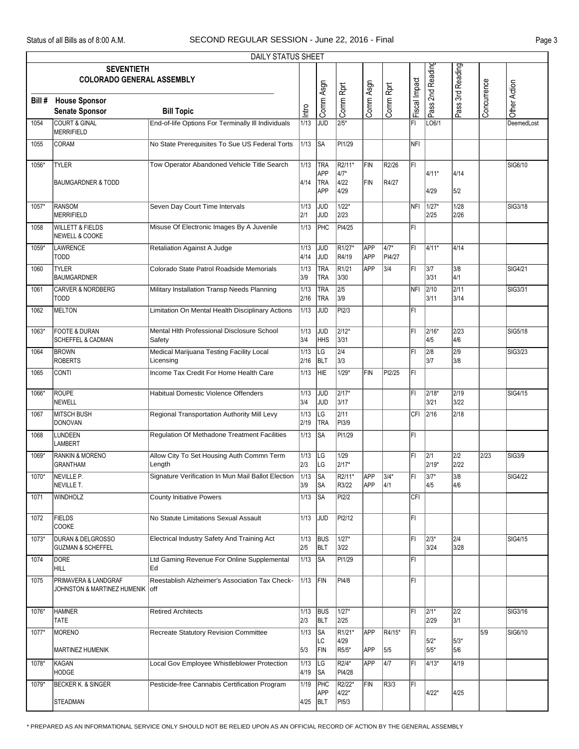|        | <b>DAILY STATUS SHEET</b>                                    |                                                           |              |                                        |                                  |                          |                     |               |                        |                         |             |               |  |
|--------|--------------------------------------------------------------|-----------------------------------------------------------|--------------|----------------------------------------|----------------------------------|--------------------------|---------------------|---------------|------------------------|-------------------------|-------------|---------------|--|
|        | <b>SEVENTIETH</b><br><b>COLORADO GENERAL ASSEMBLY</b>        |                                                           |              |                                        |                                  |                          |                     |               | Pass 2nd Reading       | Pass 3rd Reading        |             |               |  |
| Bill # | <b>House Sponsor</b><br><b>Senate Sponsor</b>                | <b>Bill Topic</b>                                         | Intro        | Comm Asgn                              | Comm Rprt                        | Comm Asgn                | Comm Rprt           | Fiscal Impact |                        |                         | Concurrence | Other Action  |  |
| 1054   | <b>COURT &amp; GINAL</b><br>MERRIFIELD                       | End-of-life Options For Terminally III Individuals        | 1/13         | JUD                                    | $\sqrt{2/5^*}$                   |                          |                     | FI            | LO6/1                  |                         |             | DeemedLost    |  |
| 1055   | CORAM                                                        | No State Prerequisites To Sue US Federal Torts            | 1/13         | <b>SA</b>                              | PI1/29                           |                          |                     | NFI           |                        |                         |             |               |  |
| 1056*  | <b>TYLER</b><br><b>BAUMGARDNER &amp; TODD</b>                | Tow Operator Abandoned Vehicle Title Search               | 1/13<br>4/14 | TRA<br>APP<br><b>TRA</b><br><b>APP</b> | R2/11*<br>$4/7*$<br>4/22<br>4/29 | FIN<br>FIN               | R2/26<br>R4/27      | l۴ı           | 4/11*<br>4/29          | 4/14<br>5/2             |             | SIG6/10       |  |
| 1057*  | RANSOM<br>MERRIFIELD                                         | Seven Day Court Time Intervals                            | 1/13<br>2/1  | JUD<br>JUD                             | $1/22*$<br>2/23                  |                          |                     | NFI           | 1/27*<br>2/25          | 1/28<br>2/26            |             | SIG3/18       |  |
| 1058   | <b>WILLETT &amp; FIELDS</b><br>NEWELL & COOKE                | Misuse Of Electronic Images By A Juvenile                 | 1/13         | PHC                                    | PI4/25                           |                          |                     | FI            |                        |                         |             |               |  |
| 1059*  | LAWRENCE<br><b>TODD</b>                                      | Retaliation Against A Judge                               | 1/13<br>4/14 | <b>JUD</b><br><b>JUD</b>               | R <sub>1/27</sub> *<br>R4/19     | <b>APP</b><br><b>APP</b> | 4/7*<br>PI4/27      | lFI.          | 4/11*                  | 4/14                    |             |               |  |
| 1060   | <b>TYLER</b><br><b>BAUMGARDNER</b>                           | Colorado State Patrol Roadside Memorials                  | 1/13<br>3/9  | TRA<br>TRA                             | R1/21<br>3/30                    | APP                      | 3/4                 | FL            | 3/7<br>3/31            | 3/8<br>4/1              |             | SIG4/21       |  |
| 1061   | <b>CARVER &amp; NORDBERG</b><br><b>TODD</b>                  | Military Installation Transp Needs Planning               | 1/13<br>2/16 | TRA<br><b>TRA</b>                      | $\overline{2/5}$<br>3/9          |                          |                     | NFI           | $\sqrt{2/10}$<br>3/11  | 2/11<br>3/14            |             | SIG3/31       |  |
| 1062   | <b>MELTON</b>                                                | Limitation On Mental Health Disciplinary Actions          | 1/13         | JUD                                    | PI2/3                            |                          |                     | FL            |                        |                         |             |               |  |
| 1063*  | <b>FOOTE &amp; DURAN</b><br><b>SCHEFFEL &amp; CADMAN</b>     | Mental Hith Professional Disclosure School<br>Safety      | 1/13<br>3/4  | JUD<br>HHS                             | $2/12*$<br>3/31                  |                          |                     | ΙFΙ           | $ 2/16*$<br>4/5        | 2/23<br>4/6             |             | SIG5/18       |  |
| 1064   | <b>BROWN</b><br><b>ROBERTS</b>                               | Medical Marijuana Testing Facility Local<br>Licensing     | 1/13<br>2/16 | LG<br>BLT                              | $\overline{2/4}$<br>3/3          |                          |                     | l۴ı           | 2/8<br>3/7             | $\overline{2/9}$<br>3/8 |             | SIG3/23       |  |
| 1065   | CONTI                                                        | Income Tax Credit For Home Health Care                    | 1/13         | HIE                                    | $1/29*$                          | <b>FIN</b>               | PI2/25              | FL            |                        |                         |             |               |  |
| 1066*  | ROUPE<br>NEWELL                                              | Habitual Domestic Violence Offenders                      | 1/13<br>3/4  | JUD<br>JUD                             | $2/17*$<br>3/17                  |                          |                     | lFI.          | $ 2/18*$<br>3/21       | 2/19<br>3/22            |             | SIG4/15       |  |
| 1067   | <b>MITSCH BUSH</b><br>DONOVAN                                | Regional Transportation Authority Mill Levy               | 1/13<br>2/19 | LG<br>TRA                              | 2/11<br>PI3/9                    |                          |                     |               | CFI 2/16               | 2/18                    |             |               |  |
| 1068   | LUNDEEN<br>LAMBERT                                           | <b>Regulation Of Methadone Treatment Facilities</b>       | 1/13         | SA                                     | PI1/29                           |                          |                     | FL            |                        |                         |             |               |  |
| 1069*  | <b>RANKIN &amp; MORENO</b><br><b>GRANTHAM</b>                | Allow City To Set Housing Auth Commn Term<br>Length       | 1/13<br>2/3  | LG<br>LG                               | 1/29<br>2/17*                    |                          |                     | lFI.          | 2/1<br>2/19*           | 2/2<br>2/22             | 2/23        | <b>SIG3/9</b> |  |
| 1070*  | NEVILLE <sub>P</sub><br>NEVILLE T.                           | Signature Verification In Mun Mail Ballot Election        | 1/13<br>3/9  | SA<br>∣SA                              | R2/11*<br>R3/22                  | APP<br>APP               | $3/4*$<br>4/1       | ĪFī           | $3/7^*$<br>4/5         | 3/8<br>4/6              |             | SIG4/22       |  |
| 1071   | <b>WINDHOLZ</b>                                              | <b>County Initiative Powers</b>                           | 1/13         | SA                                     | PI2/2                            |                          |                     | CFI           |                        |                         |             |               |  |
| 1072   | <b>FIELDS</b><br>COOKE                                       | No Statute Limitations Sexual Assault                     | 1/13         | <b>JUD</b>                             | PI2/12                           |                          |                     | FL            |                        |                         |             |               |  |
| 1073*  | <b>DURAN &amp; DELGROSSO</b><br><b>GUZMAN &amp; SCHEFFEL</b> | Electrical Industry Safety And Training Act               | 1/13<br>2/5  | <b>BUS</b><br><b>BLT</b>               | 1/27*<br>3/22                    |                          |                     | lFI.          | $ 2/3*$<br>3/24        | 2/4<br>3/28             |             | SIG4/15       |  |
| 1074   | DORE<br><b>HILL</b>                                          | Ltd Gaming Revenue For Online Supplemental<br>Ed          | 1/13         | SA                                     | PI1/29                           |                          |                     | FL            |                        |                         |             |               |  |
| 1075   | PRIMAVERA & LANDGRAF<br>JOHNSTON & MARTINEZ HUMENIK          | Reestablish Alzheimer's Association Tax Check-<br>$ $ off | 1/13         | FIN                                    | PI4/8                            |                          |                     | FL.           |                        |                         |             |               |  |
| 1076*  | <b>HAMNER</b><br><b>TATE</b>                                 | <b>Retired Architects</b>                                 | 1/13<br>2/3  | BUS<br><b>BLT</b>                      | $1/27*$<br>2/25                  |                          |                     | IFI.          | $\sqrt{2/1^*}$<br>2/29 | $\sqrt{2/2}$<br>3/1     |             | SIG3/16       |  |
| 1077*  | <b>MORENO</b>                                                | Recreate Statutory Revision Committee                     | 1/13         | SA <br>LC                              | R <sub>1/21</sub> *<br>4/29      | APP                      | R4/15*              | İΕΙ           | 5/2*                   | 5/3*                    | 5/9         | SIG6/10       |  |
| 1078*  | <b>MARTINEZ HUMENIK</b><br>KAGAN                             | Local Gov Employee Whistleblower Protection               | 5/3<br>1/13  | FIN<br>LG                              | R5/5*<br>R2/4*                   | APP<br>APP               | 5/5<br>$\sqrt{4/7}$ | ΙFΙ           | 5/5*<br>$14/13*$       | 5/6<br>4/19             |             |               |  |
| 1079*  | <b>HODGE</b><br><b>BECKER K. &amp; SINGER</b>                | Pesticide-free Cannabis Certification Program             | 4/19<br>1/19 | <b>SA</b><br>PHC                       | PI4/28<br>R2/22*                 | FIN                      | R3/3                | FI            |                        |                         |             |               |  |
|        | STEADMAN                                                     |                                                           | 4/25         | APP<br>BLT                             | 4/22*<br>PI5/3                   |                          |                     |               | 4/22*                  | 4/25                    |             |               |  |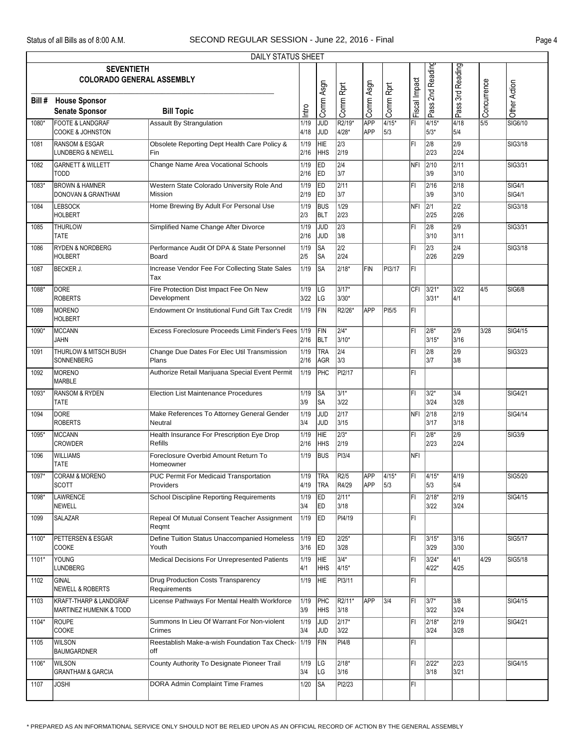|         | <b>DAILY STATUS SHEET</b><br><b>SEVENTIETH</b>             |                                                            |                  |                                |                          |                          |                |               |                      |                          |                  |                                |  |
|---------|------------------------------------------------------------|------------------------------------------------------------|------------------|--------------------------------|--------------------------|--------------------------|----------------|---------------|----------------------|--------------------------|------------------|--------------------------------|--|
|         | <b>COLORADO GENERAL ASSEMBLY</b>                           |                                                            |                  |                                |                          |                          |                |               | Pass 2nd Reading     | Pass 3rd Reading         |                  |                                |  |
| Bill #  | <b>House Sponsor</b><br><b>Senate Sponsor</b>              | <b>Bill Topic</b>                                          | lntro            | Comm Asgn                      | Comm Rprt                | Comm Asgn                | Comm Rprt      | Fiscal Impact |                      |                          | Concurrence      | Other Action                   |  |
| 1080*   | <b>FOOTE &amp; LANDGRAF</b><br><b>COOKE &amp; JOHNSTON</b> | <b>Assault By Strangulation</b>                            | 1/19<br>4/18     | $\overline{\text{JUD}}$<br>JUD | R2/19*<br>4/28*          | <b>APP</b><br><b>APP</b> | $4/15*$<br>5/3 | ΙFΙ           | $4/15*$<br>5/3*      | 4/18<br>5/4              | $\overline{5/5}$ | SIG6/10                        |  |
| 1081    | <b>RANSOM &amp; ESGAR</b><br>LUNDBERG & NEWELL             | Obsolete Reporting Dept Health Care Policy &<br>Fin        | 1/19<br>2/16     | <b>HIE</b><br>HHS              | $\overline{2/3}$<br>2/19 |                          |                | FI            | 2/8<br>2/23          | $\overline{2/9}$<br>2/24 |                  | SIG3/18                        |  |
| 1082    | <b>GARNETT &amp; WILLETT</b><br><b>TODD</b>                | Change Name Area Vocational Schools                        | 1/19<br>2/16     | ED<br><b>IED</b>               | $\overline{2/4}$<br>3/7  |                          |                | NFI           | 2/10<br>3/9          | 2/11<br>3/10             |                  | SIG3/31                        |  |
| 1083*   | <b>BROWN &amp; HAMNER</b><br>DONOVAN & GRANTHAM            | Western State Colorado University Role And<br>Mission      | 1/19<br>2/19     | ED<br> ED                      | 2/11<br>3/7              |                          |                | l۴ı           | 2/16<br>3/9          | 2/18<br>3/10             |                  | <b>SIG4/1</b><br><b>SIG4/1</b> |  |
| 1084    | <b>LEBSOCK</b><br><b>HOLBERT</b>                           | Home Brewing By Adult For Personal Use                     | 1/19<br>2/3      | <b>BUS</b><br>BLT              | 1/29<br>2/23             |                          |                | NFI           | $\sqrt{2/1}$<br>2/25 | $\overline{2/2}$<br>2/26 |                  | SIG3/18                        |  |
| 1085    | <b>THURLOW</b><br><b>TATE</b>                              | Simplified Name Change After Divorce                       | 1/19<br>2/16     | <b>JUD</b><br>JUD              | $\overline{2/3}$<br>3/8  |                          |                | l۴ı           | 2/8<br>3/10          | $\overline{2/9}$<br>3/11 |                  | SIG3/31                        |  |
| 1086    | <b>RYDEN &amp; NORDBERG</b><br><b>HOLBERT</b>              | Performance Audit Of DPA & State Personnel<br>Board        | 1/19<br>2/5      | SA<br>∣SA                      | $\overline{2/2}$<br>2/24 |                          |                | l۴ı           | 2/3<br>2/26          | 2/4<br>2/29              |                  | SIG3/18                        |  |
| 1087    | <b>BECKER J.</b>                                           | Increase Vendor Fee For Collecting State Sales<br>Tax      | 1/19             | ∣SA                            | $2/18*$                  | <b>FIN</b>               | PI3/17         | FL            |                      |                          |                  |                                |  |
| 1088*   | <b>DORE</b><br><b>ROBERTS</b>                              | Fire Protection Dist Impact Fee On New<br>Development      | 1/19<br>3/22     | LG<br> LG                      | $3/17*$<br>3/30*         |                          |                | <b>CFI</b>    | $3/21*$<br>$3/31*$   | 3/22<br>4/1              | 4/5              | <b>SIG6/8</b>                  |  |
| 1089    | MORENO<br><b>HOLBERT</b>                                   | Endowment Or Institutional Fund Gift Tax Credit            | 1/19             | FIN                            | R2/26*                   | <b>APP</b>               | PI5/5          | ΙFΙ           |                      |                          |                  |                                |  |
| 1090*   | MCCANN<br><b>JAHN</b>                                      | Excess Foreclosure Proceeds Limit Finder's Fees 1/19       | 2/16             | FIN<br>BLT                     | $2/4*$<br>3/10*          |                          |                | ΙFΙ           | $2/8*$<br>3/15*      | $\overline{2/9}$<br>3/16 | 3/28             | SIG4/15                        |  |
| 1091    | <b>THURLOW &amp; MITSCH BUSH</b><br>SONNENBERG             | Change Due Dates For Elec Util Transmission<br>Plans       | 1/19<br>2/16     | TRA<br>AGR                     | $\overline{2/4}$<br>3/3  |                          |                | l۴ı           | 2/8<br>3/7           | $\overline{2/9}$<br>3/8  |                  | SIG3/23                        |  |
| 1092    | MORENO<br>MARBLE                                           | Authorize Retail Marijuana Special Event Permit            | 1/19             | <b>PHC</b>                     | PI2/17                   |                          |                | lFI.          |                      |                          |                  |                                |  |
| 1093*   | <b>RANSOM &amp; RYDEN</b><br><b>TATE</b>                   | <b>Election List Maintenance Procedures</b>                | 1/19<br>3/9      | <b>SA</b><br> SA               | $3/1*$<br>3/22           |                          |                | ΙFΙ           | $3/2*$<br>3/24       | 3/4<br>3/28              |                  | SIG4/21                        |  |
| 1094    | <b>DORE</b><br><b>ROBERTS</b>                              | Make References To Attorney General Gender<br>Neutral      | 1/19<br>3/4      | JUD<br><b>JUD</b>              | 2/17<br>3/15             |                          |                | NFI           | 2/18<br>3/17         | 2/19<br>3/18             |                  | SIG4/14                        |  |
| 1095*   | MCCANN<br><b>CROWDER</b>                                   | Health Insurance For Prescription Eye Drop<br>Refills      | 1/19<br>2/16     | HIE<br>HHS                     | $2/3*$<br>2/19           |                          |                | ΙFΙ           | 2/8*<br>2/23         | 2/9<br>2/24              |                  | <b>SIG3/9</b>                  |  |
| 1096    | <b>WILLIAMS</b><br><b>TATE</b>                             | Foreclosure Overbid Amount Return To<br>Homeowner          | 1/19             | <b>BUS</b>                     | PI3/4                    |                          |                | Infi          |                      |                          |                  |                                |  |
| $1097*$ | <b>CORAM &amp; MORENO</b><br><b>SCOTT</b>                  | <b>PUC Permit For Medicaid Transportation</b><br>Providers | 1/19 TRA<br>4/19 | <b>TRA</b>                     | R2/5<br>R4/29            | <b>APP</b><br><b>APP</b> | $4/15*$<br>5/3 | l۴ı           | $14/15*$<br>5/3      | 4/19<br>5/4              |                  | SIG5/20                        |  |
| 1098*   | LAWRENCE<br>NEWELL                                         | <b>School Discipline Reporting Requirements</b>            | 1/19<br>3/4      | ED.<br><b>ED</b>               | $2/11*$<br>3/18          |                          |                | ΙFΙ           | 2/18*<br>3/22        | 2/19<br>3/24             |                  | SIG4/15                        |  |
| 1099    | <b>SALAZAR</b>                                             | Repeal Of Mutual Consent Teacher Assignment<br>Regmt       | 1/19             | ED                             | PI4/19                   |                          |                | FI            |                      |                          |                  |                                |  |
| 1100*   | PETTERSEN & ESGAR<br><b>COOKE</b>                          | Define Tuition Status Unaccompanied Homeless<br>Youth      | 1/19<br>3/16     | <b>ED</b><br><b>IED</b>        | 2/25*<br>3/28            |                          |                | l۴ı           | 3/15*<br>3/29        | 3/16<br>3/30             |                  | SIG5/17                        |  |
| 1101*   | YOUNG<br><b>LUNDBERG</b>                                   | <b>Medical Decisions For Unrepresented Patients</b>        | 1/19<br>4/1      | HIE<br><b>HHS</b>              | $3/4*$<br>4/15*          |                          |                | ΙFΙ           | 3/24*<br>$4/22*$     | 4/1<br>4/25              | 4/29             | SIG5/18                        |  |
| 1102    | GINAL<br>NEWELL & ROBERTS                                  | <b>Drug Production Costs Transparency</b><br>Requirements  | 1/19             | <b>HIE</b>                     | PI3/11                   |                          |                | FI            |                      |                          |                  |                                |  |
| 1103    | KRAFT-THARP & LANDGRAF<br>MARTINEZ HUMENIK & TODD          | License Pathways For Mental Health Workforce               | 1/19<br>3/9      | PHC<br> HHS                    | R2/11*<br>3/18           | APP                      | 3/4            | l۴ı           | 3/7*<br>3/22         | 3/8<br>3/24              |                  | SIG4/15                        |  |
| 1104*   | ROUPE<br><b>COOKE</b>                                      | Summons In Lieu Of Warrant For Non-violent<br>Crimes       | 1/19<br>3/4      | <b>JUD</b><br><b>JUD</b>       | $\sqrt{2/17^*}$<br>3/22  |                          |                | l۴ı           | 2/18*<br>3/24        | 2/19<br>3/28             |                  | SIG4/21                        |  |
| 1105    | <b>WILSON</b><br><b>BAUMGARDNER</b>                        | Reestablish Make-a-wish Foundation Tax Check- 1/19<br>off  |                  | FIN                            | PI4/8                    |                          |                | lFI.          |                      |                          |                  |                                |  |
| 1106*   | <b>WILSON</b><br><b>GRANTHAM &amp; GARCIA</b>              | County Authority To Designate Pioneer Trail                | 1/19<br>3/4      | <b>ILG</b><br> LG              | $2/18*$<br>3/16          |                          |                | FI            | $2/22*$<br>3/18      | $\sqrt{2/23}$<br>3/21    |                  | SIG4/15                        |  |
| 1107    | <b>JOSHI</b>                                               | DORA Admin Complaint Time Frames                           | 1/20             | SA                             | PI2/23                   |                          |                | FI            |                      |                          |                  |                                |  |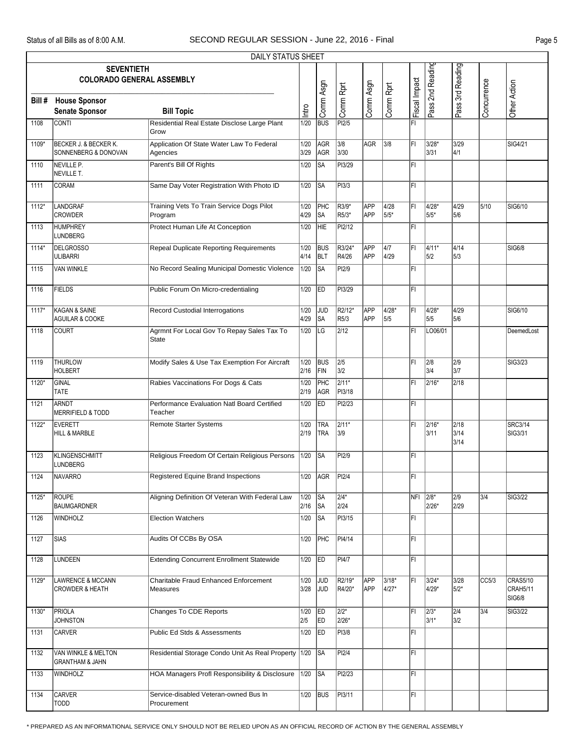|         |                                                            | <b>DAILY STATUS SHEET</b>                                  |              |                          |                             |                   |                |               |                  |                      |             |                                |
|---------|------------------------------------------------------------|------------------------------------------------------------|--------------|--------------------------|-----------------------------|-------------------|----------------|---------------|------------------|----------------------|-------------|--------------------------------|
|         | <b>SEVENTIETH</b><br><b>COLORADO GENERAL ASSEMBLY</b>      |                                                            |              |                          |                             |                   |                |               | Pass 2nd Reading | Pass 3rd Reading     |             |                                |
| Bill #  | <b>House Sponsor</b><br><b>Senate Sponsor</b>              | <b>Bill Topic</b>                                          | Intro        | Comm Asgn                | Comm Rprt                   | Comm Asgn         | Comm Rprt      | Fiscal Impact |                  |                      | Concurrence | Other Action                   |
| 1108    | <b>CONTI</b>                                               | Residential Real Estate Disclose Large Plant<br>Grow       | 1/20         | <b>BUS</b>               | PI2/5                       |                   |                | ΙFΙ           |                  |                      |             |                                |
| 1109*   | BECKER J. & BECKER K.<br>SONNENBERG & DONOVAN              | Application Of State Water Law To Federal<br>Agencies      | 1/20<br>3/29 | AGR<br>AGR               | 3/8<br>3/30                 | AGR               | 3/8            | ΙFΙ           | 3/28*<br>3/31    | 3/29<br>4/1          |             | SIG4/21                        |
| 1110    | NEVILLE P.<br>NEVILLE T.                                   | Parent's Bill Of Rights                                    | 1/20         | <b>SA</b>                | PI3/29                      |                   |                | ΙFΙ           |                  |                      |             |                                |
| 1111    | <b>CORAM</b>                                               | Same Day Voter Registration With Photo ID                  | 1/20         | <b>SA</b>                | PI3/3                       |                   |                | ΙFΙ           |                  |                      |             |                                |
| 1112*   | LANDGRAF<br><b>CROWDER</b>                                 | Training Vets To Train Service Dogs Pilot<br>Program       | 1/20<br>4/29 | PHC<br><b>SA</b>         | R3/9*<br>R5/3*              | APP<br>APP        | 4/28<br>5/5*   | İΕΙ           | 4/28*<br>5/5*    | 4/29<br>5/6          | 5/10        | SIG6/10                        |
| 1113    | <b>HUMPHREY</b><br>LUNDBERG                                | Protect Human Life At Conception                           | 1/20         | <b>HIE</b>               | PI2/12                      |                   |                | ΙFΙ           |                  |                      |             |                                |
| 1114*   | <b>DELGROSSO</b><br><b>ULIBARRI</b>                        | <b>Repeal Duplicate Reporting Requirements</b>             | 1/20<br>4/14 | <b>BUS</b><br><b>BLT</b> | R3/24*<br>R4/26             | APP<br><b>APP</b> | 4/7<br>4/29    | l۴ı           | $4/11*$<br>5/2   | $\sqrt{4/14}$<br>5/3 |             | <b>SIG6/8</b>                  |
| 1115    | <b>VAN WINKLE</b>                                          | No Record Sealing Municipal Domestic Violence              | 1/20         | lsa                      | PI2/9                       |                   |                | ΙFΙ           |                  |                      |             |                                |
| 1116    | <b>FIELDS</b>                                              | Public Forum On Micro-credentialing                        | 1/20         | ED                       | PI3/29                      |                   |                | ΙFΙ           |                  |                      |             |                                |
| $1117*$ | KAGAN & SAINE<br><b>AGUILAR &amp; COOKE</b>                | Record Custodial Interrogations                            | 1/20<br>4/29 | <b>JUD</b><br><b>SA</b>  | R2/12*<br>R <sub>5</sub> /3 | APP<br><b>APP</b> | 4/28*<br>5/5   | ĪFI           | 4/28*<br>5/5     | 4/29<br>5/6          |             | SIG6/10                        |
| 1118    | <b>COURT</b>                                               | Agrmnt For Local Gov To Repay Sales Tax To<br><b>State</b> | 1/20         | <b>LG</b>                | 2/12                        |                   |                | ΙFΙ           | LO06/01          |                      |             | DeemedLost                     |
| 1119    | <b>THURLOW</b><br><b>HOLBERT</b>                           | Modify Sales & Use Tax Exemption For Aircraft              | 1/20<br>2/16 | <b>BUS</b><br>FIN        | 2/5<br>3/2                  |                   |                | FL            | 2/8<br>3/4       | 2/9<br>3/7           |             | SIG3/23                        |
| 1120*   | GINAL<br><b>TATE</b>                                       | Rabies Vaccinations For Dogs & Cats                        | 1/20<br>2/19 | PHC<br>AGR               | $2/11*$<br>PI3/18           |                   |                | l۴ı           | $2/16*$          | 2/18                 |             |                                |
| 1121    | ARNDT<br>MERRIFIELD & TODD                                 | Performance Evaluation Natl Board Certified<br>Teacher     | 1/20         | <b>IED</b>               | PI2/23                      |                   |                | ĪFĪ           |                  |                      |             |                                |
| 1122*   | <b>EVERETT</b><br>HILL & MARBLE                            | <b>Remote Starter Systems</b>                              | 1/20<br>2/19 | <b>TRA</b><br><b>TRA</b> | 2/11*<br>3/9                |                   |                | ΙFΙ           | $ 2/16*$<br>3/11 | 2/18<br>3/14<br>3/14 |             | SRC3/14<br>SIG3/31             |
| 1123    | <b>KLINGENSCHMITT</b><br><b>LUNDBERG</b>                   | Religious Freedom Of Certain Religious Persons             | 1/20         | <b>I</b> SA              | PI2/9                       |                   |                | ΙFΙ           |                  |                      |             |                                |
| 1124    | NAVARRO                                                    | Registered Equine Brand Inspections                        |              | 1/20 AGR                 | PI2/4                       |                   |                | F             |                  |                      |             |                                |
| 1125*   | ROUPE<br><b>BAUMGARDNER</b>                                | Aligning Definition Of Veteran With Federal Law            | 1/20<br>2/16 | SA<br><b>SA</b>          | 2/4*<br>2/24                |                   |                | NFI 2/8*      | 2/26*            | 2/9<br>2/29          | 3/4         | SIG3/22                        |
| 1126    | <b>WINDHOLZ</b>                                            | <b>Election Watchers</b>                                   | 1/20         | <b>SA</b>                | PI3/15                      |                   |                | FI.           |                  |                      |             |                                |
| 1127    | <b>SIAS</b>                                                | Audits Of CCBs By OSA                                      | 1/20         | PHC                      | PI4/14                      |                   |                | FL            |                  |                      |             |                                |
| 1128    | LUNDEEN                                                    | <b>Extending Concurrent Enrollment Statewide</b>           | 1/20         | ED                       | PI4/7                       |                   |                | IFI.          |                  |                      |             |                                |
| 1129*   | <b>LAWRENCE &amp; MCCANN</b><br><b>CROWDER &amp; HEATH</b> | Charitable Fraud Enhanced Enforcement<br>Measures          | 1/20<br>3/28 | JUD<br><b>JUD</b>        | R2/19*<br>R4/20*            | APP<br><b>APP</b> | 3/18*<br>4/27* | ΙFΙ           | $3/24*$<br>4/29* | 3/28<br>5/2*         | CC5/3       | CRAS5/10<br>CRAH5/11<br>SIG6/8 |
| 1130*   | <b>PRIOLA</b><br><b>JOHNSTON</b>                           | <b>Changes To CDE Reports</b>                              | 1/20<br>2/5  | ED<br><b>ED</b>          | $\sqrt{2/2^*}$<br>2/26*     |                   |                | ΙFΙ           | $ 2/3*$<br>3/1*  | $\sqrt{2/4}$<br>3/2  | 3/4         | <b>SIG3/22</b>                 |
| 1131    | <b>CARVER</b>                                              | Public Ed Stds & Assessments                               | 1/20         | <b>ED</b>                | PI3/8                       |                   |                | ΙFΙ           |                  |                      |             |                                |
| 1132    | VAN WINKLE & MELTON<br><b>GRANTHAM &amp; JAHN</b>          | Residential Storage Condo Unit As Real Property            | 1/20         | <b>SA</b>                | PI2/4                       |                   |                | IFI.          |                  |                      |             |                                |
| 1133    | <b>WINDHOLZ</b>                                            | HOA Managers Profl Responsibility & Disclosure             | 1/20         | SA                       | PI2/23                      |                   |                | FI.           |                  |                      |             |                                |
| 1134    | <b>CARVER</b><br>TODD                                      | Service-disabled Veteran-owned Bus In<br>Procurement       | 1/20         | <b>BUS</b>               | PI3/11                      |                   |                | IFI.          |                  |                      |             |                                |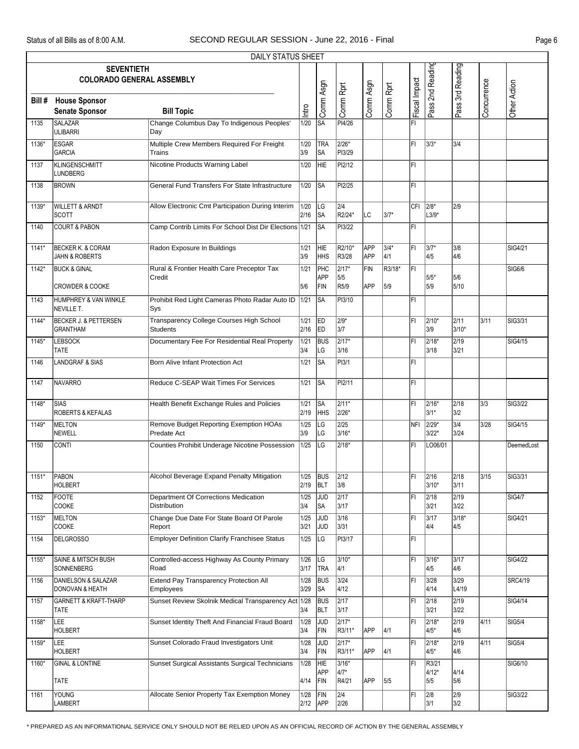|         |                                                           | DAILY STATUS SHEET                                                |                        |                          |                                |                          |               |               |                         |                       |             |                |
|---------|-----------------------------------------------------------|-------------------------------------------------------------------|------------------------|--------------------------|--------------------------------|--------------------------|---------------|---------------|-------------------------|-----------------------|-------------|----------------|
|         | <b>SEVENTIETH</b><br><b>COLORADO GENERAL ASSEMBLY</b>     |                                                                   |                        |                          |                                |                          |               |               | Pass 2nd Reading        | Pass 3rd Reading      |             |                |
| Bill #  | <b>House Sponsor</b><br><b>Senate Sponsor</b>             | <b>Bill Topic</b>                                                 | lntro                  | Comm Asgn                | Comm Rprt                      | Comm Asgn                | Comm Rprt     | Fiscal Impact |                         |                       | Concurrence | Other Action   |
| 1135    | <b>SALAZAR</b><br><b>ULIBARRI</b>                         | Change Columbus Day To Indigenous Peoples'<br>Day                 | 1/20                   | <b>SA</b>                | PI4/26                         |                          |               | l۴ı           |                         |                       |             |                |
| 1136*   | <b>ESGAR</b><br><b>GARCIA</b>                             | Multiple Crew Members Required For Freight<br><b>Trains</b>       | 1/20<br>3/9            | TRA<br> SA               | $2/26*$<br>PI3/29              |                          |               | FI            | 3/3*                    | 3/4                   |             |                |
| 1137    | <b>KLINGENSCHMITT</b><br>LUNDBERG                         | Nicotine Products Warning Label                                   | 1/20                   | HIE                      | PI2/12                         |                          |               | FI            |                         |                       |             |                |
| 1138    | <b>BROWN</b>                                              | General Fund Transfers For State Infrastructure                   | 1/20                   | <b>SA</b>                | PI2/25                         |                          |               | FI            |                         |                       |             |                |
| 1139*   | <b>WILLETT &amp; ARNDT</b><br><b>SCOTT</b>                | Allow Electronic Cmt Participation During Interim                 | 1/20<br>2/16           | LG<br>∣SA                | $\overline{2/4}$<br>R2/24*     | LC                       | $3/7*$        | CFI           | $12/8*$<br>$L3/9*$      | 2/9                   |             |                |
| 1140    | <b>COURT &amp; PABON</b>                                  | Camp Contrib Limits For School Dist Dir Elections 1/21            |                        | lsa                      | PI3/22                         |                          |               | l۴ı           |                         |                       |             |                |
| $1141*$ | <b>BECKER K. &amp; CORAM</b><br><b>JAHN &amp; ROBERTS</b> | Radon Exposure In Buildings                                       | 1/21<br>3/9            | HIE<br> HHS              | R2/10*<br>R3/28                | <b>APP</b><br><b>APP</b> | $3/4*$<br>4/1 | l۴ı           | $3/7*$<br>4/5           | 3/8<br>4/6            |             | SIG4/21        |
| 1142*   | <b>BUCK &amp; GINAL</b><br><b>CROWDER &amp; COOKE</b>     | Rural & Frontier Health Care Preceptor Tax<br>Credit              | 1/21<br>5/6            | PHC<br><b>APP</b><br>FIN | $\sqrt{2/17^*}$<br>5/5<br>R5/9 | FIN<br>APP               | R3/18*<br>5/9 | ΙFΙ           | $5/5*$<br>5/9           | 5/6<br>5/10           |             | <b>SIG6/6</b>  |
| 1143    | HUMPHREY & VAN WINKLE<br>NEVILLE T.                       | Prohibit Red Light Cameras Photo Radar Auto ID<br>Sys             | 1/21                   | SA                       | PI3/10                         |                          |               | FI            |                         |                       |             |                |
| $1144*$ | <b>BECKER J. &amp; PETTERSEN</b><br><b>GRANTHAM</b>       | Transparency College Courses High School<br><b>Students</b>       | 1/21<br>2/16           | ED<br><b>IED</b>         | $\sqrt{2/9^*}$<br>3/7          |                          |               | l۴ı           | 2/10*<br>3/9            | 2/11<br>3/10*         | 3/11        | SIG3/31        |
| 1145*   | <b>LEBSOCK</b><br><b>TATE</b>                             | Documentary Fee For Residential Real Property                     | $\boxed{1/21}$<br>3/4  | <b>BUS</b><br> LG        | $\sqrt{2/17^*}$<br>3/16        |                          |               | FI            | $2/18*$<br>3/18         | 2/19<br>3/21          |             | SIG4/15        |
| 1146    | <b>LANDGRAF &amp; SIAS</b>                                | Born Alive Infant Protection Act                                  | $1/21$                 | ∣SA                      | PI3/1                          |                          |               | FI            |                         |                       |             |                |
| 1147    | <b>NAVARRO</b>                                            | Reduce C-SEAP Wait Times For Services                             | 1/21                   | lsa                      | PI2/11                         |                          |               | l۴ı           |                         |                       |             |                |
| 1148*   | <b>SIAS</b><br>ROBERTS & KEFALAS                          | Health Benefit Exchange Rules and Policies                        | $\boxed{1/21}$<br>2/19 | <b>SA</b><br><b>HHS</b>  | $2/11*$<br>2/26*               |                          |               | FI            | $2/16*$<br>$3/1*$       | $\sqrt{2/18}$<br>3/2  | 3/3         | <b>SIG3/22</b> |
| 1149*   | <b>MELTON</b><br>NEWELL                                   | <b>Remove Budget Reporting Exemption HOAs</b><br>Predate Act      | 1/25<br>3/9            | LG<br> LG                | $\overline{2/25}$<br>3/16*     |                          |               | NFI           | $2/29*$<br>$3/22*$      | 3/4<br>3/24           | 3/28        | SIG4/15        |
| 1150    | <b>CONTI</b>                                              | Counties Prohibit Underage Nicotine Possession                    | 1/25                   | ILG                      | $2/18*$                        |                          |               | ΙFΙ           | LO06/01                 |                       |             | DeemedLost     |
|         | 1151* PABON<br><b>HOLBERT</b>                             | Alcohol Beverage Expand Penalty Mitigation                        | 2/19                   | 1/25 BUS 2/12<br>BLT     | 3/8                            |                          |               | l۴ı           | 2/16<br>3/10*           | $\sqrt{2/18}$<br>3/11 | 3/15        | SIG3/31        |
| 1152    | <b>FOOTE</b><br>COOKE                                     | Department Of Corrections Medication<br>Distribution              | 1/25<br>3/4            | JUD<br>SA                | 2/17<br>3/17                   |                          |               | ΙFΙ           | 2/18<br>3/21            | 2/19<br>3/22          |             | <b>SIG4/7</b>  |
| 1153*   | MELTON<br>COOKE                                           | Change Due Date For State Board Of Parole<br>Report               | 1/25<br>3/21           | JUD<br><b>JUD</b>        | 3/16<br>3/31                   |                          |               | FI            | 3/17<br>4/4             | $3/18*$<br>4/5        |             | SIG4/21        |
| 1154    | <b>DELGROSSO</b>                                          | <b>Employer Definition Clarify Franchisee Status</b>              | 1/25                   | LG                       | PI3/17                         |                          |               | ΙFΙ           |                         |                       |             |                |
| 1155*   | <b>SAINE &amp; MITSCH BUSH</b><br>SONNENBERG              | Controlled-access Highway As County Primary<br>Road               | 1/26<br>3/17           | LG<br><b>TRA</b>         | 3/10*<br>4/1                   |                          |               | FI            | 3/16*<br>4/5            | 3/17<br>4/6           |             | SIG4/22        |
| 1156    | <b>DANIELSON &amp; SALAZAR</b><br>DONOVAN & HEATH         | <b>Extend Pay Transparency Protection All</b><br><b>Employees</b> | 1/28<br>3/29           | <b>BUS</b><br><b>SA</b>  | $3/24$<br>4/12                 |                          |               | ΙFΙ           | $3/28$<br>4/14          | $3/29$<br>L4/19       |             | SRC4/19        |
| 1157    | <b>GARNETT &amp; KRAFT-THARP</b><br>TATE                  | Sunset Review Skolnik Medical Transparency Act 1/28               | 3/4                    | <b>BUS</b><br><b>BLT</b> | $\overline{2/17}$<br>3/17      |                          |               | ΙFΙ           | 2/18<br>3/21            | 2/19<br>3/22          |             | SIG4/14        |
| 1158*   | <b>LEE</b><br>HOLBERT                                     | Sunset Identity Theft And Financial Fraud Board                   | 1/28<br>3/4            | JUD<br>FIN               | $\sqrt{2/17^*}$<br>R3/11*      | APP                      | 4/1           | FI            | 2/18*<br>$4/5*$         | 2/19<br>4/6           | 4/11        | SIG5/4         |
| 1159*   | <b>LEE</b><br><b>HOLBERT</b>                              | Sunset Colorado Fraud Investigators Unit                          | 1/28<br>3/4            | JUD<br>FIN               | $\sqrt{2/17^*}$<br>R3/11*      | APP                      | 4/1           | İΕΙ           | 2/18*<br>$4/5*$         | $\sqrt{2/19}$<br>4/6  | 4/11        | <b>SIG5/4</b>  |
| 1160*   | <b>GINAL &amp; LONTINE</b><br>TATE                        | <b>Sunset Surgical Assistants Surgical Technicians</b>            | 1/28<br>4/14           | HIE<br>APP<br>FIN        | 3/16*<br>4/7*<br>R4/21         | APP                      | 5/5           | l۴ı           | R3/21<br>$4/12*$<br>5/5 | 4/14<br>5/6           |             | SIG6/10        |
| 1161    | YOUNG<br>LAMBERT                                          | Allocate Senior Property Tax Exemption Money                      | 1/28<br>2/12           | FIN<br>APP               | 2/4<br>2/26                    |                          |               | ΙFΙ           | 2/8 <br>3/1             | 2/9<br>3/2            |             | SIG3/22        |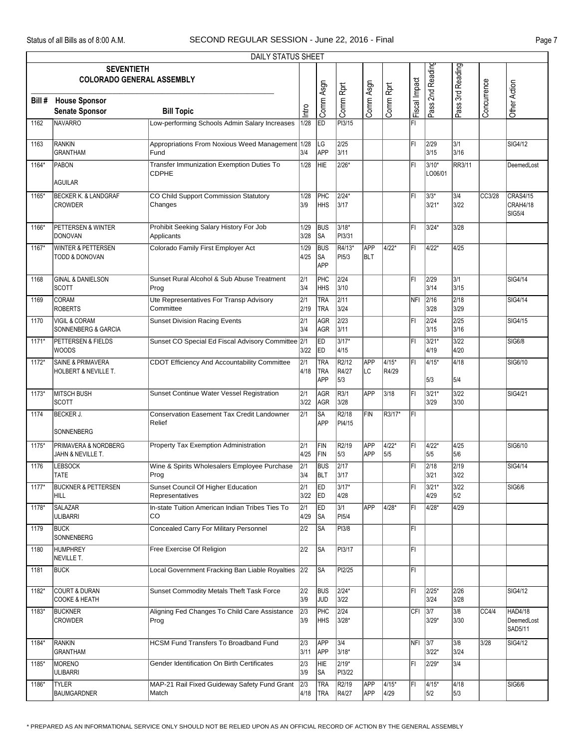|         | DAILY STATUS SHEET                                         |                                                             |                          |                                        |                              |                          |                |               |                    |                           |             |                                              |  |
|---------|------------------------------------------------------------|-------------------------------------------------------------|--------------------------|----------------------------------------|------------------------------|--------------------------|----------------|---------------|--------------------|---------------------------|-------------|----------------------------------------------|--|
|         | <b>SEVENTIETH</b><br><b>COLORADO GENERAL ASSEMBLY</b>      |                                                             |                          |                                        |                              |                          |                |               | Pass 2nd Reading   | Pass 3rd Reading          |             |                                              |  |
| Bill #  | <b>House Sponsor</b><br><b>Senate Sponsor</b>              | <b>Bill Topic</b>                                           | Intro                    | Comm Asgn                              | Comm Rprt                    | Comm Asgn                | Comm Rprt      | Fiscal Impact |                    |                           | Concurrence | Other Action                                 |  |
| 1162    | <b>NAVARRO</b>                                             | Low-performing Schools Admin Salary Increases               | 1/28                     | ED                                     | PI3/15                       |                          |                | ΙFΙ           |                    |                           |             |                                              |  |
| 1163    | RANKIN<br><b>GRANTHAM</b>                                  | Appropriations From Noxious Weed Management 1/28<br>Fund    | 3/4                      | LG<br><b>APP</b>                       | 2/25<br>3/11                 |                          |                | l۴ı           | 2/29<br>3/15       | 3/1<br>3/16               |             | SIG4/12                                      |  |
| 1164*   | PABON<br><b>AGUILAR</b>                                    | Transfer Immunization Exemption Duties To<br><b>CDPHE</b>   | 1/28                     | HIE                                    | $2/26*$                      |                          |                | l۴ı           | $3/10*$<br>LO06/01 | <b>RR3/11</b>             |             | DeemedLost                                   |  |
| 1165*   | <b>BECKER K. &amp; LANDGRAF</b><br><b>CROWDER</b>          | CO Child Support Commission Statutory<br>Changes            | 1/28<br>3/9              | PHC<br><b>HHS</b>                      | $2/24*$<br>3/17              |                          |                | l۴ı           | 3/3*<br>$3/21*$    | 3/4<br>3/22               | CC3/28      | <b>CRAS4/15</b><br>CRAH4/18<br><b>SIG5/4</b> |  |
| 1166*   | PETTERSEN & WINTER<br>DONOVAN                              | Prohibit Seeking Salary History For Job<br>Applicants       | 1/29<br>3/28             | BUS<br> SA                             | 3/18*<br>PI3/31              |                          |                | l۴ı           | 3/24*              | 3/28                      |             |                                              |  |
| 1167*   | <b>WINTER &amp; PETTERSEN</b><br><b>TODD &amp; DONOVAN</b> | Colorado Family First Employer Act                          | 1/29<br>4/25             | <b>BUS</b><br> SA<br>APP               | R4/13*<br>PI <sub>5/3</sub>  | <b>APP</b><br>BLT        | 4/22*          | lFı.          | $4/22*$            | 4/25                      |             |                                              |  |
| 1168    | <b>GINAL &amp; DANIELSON</b><br><b>SCOTT</b>               | Sunset Rural Alcohol & Sub Abuse Treatment<br>Prog          | $\sqrt{2/1}$<br>3/4      | PHC<br>HHS                             | 2/24<br>3/10                 |                          |                | l۴ı           | 2/29<br>3/14       | 3/1<br>3/15               |             | <b>SIG4/14</b>                               |  |
| 1169    | <b>CORAM</b><br><b>ROBERTS</b>                             | Ute Representatives For Transp Advisory<br>Committee        | $\overline{2/1}$<br>2/19 | <b>TRA</b><br><b>TRA</b>               | 2/11<br>3/24                 |                          |                | NFI           | 2/16<br>3/28       | $\overline{2/18}$<br>3/29 |             | SIG4/14                                      |  |
| 1170    | <b>VIGIL &amp; CORAM</b><br><b>SONNENBERG &amp; GARCIA</b> | <b>Sunset Division Racing Events</b>                        | $\sqrt{2/1}$<br>3/4      | <b>AGR</b><br>AGR                      | $\overline{2/23}$<br>3/11    |                          |                | ΙFΙ           | 2/24<br>3/15       | 2/25<br>3/16              |             | SIG4/15                                      |  |
| $1171*$ | <b>PETTERSEN &amp; FIELDS</b><br><b>WOODS</b>              | Sunset CO Special Ed Fiscal Advisory Committee 2/1          | 3/22                     | ED<br><b>IED</b>                       | $3/17*$<br>4/15              |                          |                | l۴ı           | $3/21*$<br>4/19    | $3/22$<br>4/20            |             | <b>SIG6/8</b>                                |  |
| 1172*   | <b>SAINE &amp; PRIMAVERA</b><br>HOLBERT & NEVILLE T.       | CDOT Efficiency And Accountability Committee                | $\sqrt{2/1}$<br>4/18     | <b>TRA</b><br><b>TRA</b><br><b>APP</b> | R2/12<br>R4/27<br>5/3        | <b>APP</b><br>LC         | 4/15*<br>R4/29 | l۴ı           | $4/15*$<br>5/3     | 4/18<br>5/4               |             | SIG6/10                                      |  |
| $1173*$ | <b>MITSCH BUSH</b><br><b>SCOTT</b>                         | Sunset Continue Water Vessel Registration                   | 2/1<br>3/22              | AGR<br>AGR                             | R3/1<br>3/28                 | APP                      | 3/18           | l۴ı           | 3/21*<br>3/29      | $3/22$<br>3/30            |             | SIG4/21                                      |  |
| 1174    | <b>BECKER J.</b><br>SONNENBERG                             | <b>Conservation Easement Tax Credit Landowner</b><br>Relief | $\overline{2/1}$         | lsa<br><b>APP</b>                      | R <sub>2</sub> /18<br>PI4/15 | FIN                      | R3/17*         | lFı.          |                    |                           |             |                                              |  |
| 1175*   | PRIMAVERA & NORDBERG<br>JAHN & NEVILLE T.                  | Property Tax Exemption Administration                       | 2/1<br>4/25              | FIN<br>FIN                             | R2/19<br>5/3                 | <b>APP</b><br><b>APP</b> | 4/22*<br>5/5   | l۴ı           | 4/22*<br>5/5       | 4/25<br>5/6               |             | SIG6/10                                      |  |
| 1176    | <b>LEBSOCK</b><br> TATE                                    | Wine & Spirits Wholesalers Employee Purchase<br>Prog        | 2/1<br>3/4               | <b>BUS</b><br><b>BLT</b>               | $\sqrt{2/17}$<br>3/17        |                          |                | l۴ı           | 2/18<br>3/21       | $\sqrt{2/19}$<br>3/22     |             | SIG4/14                                      |  |
| 1177*   | <b>BUCKNER &amp; PETTERSEN</b><br>HILL                     | Sunset Council Of Higher Education<br>Representatives       | 2/1<br>3/22              | <b>IED</b><br>ED                       | 3/17*<br>4/28                |                          |                | FI            | 3/21*<br>4/29      | $3/22$<br>5/2             |             | <b>SIG6/6</b>                                |  |
| 1178*   | <b>SALAZAR</b><br><b>ULIBARRI</b>                          | In-state Tuition American Indian Tribes Ties To<br>CO.      | 2/1<br>4/29              | ED<br><b>SA</b>                        | 3/1<br>PI5/4                 | APP                      | 4/28*          | l۴ı           | 4/28*              | 4/29                      |             |                                              |  |
| 1179    | <b>BUCK</b><br>SONNENBERG                                  | <b>Concealed Carry For Military Personnel</b>               | 2/2                      | <b>SA</b>                              | PI3/8                        |                          |                | FL            |                    |                           |             |                                              |  |
| 1180    | <b>HUMPHREY</b><br>NEVILLE T.                              | Free Exercise Of Religion                                   | 2/2                      | <b>SA</b>                              | PI3/17                       |                          |                | FL            |                    |                           |             |                                              |  |
| 1181    | <b>BUCK</b>                                                | Local Government Fracking Ban Liable Royalties 2/2          |                          | ∣SA                                    | PI2/25                       |                          |                | ΙFΙ           |                    |                           |             |                                              |  |
| 1182*   | <b>COURT &amp; DURAN</b><br>COOKE & HEATH                  | Sunset Commodity Metals Theft Task Force                    | 2/2<br>3/9               | <b>BUS</b><br>JUD                      | $2/24*$<br>3/22              |                          |                | lFI.          | 2/25*<br>3/24      | 2/26<br>3/28              |             | SIG4/12                                      |  |
| 1183*   | <b>BUCKNER</b><br><b>CROWDER</b>                           | Aligning Fed Changes To Child Care Assistance<br>Prog       | 2/3<br>3/9               | <b>PHC</b><br><b>HHS</b>               | 2/24<br>3/28*                |                          |                | CFI           | 3/7<br>$3/29*$     | 3/8<br>3/30               | CC4/4       | HAD4/18<br>DeemedLost<br>SAD5/11             |  |
| 1184*   | RANKIN<br><b>GRANTHAM</b>                                  | <b>HCSM Fund Transfers To Broadband Fund</b>                | 2/3<br>3/11              | APP<br><b>APP</b>                      | 3/4<br>3/18*                 |                          |                | NFI           | 3/7 <br>$3/22*$    | 3/8<br>3/24               | $3/28$      | SIG4/12                                      |  |
| 1185*   | MORENO<br><b>ULIBARRI</b>                                  | Gender Identification On Birth Certificates                 | $\sqrt{2/3}$<br>3/9      | HIE<br><b>SA</b>                       | $2/19*$<br>PI3/22            |                          |                | l۴ı           | 2/29*              | 3/4                       |             |                                              |  |
| 1186*   | <b>TYLER</b><br><b>BAUMGARDNER</b>                         | MAP-21 Rail Fixed Guideway Safety Fund Grant<br>Match       | 2/3<br>4/18              | <b>TRA</b><br><b>TRA</b>               | R2/19<br>R4/27               | <b>APP</b><br>APP        | 4/15*<br>4/29  | FI            | 4/15*<br>5/2       | 4/18<br>5/3               |             | SIG6/6                                       |  |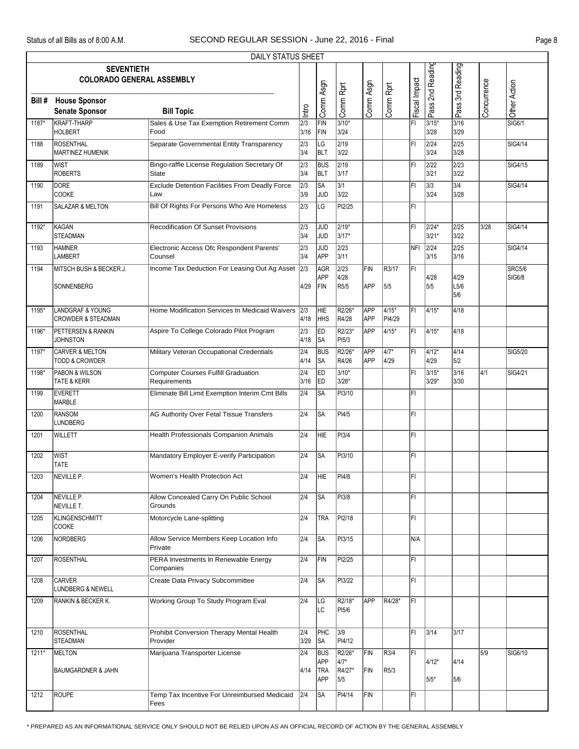|        | DAILY STATUS SHEET                                           |                                                              |                          |                                        |                                   |                          |                           |               |                    |                           |             |                         |  |
|--------|--------------------------------------------------------------|--------------------------------------------------------------|--------------------------|----------------------------------------|-----------------------------------|--------------------------|---------------------------|---------------|--------------------|---------------------------|-------------|-------------------------|--|
|        | <b>SEVENTIETH</b><br><b>COLORADO GENERAL ASSEMBLY</b>        |                                                              |                          |                                        |                                   |                          |                           |               | Pass 2nd Reading   | Pass 3rd Reading          |             |                         |  |
| Bill # | <b>House Sponsor</b><br><b>Senate Sponsor</b>                | <b>Bill Topic</b>                                            | lntro                    | Comm Asgn                              | Comm Rprt                         | Comm Asgn                | Comm Rprt                 | Fiscal Impact |                    |                           | Concurrence | Other Action            |  |
| 1187*  | <b>KRAFT-THARP</b><br><b>HOLBERT</b>                         | Sales & Use Tax Exemption Retirement Comm<br>Food            | 2/3<br>3/16              | FIN<br>FIN                             | $3/10*$<br>3/24                   |                          |                           | FI            | $3/15*$<br>3/28    | $3/16$<br>3/29            |             | SIG6/1                  |  |
| 1188   | <b>ROSENTHAL</b><br><b>MARTINEZ HUMENIK</b>                  | Separate Governmental Entity Transparency                    | 2/3<br>3/4               | LG<br>BLT                              | $\sqrt{2/19}$<br>3/22             |                          |                           | FI            | 2/24<br>3/24       | $\overline{2/25}$<br>3/28 |             | SIG4/14                 |  |
| 1189   | lwist<br><b>ROBERTS</b>                                      | Bingo-raffle License Regulation Secretary Of<br><b>State</b> | $\sqrt{2/3}$<br>3/4      | <b>BUS</b><br><b>BLT</b>               | $\sqrt{2/19}$<br>3/17             |                          |                           | FI            | 2/22<br>3/21       | $\sqrt{2/23}$<br>3/22     |             | SIG4/15                 |  |
| 1190   | <b>DORE</b><br><b>COOKE</b>                                  | <b>Exclude Detention Facilities From Deadly Force</b><br>Law | $\sqrt{2/3}$<br>3/9      | SA<br> JUD                             | 3/1<br>3/22                       |                          |                           | FI            | 3/3<br>3/24        | 3/4<br>3/28               |             | SIG4/14                 |  |
| 1191   | SALAZAR & MELTON                                             | Bill Of Rights For Persons Who Are Homeless                  | 2/3                      | LG                                     | PI2/25                            |                          |                           | FI            |                    |                           |             |                         |  |
| 1192*  | <b>KAGAN</b><br><b>STEADMAN</b>                              | <b>Recodification Of Sunset Provisions</b>                   | $\overline{2/3}$<br>3/4  | <b>JUD</b><br><b>JUD</b>               | $2/19*$<br>3/17*                  |                          |                           | l۴ı           | 2/24*<br>$3/21*$   | 2/25<br>3/22              | 3/28        | SIG4/14                 |  |
| 1193   | <b>HAMNER</b><br><b>LAMBERT</b>                              | Electronic Access Ofc Respondent Parents'<br>Counsel         | 2/3<br>3/4               | JUD<br><b>APP</b>                      | 2/23<br>3/11                      |                          |                           | NFI           | 2/24<br>3/15       | 2/25<br>3/16              |             | SIG4/14                 |  |
| 1194   | MITSCH BUSH & BECKER J.<br>SONNENBERG                        | Income Tax Deduction For Leasing Out Ag Asset                | 2/3<br>4/29              | AGR<br>APP<br>FIN                      | $\overline{2/23}$<br>4/28<br>R5/5 | FIN<br><b>APP</b>        | R3/17<br>5/5              | ΙFΙ           | 4/28<br>5/5        | 4/29<br>L5/6<br>5/6       |             | <b>SRC5/6</b><br>SIG6/8 |  |
| 1195*  | <b>LANDGRAF &amp; YOUNG</b><br><b>CROWDER &amp; STEADMAN</b> | Home Modification Services In Medicaid Waivers               | 2/3<br>4/18              | HIE<br><b>HHS</b>                      | R2/26*<br>R4/28                   | <b>APP</b><br><b>APP</b> | 4/15*<br>PI4/29           | FI            | 4/15*              | 4/18                      |             |                         |  |
| 1196*  | PETTERSEN & RANKIN<br><b>JOHNSTON</b>                        | Aspire To College Colorado Pilot Program                     | 2/3<br>4/18              | ED<br> SA                              | R2/23*<br>PI5/3                   | APP                      | 4/15*                     | ΙFΙ           | 4/15*              | 4/18                      |             |                         |  |
| 1197*  | <b>CARVER &amp; MELTON</b><br>TODD & CROWDER                 | Military Veteran Occupational Credentials                    | $\overline{2/4}$<br>4/14 | <b>BUS</b><br>lsa                      | R2/26*<br>R4/26                   | APP<br><b>APP</b>        | $4/7*$<br>4/29            | l۴ı           | $4/12*$<br>4/29    | 4/14<br>5/2               |             | SIG5/20                 |  |
| 1198*  | PABON & WILSON<br>TATE & KERR                                | <b>Computer Courses Fulfill Graduation</b><br>Requirements   | 2/4<br>3/16              | ED<br><b>IED</b>                       | $3/10*$<br>3/28*                  |                          |                           | FI            | $3/15*$<br>$3/29*$ | 3/16<br>3/30              | 4/1         | SIG4/21                 |  |
| 1199   | <b>EVERETT</b><br><b>MARBLE</b>                              | Eliminate Bill Limit Exemption Interim Cmt Bills             | 2/4                      | SA                                     | PI3/10                            |                          |                           | FI            |                    |                           |             |                         |  |
| 1200   | <b>RANSOM</b><br><b>LUNDBERG</b>                             | AG Authority Over Fetal Tissue Transfers                     | 2/4                      | lsa                                    | PI4/5                             |                          |                           | FI            |                    |                           |             |                         |  |
| 1201   | WILLETT                                                      | <b>Health Professionals Companion Animals</b>                | 2/4                      | HIE.                                   | PI3/4                             |                          |                           | FI            |                    |                           |             |                         |  |
| 1202   | <b>WIST</b><br><b>TATE</b>                                   | Mandatory Employer E-verify Participation                    | 2/4                      | lsa                                    | PI3/10                            |                          |                           | FI            |                    |                           |             |                         |  |
| 1203   | NEVILLE P.                                                   | Women's Health Protection Act                                | $\overline{2/4}$         | <b>HIE</b>                             | PI4/8                             |                          |                           | l۴ı           |                    |                           |             |                         |  |
| 1204   | NEVILLE P.<br>NEVILLE T.                                     | Allow Concealed Carry On Public School<br>Grounds            | 2/4                      | SA                                     | PI3/8                             |                          |                           | FL            |                    |                           |             |                         |  |
| 1205   | KLINGENSCHMITT<br><b>COOKE</b>                               | Motorcycle Lane-splitting                                    | 2/4                      | <b>TRA</b>                             | PI2/18                            |                          |                           | FL            |                    |                           |             |                         |  |
| 1206   | <b>NORDBERG</b>                                              | Allow Service Members Keep Location Info<br>Private          | 2/4                      | <b>SA</b>                              | PI3/15                            |                          |                           | N/A           |                    |                           |             |                         |  |
| 1207   | <b>ROSENTHAL</b>                                             | PERA Investments In Renewable Energy<br>Companies            | 2/4                      | FIN                                    | PI2/25                            |                          |                           | FL            |                    |                           |             |                         |  |
| 1208   | <b>CARVER</b><br>LUNDBERG & NEWELL                           | <b>Create Data Privacy Subcommittee</b>                      | 2/4                      | <b>SA</b>                              | PI3/22                            |                          |                           | FI            |                    |                           |             |                         |  |
| 1209   | RANKIN & BECKER K.                                           | Working Group To Study Program Eval                          | $\overline{2/4}$         | LG<br>ILC.                             | R2/18*<br>PI5/6                   | APP                      | R4/28*                    | IFI.          |                    |                           |             |                         |  |
| 1210   | <b>ROSENTHAL</b><br><b>STEADMAN</b>                          | Prohibit Conversion Therapy Mental Health<br>Provider        | 2/4<br>3/29              | PHC<br><b>SA</b>                       | 3/9<br>PI4/12                     |                          |                           | ΙFΙ           | 3/14               | 3/17                      |             |                         |  |
| 1211*  | MELTON<br><b>BAUMGARDNER &amp; JAHN</b>                      | Marijuana Transporter License                                | 2/4<br>4/14              | <b>BUS</b><br>APP<br><b>TRA</b><br>APP | R2/26*<br>$4/7*$<br>R4/27*<br>5/5 | FIN<br>FIN               | R3/4<br>R <sub>5</sub> /3 | FL            | $4/12*$<br>$5/5*$  | 4/14<br>5/6               | 5/9         | SIG6/10                 |  |
| 1212   | <b>ROUPE</b>                                                 | Temp Tax Incentive For Unreimbursed Medicaid<br>Fees         | 2/4                      | <b>SA</b>                              | PI4/14                            | FIN                      |                           | ΙFΙ           |                    |                           |             |                         |  |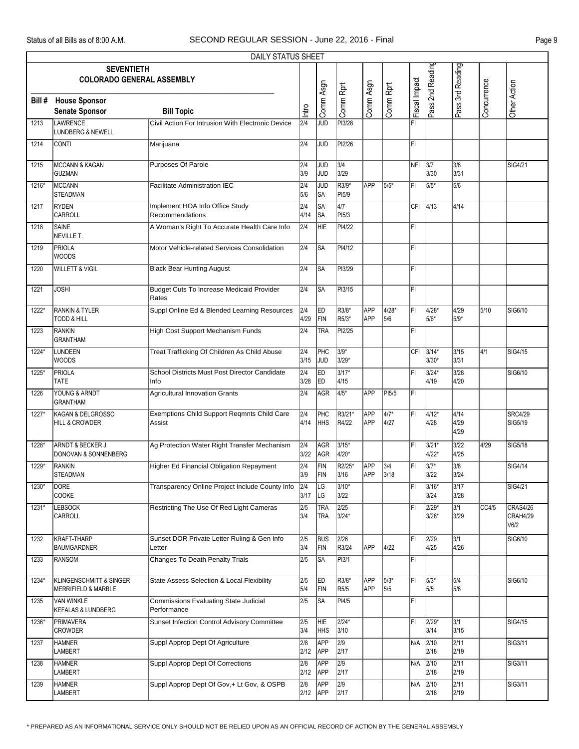|        |                                                           | DAILY STATUS SHEET                                    |                          |                          |                           |                   |                        |               |                    |                      |                  |                              |
|--------|-----------------------------------------------------------|-------------------------------------------------------|--------------------------|--------------------------|---------------------------|-------------------|------------------------|---------------|--------------------|----------------------|------------------|------------------------------|
|        | <b>SEVENTIETH</b><br><b>COLORADO GENERAL ASSEMBLY</b>     |                                                       |                          |                          |                           |                   |                        |               | Pass 2nd Reading   | Pass 3rd Reading     |                  |                              |
| Bill # | <b>House Sponsor</b><br><b>Senate Sponsor</b>             | <b>Bill Topic</b>                                     | Intro                    | Comm Asgn                | Comm Rprt                 | Comm Asgn         | Comm Rprt              | Fiscal Impact |                    |                      | Concurrence      | Other Action                 |
| 1213   | LAWRENCE<br><b>LUNDBERG &amp; NEWELL</b>                  | Civil Action For Intrusion With Electronic Device     | 2/4                      | JUD                      | PI3/28                    |                   |                        | FI            |                    |                      |                  |                              |
| 1214   | <b>CONTI</b>                                              | Marijuana                                             | 2/4                      | JUD                      | PI2/26                    |                   |                        | FL            |                    |                      |                  |                              |
| 1215   | <b>MCCANN &amp; KAGAN</b><br><b>GUZMAN</b>                | Purposes Of Parole                                    | 2/4<br>3/9               | <b>JUD</b><br><b>JUD</b> | 3/4<br>3/29               |                   |                        | INFI 13/7     | 3/30               | 3/8<br>3/31          |                  | SIG4/21                      |
| 1216*  | MCCANN<br><b>STEADMAN</b>                                 | <b>Facilitate Administration IEC</b>                  | 2/4<br>5/6               | JUD<br>SA                | $R3/9*$<br>PI5/9          | APP               | 5/5*                   | lFI.          | 5/5*               | 5/6                  |                  |                              |
| 1217   | <b>RYDEN</b><br>CARROLL                                   | Implement HOA Info Office Study<br>Recommendations    | $\overline{2/4}$<br>4/14 | SA<br>lsa                | $\overline{4/7}$<br>PI5/3 |                   |                        | CFI           | 4/13               | 4/14                 |                  |                              |
| 1218   | <b>SAINE</b><br>NEVILLE T.                                | A Woman's Right To Accurate Health Care Info          | $\overline{2/4}$         | HIE                      | PI4/22                    |                   |                        | ΙFΙ           |                    |                      |                  |                              |
| 1219   | PRIOLA<br>WOODS                                           | Motor Vehicle-related Services Consolidation          | $\overline{2/4}$         | SA                       | PI4/12                    |                   |                        | FL            |                    |                      |                  |                              |
| 1220   | <b>WILLETT &amp; VIGIL</b>                                | <b>Black Bear Hunting August</b>                      | 2/4                      | <b>SA</b>                | PI3/29                    |                   |                        | FL            |                    |                      |                  |                              |
| 1221   | <b>JOSHI</b>                                              | Budget Cuts To Increase Medicaid Provider<br>Rates    | 2/4                      | <b>SA</b>                | PI3/15                    |                   |                        | lFı.          |                    |                      |                  |                              |
| 1222*  | <b>RANKIN &amp; TYLER</b><br><b>TODD &amp; HILL</b>       | Suppl Online Ed & Blended Learning Resources          | 2/4<br>4/29              | ED<br>FIN                | R3/8*<br>R5/3*            | APP<br>APP        | 4/28*<br>5/6           | ΙFΙ           | 4/28*<br>$5/6*$    | 4/29<br>5/9*         | 5/10             | SIG6/10                      |
| 1223   | RANKIN<br><b>GRANTHAM</b>                                 | High Cost Support Mechanism Funds                     | 2/4                      | TRA                      | PI2/25                    |                   |                        | lFI.          |                    |                      |                  |                              |
| 1224*  | LUNDEEN<br>WOODS                                          | Treat Trafficking Of Children As Child Abuse          | $\overline{2/4}$<br>3/15 | PHC<br>JUD               | $3/9*$<br>3/29*           |                   |                        | <b>CFI</b>    | $3/14*$<br>$3/30*$ | $3/15$<br>3/31       | $\overline{4/1}$ | SIG4/15                      |
| 1225*  | <b>PRIOLA</b><br><b>TATE</b>                              | School Districts Must Post Director Candidate<br>Info | $\sqrt{2/4}$<br>3/28     | ED<br>ED                 | $3/17*$<br>4/15           |                   |                        | FI            | $3/24*$<br>4/19    | 3/28<br>4/20         |                  | SIG6/10                      |
| 1226   | YOUNG & ARNDT<br><b>GRANTHAM</b>                          | <b>Agricultural Innovation Grants</b>                 | 2/4                      | AGR                      | $4/5*$                    | APP               | PI5/5                  | ΙFΙ           |                    |                      |                  |                              |
| 1227*  | KAGAN & DELGROSSO<br><b>HILL &amp; CROWDER</b>            | Exemptions Child Support Reqmnts Child Care<br>Assist | 2/4<br>4/14              | PHC<br><b>HHS</b>        | R3/21*<br>R4/22           | APP<br>APP        | $\sqrt{4/7^*}$<br>4/27 | l۴ı           | $4/12*$<br>4/28    | 4/14<br>4/29<br>4/29 |                  | <b>SRC4/29</b><br>SIG5/19    |
| 1228*  | ARNDT & BECKER J.<br>DONOVAN & SONNENBERG                 | Ag Protection Water Right Transfer Mechanism          | 2/4<br>3/22              | AGR<br>AGR               | 3/15*<br>4/20*            |                   |                        | l۴ı           | 3/21*<br>4/22*     | 3/22<br>4/25         | 4/29             | SIG5/18                      |
| 1229*  | RANKIN<br>STEADMAN                                        | Higher Ed Financial Obligation Repayment              | 2/4<br>3/9               | FIN<br>FIN               | R2/25*<br>3/16            | APP<br>APP        | 3/4<br>3/18            | FI            | $3/7*$<br>3/22     | 3/8<br>3/24          |                  | SIG4/14                      |
| 1230*  | DORE<br><b>COOKE</b>                                      | Transparency Online Project Include County Info       | $\overline{2/4}$<br>3/17 | LG<br>LG                 | 3/10*<br>3/22             |                   |                        | FI            | 3/16*<br>3/24      | 3/17<br>3/28         |                  | SIG4/21                      |
| 1231*  | <b>LEBSOCK</b><br>CARROLL                                 | Restricting The Use Of Red Light Cameras              | 2/5<br>3/4               | TRA<br><b>TRA</b>        | $\sqrt{2/25}$<br>3/24*    |                   |                        | ΙFΙ           | $2/29*$<br>$3/28*$ | 3/1<br>3/29          | CC4/5            | CRAS4/26<br>CRAH4/29<br>V6/2 |
| 1232   | KRAFT-THARP<br><b>BAUMGARDNER</b>                         | Sunset DOR Private Letter Ruling & Gen Info<br>Letter | $\sqrt{2/5}$<br>3/4      | <b>BUS</b><br>FIN        | 2/26<br>R3/24             | APP               | 4/22                   | l۴ı           | 2/29<br>4/25       | 3/1<br>4/26          |                  | SIG6/10                      |
| 1233   | <b>RANSOM</b>                                             | <b>Changes To Death Penalty Trials</b>                | 2/5                      | <b>SA</b>                | PI3/1                     |                   |                        | FI            |                    |                      |                  |                              |
| 1234*  | <b>KLINGENSCHMITT &amp; SINGER</b><br>MERRIFIELD & MARBLE | <b>State Assess Selection &amp; Local Flexibility</b> | $\sqrt{2/5}$<br>5/4      | ED<br>FIN                | R3/8*<br>R5/5             | <b>APP</b><br>APP | $5/3*$<br>5/5          | FL            | $5/3*$<br>5/5      | 5/4<br>5/6           |                  | SIG6/10                      |
| 1235   | VAN WINKLE<br><b>KEFALAS &amp; LUNDBERG</b>               | Commissions Evaluating State Judicial<br>Performance  | $\sqrt{2/5}$             | SA                       | PI4/5                     |                   |                        | FL            |                    |                      |                  |                              |
| 1236*  | <b>PRIMAVERA</b><br><b>CROWDER</b>                        | Sunset Infection Control Advisory Committee           | 2/5<br>3/4               | HIE<br>HHS               | 2/24*<br>3/10             |                   |                        | FI            | 2/29*<br>3/14      | 3/1<br>3/15          |                  | SIG4/15                      |
| 1237   | <b>HAMNER</b><br>LAMBERT                                  | Suppl Approp Dept Of Agriculture                      | 2/8<br>2/12              | APP<br>APP               | $\sqrt{2/9}$<br>2/17      |                   |                        | N/A 2/10      | 2/18               | 2/11<br>2/19         |                  | SIG3/11                      |
| 1238   | <b>HAMNER</b><br>LAMBERT                                  | Suppl Approp Dept Of Corrections                      | 2/8<br>2/12              | APP<br>APP               | 2/9<br>2/17               |                   |                        | N/A           | 2/10<br>2/18       | 2/11<br>2/19         |                  | SIG3/11                      |
| 1239   | <b>HAMNER</b><br>LAMBERT                                  | Suppl Approp Dept Of Gov,+ Lt Gov, & OSPB             | 2/8<br>2/12              | APP<br>APP               | 2/9<br>2/17               |                   |                        | N/A           | 2/10<br>2/18       | 2/11<br>2/19         |                  | SIG3/11                      |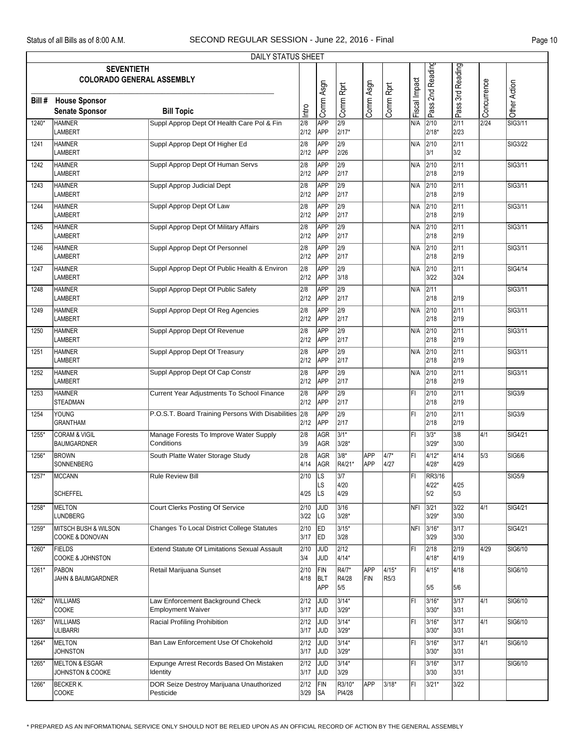|         |                                                       | DAILY STATUS SHEET                                           |                          |                                  |                                     |                   |                   |               |                        |                           |                   |              |
|---------|-------------------------------------------------------|--------------------------------------------------------------|--------------------------|----------------------------------|-------------------------------------|-------------------|-------------------|---------------|------------------------|---------------------------|-------------------|--------------|
|         | <b>SEVENTIETH</b><br><b>COLORADO GENERAL ASSEMBLY</b> |                                                              |                          |                                  |                                     |                   |                   |               | Pass 2nd Reading       | Pass 3rd Reading          |                   |              |
| Bill #  | <b>House Sponsor</b><br><b>Senate Sponsor</b>         | <b>Bill Topic</b>                                            | Intro                    | Comm Asgn                        | Comm Rprt                           | Comm Asgn         | Comm Rprt         | Fiscal Impact |                        |                           | Concurrence       | Other Action |
| 1240*   | <b>HAMNER</b><br><b>LAMBERT</b>                       | Suppl Approp Dept Of Health Care Pol & Fin                   | 2/8<br>2/12              | APP<br>APP                       | $\overline{2/9}$<br>2/17*           |                   |                   | N/A           | 2/10<br>$2/18*$        | $\overline{2/11}$<br>2/23 | $\overline{2/24}$ | SIG3/11      |
| 1241    | <b>HAMNER</b><br><b>LAMBERT</b>                       | Suppl Approp Dept Of Higher Ed                               | 2/8<br>2/12              | <b>APP</b><br><b>APP</b>         | $\sqrt{2/9}$<br>2/26                |                   |                   | N/A           | 2/10<br>3/1            | $\overline{2/11}$<br>3/2  |                   | SIG3/22      |
| 1242    | <b>HAMNER</b><br><b>LAMBERT</b>                       | Suppl Approp Dept Of Human Servs                             | 2/8<br>2/12              | APP<br>APP                       | $\overline{2/9}$<br>2/17            |                   |                   | N/A           | 2/10<br>2/18           | 2/11<br>2/19              |                   | SIG3/11      |
| 1243    | <b>HAMNER</b><br><b>LAMBERT</b>                       | Suppl Approp Judicial Dept                                   | 2/8<br>2/12              | APP<br>APP                       | $\overline{2/9}$<br>2/17            |                   |                   | N/A           | 2/10<br>2/18           | 2/11<br>2/19              |                   | SIG3/11      |
| 1244    | <b>HAMNER</b><br><b>LAMBERT</b>                       | Suppl Approp Dept Of Law                                     | 2/8<br>2/12              | <b>APP</b><br><b>APP</b>         | $\sqrt{2/9}$<br>2/17                |                   |                   | N/A           | 2/10<br>2/18           | $\overline{2/11}$<br>2/19 |                   | SIG3/11      |
| 1245    | <b>HAMNER</b><br>LAMBERT                              | Suppl Approp Dept Of Military Affairs                        | $\overline{2/8}$<br>2/12 | APP<br>APP                       | $\overline{2/9}$<br>2/17            |                   |                   | N/A           | 2/10<br>2/18           | 2/11<br>2/19              |                   | SIG3/11      |
| 1246    | <b>HAMNER</b><br><b>LAMBERT</b>                       | Suppl Approp Dept Of Personnel                               | 2/8<br>2/12              | <b>APP</b><br>APP                | $\overline{2/9}$<br>2/17            |                   |                   | N/A           | 2/10<br>2/18           | 2/11<br>2/19              |                   | SIG3/11      |
| 1247    | <b>HAMNER</b><br><b>LAMBERT</b>                       | Suppl Approp Dept Of Public Health & Environ                 | 2/8<br>2/12              | <b>APP</b><br><b>APP</b>         | $\sqrt{2/9}$<br>3/18                |                   |                   | N/A           | 2/10<br>3/22           | $\overline{2/11}$<br>3/24 |                   | SIG4/14      |
| 1248    | <b>HAMNER</b><br>LAMBERT                              | Suppl Approp Dept Of Public Safety                           | 2/8<br>2/12              | APP<br>APP                       | $\overline{2/9}$<br>2/17            |                   |                   | N/A           | 2/11<br>2/18           | 2/19                      |                   | SIG3/11      |
| 1249    | <b>HAMNER</b><br>LAMBERT                              | Suppl Approp Dept Of Reg Agencies                            | 2/8<br>2/12              | APP<br>APP                       | $\overline{2/9}$<br>2/17            |                   |                   | N/A           | 2/10<br>2/18           | 2/11<br>2/19              |                   | SIG3/11      |
| 1250    | <b>HAMNER</b><br><b>LAMBERT</b>                       | Suppl Approp Dept Of Revenue                                 | 2/8<br>2/12              | APP<br><b>APP</b>                | $\sqrt{2/9}$<br>2/17                |                   |                   | N/A           | 2/10<br>2/18           | $\overline{2/11}$<br>2/19 |                   | SIG3/11      |
| 1251    | <b>HAMNER</b><br><b>LAMBERT</b>                       | Suppl Approp Dept Of Treasury                                | 2/8<br>2/12              | APP<br>APP                       | $\overline{2/9}$<br>2/17            |                   |                   | N/A           | 2/10<br>2/18           | 2/11<br>2/19              |                   | SIG3/11      |
| 1252    | <b>HAMNER</b><br>LAMBERT                              | Suppl Approp Dept Of Cap Constr                              | 2/8<br>2/12              | APP<br><b>APP</b>                | $\overline{2/9}$<br>2/17            |                   |                   | N/A           | 2/10<br>2/18           | 2/11<br>2/19              |                   | SIG3/11      |
| 1253    | <b>HAMNER</b><br><b>STEADMAN</b>                      | Current Year Adjustments To School Finance                   | 2/8<br>2/12              | APP<br><b>APP</b>                | $\sqrt{2/9}$<br>2/17                |                   |                   | FI            | $\sqrt{2/10}$<br>2/18  | $\overline{2/11}$<br>2/19 |                   | SIG3/9       |
| 1254    | <b>YOUNG</b><br><b>GRANTHAM</b>                       | P.O.S.T. Board Training Persons With Disabilities            | 2/8<br>2/12              | APP<br>APP                       | $\overline{2/9}$<br>2/17            |                   |                   | l۴ı           | 2/10<br>2/18           | 2/11<br>2/19              |                   | SIG3/9       |
| 1255*   | <b>CORAM &amp; VIGIL</b><br><b>BAUMGARDNER</b>        | Manage Forests To Improve Water Supply<br>Conditions         | 2/8<br>3/9               | AGR<br>AGR                       | $3/1*$<br>3/28*                     |                   |                   | FI            | $3/3*$<br>$3/29*$      | 3/8<br>3/30               | 4/1               | SIG4/21      |
| 1256*   | <b>BROWN</b><br><b>SONNENBERG</b>                     | South Platte Water Storage Study                             | 2/8<br>4/14              | AGR<br>AGR                       | $3/8*$<br>R4/21*                    | APP<br><b>APP</b> | 4/7*<br>4/27      | l۴ı           | 4/12*<br>$4/28*$       | $\sqrt{4/14}$<br>4/29     | 5/3               | SIG6/6       |
| $1257*$ | MCCANN                                                | <b>Rule Review Bill</b>                                      | 2/10                     | $\overline{\mathbb{L}}$ s<br> LS | 3/7<br>4/20                         |                   |                   | IFI           | <b>RR3/16</b><br>4/22* | 4/25                      |                   | SIG5/9       |
| 1258*   | <b>SCHEFFEL</b><br>MELTON                             | Court Clerks Posting Of Service                              | 4/25<br>2/10             | LS<br> JUD                       | 4/29<br>3/16                        |                   |                   | NFI.          | 5/2<br>3/21            | 5/3<br>$3/22$             | 4/1               | SIG4/21      |
| 1259*   | <b>LUNDBERG</b><br><b>MITSCH BUSH &amp; WILSON</b>    | <b>Changes To Local District College Statutes</b>            | 3/22<br>2/10             | LG<br>ED                         | 3/28*<br>$3/15*$                    |                   |                   | NFI           | $3/29*$<br>$3/16*$     | 3/30<br>3/17              |                   | SIG4/21      |
| 1260*   | <b>COOKE &amp; DONOVAN</b><br><b>FIELDS</b>           | <b>Extend Statute Of Limitations Sexual Assault</b>          | 3/17<br>2/10             | <b>ED</b><br>JUD                 | 3/28<br>$\sqrt{2/12}$               |                   |                   | FI            | 3/29<br>2/18           | 3/30<br>$\sqrt{2/19}$     | 4/29              | SIG6/10      |
| 1261*   | <b>COOKE &amp; JOHNSTON</b><br>PABON                  | Retail Marijuana Sunset                                      | 3/4<br>2/10              | <b>JUD</b><br>FIN                | 4/14*<br>$\overline{\text{R4}/7^*}$ | APP               | 4/15*             | ΙFΙ           | $4/18*$<br>4/15*       | 4/19<br>4/18              |                   | SIG6/10      |
|         | JAHN & BAUMGARDNER                                    |                                                              | 4/18                     | <b>BLT</b><br>APP                | R4/28<br>5/5                        | FIN               | R <sub>5</sub> /3 |               | 5/5                    | 5/6                       |                   |              |
| 1262*   | <b>WILLIAMS</b><br>COOKE                              | Law Enforcement Background Check<br><b>Employment Waiver</b> | 2/12<br>3/17             | <b>JUD</b><br>JUD                | $3/14*$<br>3/29*                    |                   |                   | FI            | $3/16*$<br>$3/30*$     | 3/17<br>3/31              | 4/1               | SIG6/10      |
| 1263*   | <b>WILLIAMS</b><br><b>ULIBARRI</b>                    | <b>Racial Profiling Prohibition</b>                          | 2/12<br>3/17             | <b>JUD</b><br><b>JUD</b>         | $3/14*$<br>3/29*                    |                   |                   | ΙFΙ           | $3/16*$<br>$3/30*$     | 3/17<br>3/31              | 4/1               | SIG6/10      |
| 1264*   | <b>MELTON</b><br><b>JOHNSTON</b>                      | Ban Law Enforcement Use Of Chokehold                         | 2/12<br>3/17             | JUD<br>JUD                       | $3/14*$<br>3/29*                    |                   |                   | FI            | 3/16*<br>$3/30*$       | 3/17<br>3/31              | 4/1               | SIG6/10      |
| 1265*   | <b>MELTON &amp; ESGAR</b><br>JOHNSTON & COOKE         | Expunge Arrest Records Based On Mistaken<br>Identity         | 2/12<br>3/17             | JUD<br><b>JUD</b>                | $3/14*$<br>3/29                     |                   |                   | FI            | 3/16*<br>3/30          | $3/17$<br>3/31            |                   | SIG6/10      |
| 1266*   | <b>BECKER K.</b><br><b>COOKE</b>                      | DOR Seize Destroy Marijuana Unauthorized<br>Pesticide        | 2/12<br>3/29             | FIN<br><b>SA</b>                 | R3/10*<br>PI4/28                    | APP               | 3/18*             | FI            | $3/21*$                | 3/22                      |                   |              |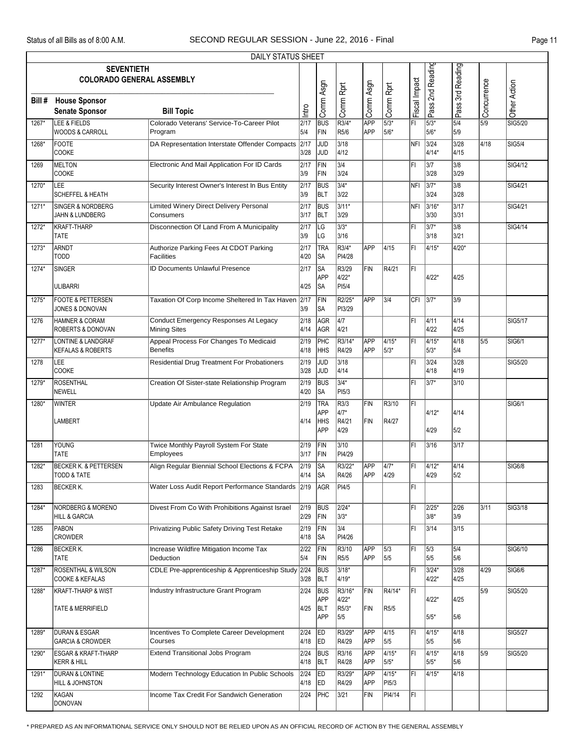|        | DAILY STATUS SHEET                                          |                                                              |                          |                                               |                                    |                          |                             |               |                   |                      |             |                     |  |
|--------|-------------------------------------------------------------|--------------------------------------------------------------|--------------------------|-----------------------------------------------|------------------------------------|--------------------------|-----------------------------|---------------|-------------------|----------------------|-------------|---------------------|--|
|        | <b>SEVENTIETH</b><br><b>COLORADO GENERAL ASSEMBLY</b>       |                                                              |                          |                                               |                                    |                          |                             |               | Pass 2nd Reading  | Pass 3rd Reading     |             |                     |  |
| Bill # | <b>House Sponsor</b><br><b>Senate Sponsor</b>               | <b>Bill Topic</b>                                            | htro                     | Comm Asgn                                     | Comm Rprt                          | Comm Asgn                | Comm Rprt                   | Fiscal Impact |                   |                      | Concurrence | Other Action        |  |
| 1267*  | LEE & FIELDS<br><b>WOODS &amp; CARROLL</b>                  | Colorado Veterans' Service-To-Career Pilot<br>Program        | 2/17<br>5/4              | <b>BUS</b><br>FIN                             | $\overline{\text{R}3/4^*}$<br>R5/6 | APP<br><b>APP</b>        | $\sqrt{5/3^*}$<br>5/6*      | FI            | $5/3*$<br>5/6*    | 5/4<br>5/9           | 5/9         | SIG5/20             |  |
| 1268*  | <b>FOOTE</b><br>COOKE                                       | DA Representation Interstate Offender Compacts               | 2/17<br>3/28             | <b>JUD</b><br><b>JUD</b>                      | 3/18<br>4/12                       |                          |                             | <b>NFI</b>    | 3/24<br>4/14*     | 3/28<br>4/15         | 4/18        | SIG5/4              |  |
| 1269   | MELTON<br><b>COOKE</b>                                      | Electronic And Mail Application For ID Cards                 | $\overline{2/17}$<br>3/9 | FIN<br>FIN                                    | 3/4<br>3/24                        |                          |                             | FI            | 3/7<br>3/28       | 3/8<br>3/29          |             | SIG4/12             |  |
| 1270*  | LEE<br><b>SCHEFFEL &amp; HEATH</b>                          | Security Interest Owner's Interest In Bus Entity             | 2/17<br>3/9              | <b>BUS</b><br><b>BLT</b>                      | $3/4*$<br>3/22                     |                          |                             | <b>NFI</b>    | 3/7*<br>3/24      | 3/8<br>3/28          |             | SIG4/21             |  |
| 1271*  | <b>SINGER &amp; NORDBERG</b><br><b>JAHN &amp; LUNDBERG</b>  | Limited Winery Direct Delivery Personal<br>Consumers         | 2/17<br>3/17             | <b>BUS</b><br><b>BLT</b>                      | $3/11*$<br>3/29                    |                          |                             | <b>NFI</b>    | 3/16*<br>3/30     | 3/17<br>3/31         |             | SIG4/21             |  |
| 1272*  | <b>KRAFT-THARP</b><br><b>TATE</b>                           | Disconnection Of Land From A Municipality                    | 2/17<br>3/9              | <b>LG</b><br> LG                              | $3/3*$<br>3/16                     |                          |                             | FI            | $3/7*$<br>3/18    | 3/8<br>3/21          |             | <b>SIG4/14</b>      |  |
| 1273*  | ARNDT<br><b>TODD</b>                                        | Authorize Parking Fees At CDOT Parking<br><b>Facilities</b>  | 2/17<br>4/20             | TRA<br>lsa                                    | $R3/4*$<br>PI4/28                  | APP                      | 4/15                        | FI            | 4/15*             | 4/20*                |             |                     |  |
| 1274*  | <b>SINGER</b><br><b>ULIBARRI</b>                            | <b>ID Documents Unlawful Presence</b>                        | 2/17<br>4/25             | ∣SA<br>APP<br><b>SA</b>                       | R3/29<br>4/22*<br>PI5/4            | FIN                      | R4/21                       | FI            | $4/22*$           | 4/25                 |             |                     |  |
| 1275*  | <b>FOOTE &amp; PETTERSEN</b><br>JONES & DONOVAN             | Taxation Of Corp Income Sheltered In Tax Haven               | 2/17<br>3/9              | FIN<br> SA                                    | R2/25*<br>PI3/29                   | APP                      | 3/4                         |               | CFI 3/7*          | 3/9                  |             |                     |  |
| 1276   | <b>HAMNER &amp; CORAM</b><br>ROBERTS & DONOVAN              | Conduct Emergency Responses At Legacy<br><b>Mining Sites</b> | 2/18<br>4/14             | AGR<br>AGR                                    | $\sqrt{4/7}$<br>4/21               |                          |                             | lFI.          | 4/11<br>4/22      | 4/14<br>4/25         |             | <b>SIG5/17</b>      |  |
| 1277*  | LONTINE & LANDGRAF<br><b>KEFALAS &amp; ROBERTS</b>          | Appeal Process For Changes To Medicaid<br><b>Benefits</b>    | $\sqrt{2/19}$<br>4/18    | PHC<br>HHS                                    | R3/14*<br>R4/29                    | APP<br><b>APP</b>        | $4/15*$<br>$5/3*$           | FI            | $4/15*$<br>$5/3*$ | 4/18<br>5/4          | 5/5         | SIG <sub>6</sub> /1 |  |
| 1278   | LEE<br>COOKE                                                | Residential Drug Treatment For Probationers                  | 2/19<br>3/28             | JUD<br>JUD                                    | 3/18<br>4/14                       |                          |                             | FI            | 3/24<br>4/18      | 3/28<br>4/19         |             | SIG5/20             |  |
| 1279*  | ROSENTHAL<br>NEWELL                                         | Creation Of Sister-state Relationship Program                | 2/19<br>4/20             | <b>BUS</b><br> SA                             | $3/4*$<br>PI <sub>5/3</sub>        |                          |                             | l۴ı           | 3/7*              | 3/10                 |             |                     |  |
| 1280*  | <b>WINTER</b><br><b>LAMBERT</b>                             | <b>Update Air Ambulance Regulation</b>                       | 2/19<br>4/14             | TRA<br><b>APP</b><br><b>HHS</b><br><b>APP</b> | R3/3<br>4/7*<br>R4/21<br>4/29      | FIN<br>FIN               | R3/10<br>R4/27              | ĪFĪ           | 4/12*<br>4/29     | 4/14<br>5/2          |             | SIG6/1              |  |
| 1281   | YOUNG<br><b>TATE</b>                                        | Twice Monthly Payroll System For State<br>Employees          | 2/19<br>3/17             | FIN<br>FIN                                    | 3/10<br>PI4/29                     |                          |                             | lFI.          | 3/16              | 3/17                 |             |                     |  |
| 1282*  | <b>BECKER K. &amp; PETTERSEN</b><br><b>TODD &amp; TATE</b>  | Align Regular Biennial School Elections & FCPA               | 2/19<br>4/14             | <b>SA</b><br><b>SA</b>                        | R3/22*<br>R4/26                    | APP<br><b>APP</b>        | $\sqrt{4/7^*}$<br>4/29      | FI            | $4/12*$<br>4/29   | $\sqrt{4/14}$<br>5/2 |             | <b>SIG6/8</b>       |  |
| 1283   | <b>BECKER K.</b>                                            | Water Loss Audit Report Performance Standards                | 2/19                     | AGR                                           | PI4/5                              |                          |                             | FI            |                   |                      |             |                     |  |
| 1284*  | <b>NORDBERG &amp; MORENO</b><br><b>HILL &amp; GARCIA</b>    | Divest From Co With Prohibitions Against Israel              | 2/19<br>2/29             | <b>BUS</b><br>FIN                             | $2/24*$<br>3/3*                    |                          |                             | FL            | 2/25*<br>$3/8*$   | 2/26<br>3/9          | 3/11        | SIG3/18             |  |
| 1285   | PABON<br><b>CROWDER</b>                                     | Privatizing Public Safety Driving Test Retake                | 2/19<br>4/18             | FIN<br>∥SA                                    | 3/4<br>PI4/26                      |                          |                             | FI            | 3/14              | 3/15                 |             |                     |  |
| 1286   | <b>BECKER K.</b><br><b>TATE</b>                             | Increase Wildfire Mitigation Income Tax<br>Deduction         | 2/22<br>5/4              | FIN<br>FIN                                    | R3/10<br>R <sub>5/5</sub>          | <b>APP</b><br><b>APP</b> | 5/3<br>5/5                  | FI            | 5/3<br>5/5        | 5/4<br>5/6           |             | SIG6/10             |  |
| 1287*  | <b>ROSENTHAL &amp; WILSON</b><br><b>COOKE &amp; KEFALAS</b> | CDLE Pre-apprenticeship & Apprenticeship Study 2/24          | 3/28                     | <b>BUS</b><br><b>BLT</b>                      | $3/18*$<br>4/19*                   |                          |                             | FI            | 3/24*<br>$4/22*$  | 3/28<br>4/25         | 4/29        | SIG6/6              |  |
| 1288*  | KRAFT-THARP & WIST<br><b>TATE &amp; MERRIFIELD</b>          | Industry Infrastructure Grant Program                        | 2/24<br>4/25             | <b>BUS</b><br><b>APP</b><br><b>BLT</b><br>APP | R3/16*<br>4/22*<br>R5/3*<br>5/5    | FIN<br>FIN               | R4/14*<br>R <sub>5</sub> /5 | ΙFΙ           | $4/22*$<br>$5/5*$ | 4/25<br>5/6          | 5/9         | SIG5/20             |  |
| 1289*  | <b>DURAN &amp; ESGAR</b><br><b>GARCIA &amp; CROWDER</b>     | Incentives To Complete Career Development<br>Courses         | 2/24<br>4/18             | ED<br><b>ED</b>                               | R3/29*<br>R4/29                    | APP<br><b>APP</b>        | 4/15<br>5/5                 | FI            | 4/15*<br>5/5      | 4/18<br>5/6          |             | <b>SIG5/27</b>      |  |
| 1290*  | <b>ESGAR &amp; KRAFT-THARP</b><br><b>KERR &amp; HILL</b>    | <b>Extend Transitional Jobs Program</b>                      | 2/24<br>4/18             | <b>BUS</b><br><b>BLT</b>                      | R3/16<br>R4/28                     | <b>APP</b><br>APP        | $4/15*$<br>$5/5*$           | FL            | $4/15*$<br>$5/5*$ | 4/18<br>5/6          | 5/9         | SIG5/20             |  |
| 1291*  | <b>DURAN &amp; LONTINE</b><br>HILL & JOHNSTON               | Modern Technology Education In Public Schools                | 2/24<br>4/18             | <b>ED</b><br><b>ED</b>                        | R3/29*<br>R4/29                    | <b>APP</b><br><b>APP</b> | $4/15*$<br>PI5/3            | FI            | 4/15*             | 4/18                 |             |                     |  |
| 1292   | KAGAN<br>DONOVAN                                            | Income Tax Credit For Sandwich Generation                    | 2/24                     | PHC                                           | 3/21                               | FIN                      | PI4/14                      | FL.           |                   |                      |             |                     |  |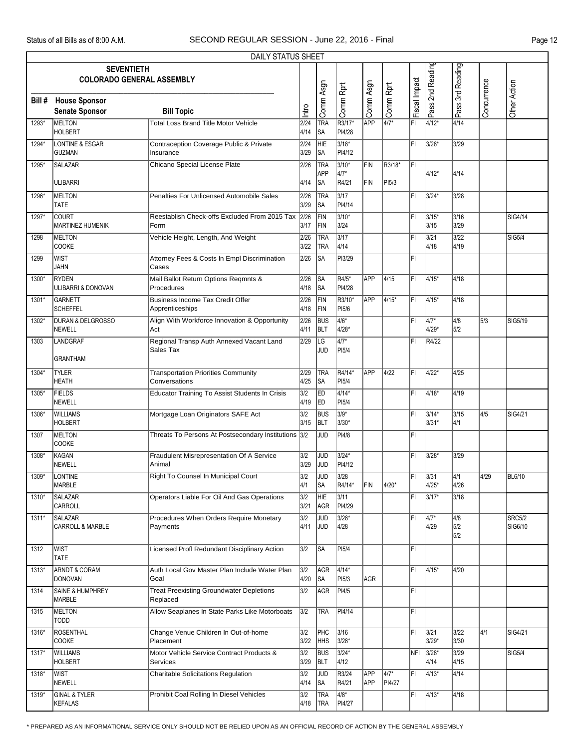|       |                                                       | DAILY STATUS SHEET                                              |              |                          |                                     |                          |                 |               |                   |                            |                          |                          |
|-------|-------------------------------------------------------|-----------------------------------------------------------------|--------------|--------------------------|-------------------------------------|--------------------------|-----------------|---------------|-------------------|----------------------------|--------------------------|--------------------------|
|       | <b>SEVENTIETH</b><br><b>COLORADO GENERAL ASSEMBLY</b> |                                                                 |              |                          |                                     |                          |                 |               | Pass 2nd Reading  | Pass 3rd Reading           |                          |                          |
|       | <b>Bill # House Sponsor</b><br><b>Senate Sponsor</b>  | <b>Bill Topic</b>                                               | Intro        | Comm Asgn                | Comm Rprt                           | Comm Asgn                | Comm Rprt       | Fiscal Impact |                   |                            | Concurrence              | Other Action             |
| 1293* | <b>MELTON</b><br><b>HOLBERT</b>                       | <b>Total Loss Brand Title Motor Vehicle</b>                     | 2/24<br>4/14 | <b>TRA</b><br>lsa        | R3/17*<br>PI4/28                    | APP                      | $4/7*$          | FI            | $4/12*$           | 4/14                       |                          |                          |
| 1294* | <b>LONTINE &amp; ESGAR</b><br><b>GUZMAN</b>           | Contraception Coverage Public & Private<br>Insurance            | 2/24<br>3/29 | <b>HIE</b><br>SA         | $3/18*$<br>PI4/12                   |                          |                 | FI            | 3/28*             | 3/29                       |                          |                          |
| 1295* | SALAZAR<br><b>ULIBARRI</b>                            | Chicano Special License Plate                                   | 2/26<br>4/14 | TRA<br>APP<br>lsa        | $3/10*$<br>4/7*<br>R4/21            | FIN<br>FIN               | R3/18*<br>PI5/3 | ĪFI           | 4/12*             | 4/14                       |                          |                          |
| 1296* | MELTON<br><b>TATE</b>                                 | Penalties For Unlicensed Automobile Sales                       | 2/26<br>3/29 | TRA<br>lsa               | $\overline{\frac{3}{17}}$<br>PI4/14 |                          |                 | FL            | 3/24*             | 3/28                       |                          |                          |
| 1297* | COURT<br><b>MARTINEZ HUMENIK</b>                      | Reestablish Check-offs Excluded From 2015 Tax<br>Form           | 2/26<br>3/17 | FIN<br>FIN               | $3/10*$<br>3/24                     |                          |                 | FI            | $3/15*$<br>3/15   | 3/16<br>3/29               |                          | SIG4/14                  |
| 1298  | MELTON<br>COOKE                                       | Vehicle Height, Length, And Weight                              | 2/26<br>3/22 | TRA<br><b>TRA</b>        | 3/17<br>4/14                        |                          |                 | FI            | 3/21<br>4/18      | $3/22$<br>4/19             |                          | <b>SIG5/4</b>            |
| 1299  | <b>WIST</b><br><b>JAHN</b>                            | Attorney Fees & Costs In Empl Discrimination<br>Cases           | 2/26         | <b>SA</b>                | PI3/29                              |                          |                 | FL            |                   |                            |                          |                          |
| 1300* | RYDEN<br>ULIBARRI & DONOVAN                           | Mail Ballot Return Options Reqmnts &<br>Procedures              | 2/26<br>4/18 | <b>SA</b><br><b>SA</b>   | $\overline{R4/5^*}$<br>PI4/28       | APP                      | 4/15            | FI            | $4/15*$           | 4/18                       |                          |                          |
| 1301* | <b>GARNETT</b><br><b>SCHEFFEL</b>                     | <b>Business Income Tax Credit Offer</b><br>Apprenticeships      | 2/26<br>4/18 | FIN<br>FIN               | R3/10*<br>PI5/6                     | APP                      | 4/15*           | FL            | 4/15*             | 4/18                       |                          |                          |
| 1302* | <b>DURAN &amp; DELGROSSO</b><br><b>NEWELL</b>         | Align With Workforce Innovation & Opportunity<br>Act            | 2/26<br>4/11 | <b>BUS</b><br><b>BLT</b> | $\overline{4/6^*}$<br>4/28*         |                          |                 | lFI.          | $4/7*$<br>4/29*   | $\sqrt{4/8}$<br>5/2        | $\overline{\smash{5}}/3$ | SIG5/19                  |
| 1303  | LANDGRAF<br><b>GRANTHAM</b>                           | Regional Transp Auth Annexed Vacant Land<br>Sales Tax           | 2/29         | LG<br>JUD                | $\overline{4/7^*}$<br>PI5/4         |                          |                 | FI            | R4/22             |                            |                          |                          |
| 1304* | <b>TYLER</b>                                          | <b>Transportation Priorities Community</b>                      | 2/29         | TRA                      | R4/14*                              | <b>APP</b>               | 4/22            | FI            | 4/22*             | 4/25                       |                          |                          |
| 1305* | <b>HEATH</b><br><b>FIELDS</b>                         | Conversations<br>Educator Training To Assist Students In Crisis | 4/25<br>3/2  | lsa<br>ED                | PI <sub>5/4</sub><br>$4/14*$        |                          |                 | FL            | 4/18*             | 4/19                       |                          |                          |
| 1306* | NEWELL<br><b>WILLIAMS</b>                             | Mortgage Loan Originators SAFE Act                              | 4/19<br>3/2  | ED<br><b>BUS</b>         | PI5/4<br>$3/9*$                     |                          |                 | FL            | 3/14*             | 3/15                       | 4/5                      | SIG4/21                  |
| 1307  | <b>HOLBERT</b><br>MELTON                              | Threats To Persons At Postsecondary Institutions                | 3/15<br>3/2  | <b>BLT</b><br>JUD        | 3/30*<br>PI4/8                      |                          |                 | FI            | $3/31*$           | 4/1                        |                          |                          |
|       | <b>COOKE</b>                                          |                                                                 |              |                          |                                     |                          |                 |               |                   |                            |                          |                          |
| 1308* | KAGAN<br>NEWELL                                       | Fraudulent Misrepresentation Of A Service<br>Animal             | 3/2<br>3/29  | JUD<br><b>JUD</b>        | $3/24*$<br>PI4/12                   |                          |                 | FI            | 3/28*             | 3/29                       |                          |                          |
|       | 1309* LONTINE<br>MARBLE                               | Right To Counsel In Municipal Court                             | 3/2<br>4/1   | JUD<br><b>SA</b>         | $3/28$<br>R4/14*                    | FIN                      | 4/20*           | lFı.          | 3/31<br>4/25*     | $\overline{4/1}$<br>4/26   | $\sqrt{4/29}$            | <b>BL6/10</b>            |
| 1310* | SALAZAR<br>CARROLL                                    | Operators Liable For Oil And Gas Operations                     | 3/2<br>3/21  | HIE<br>AGR               | 3/11<br>PI4/29                      |                          |                 | FI            | 3/17*             | 3/18                       |                          |                          |
| 1311* | SALAZAR<br>CARROLL & MARBLE                           | Procedures When Orders Require Monetary<br>Payments             | 3/2<br>4/11  | JUD<br><b>JUD</b>        | $3/28*$<br>4/28                     |                          |                 | FI            | $4/7*$<br>4/29    | $\sqrt{4/8}$<br>5/2<br>5/2 |                          | <b>SRC5/2</b><br>SIG6/10 |
| 1312  | <b>WIST</b><br>TATE                                   | Licensed Profl Redundant Disciplinary Action                    | 3/2          | ∣SA                      | PI <sub>5/4</sub>                   |                          |                 | FI            |                   |                            |                          |                          |
| 1313* | <b>ARNDT &amp; CORAM</b><br><b>DONOVAN</b>            | Auth Local Gov Master Plan Include Water Plan<br>Goal           | 3/2<br>4/20  | AGR<br>∣SA               | $4/14*$<br>PI5/3                    | <b>AGR</b>               |                 | FL            | $4/15*$           | 4/20                       |                          |                          |
| 1314  | SAINE & HUMPHREY<br>MARBLE                            | <b>Treat Preexisting Groundwater Depletions</b><br>Replaced     | 3/2          | AGR                      | PI4/5                               |                          |                 | FL            |                   |                            |                          |                          |
| 1315  | MELTON<br>TODD                                        | Allow Seaplanes In State Parks Like Motorboats                  | 3/2          | <b>TRA</b>               | PI4/14                              |                          |                 | FL            |                   |                            |                          |                          |
| 1316* | ROSENTHAL<br><b>COOKE</b>                             | Change Venue Children In Out-of-home<br>Placement               | 3/2<br>3/22  | PHC<br><b>HHS</b>        | 3/16<br>3/28*                       |                          |                 | FL            | 3/21<br>3/29*     | 3/22<br>3/30               | 4/1                      | SIG4/21                  |
| 1317* | <b>WILLIAMS</b><br><b>HOLBERT</b>                     | Motor Vehicle Service Contract Products &<br>Services           | 3/2<br>3/29  | <b>BUS</b><br><b>BLT</b> | $3/24*$<br>4/12                     |                          |                 |               | NFI 3/28*<br>4/14 | 3/29<br>4/15               |                          | SIG5/4                   |
| 1318* | <b>WIST</b><br>NEWELL                                 | <b>Charitable Solicitations Regulation</b>                      | 3/2<br>4/14  | <b>JUD</b><br><b>SA</b>  | R3/24<br>R4/21                      | <b>APP</b><br><b>APP</b> | 4/7*<br>PI4/27  | FI            | 4/13*             | 4/14                       |                          |                          |
| 1319* | <b>GINAL &amp; TYLER</b><br>KEFALAS                   | Prohibit Coal Rolling In Diesel Vehicles                        | 3/2<br>4/18  | <b>TRA</b><br>TRA        | $4/8*$<br>PI4/27                    |                          |                 | FL            | $ 4/13*$          | 4/18                       |                          |                          |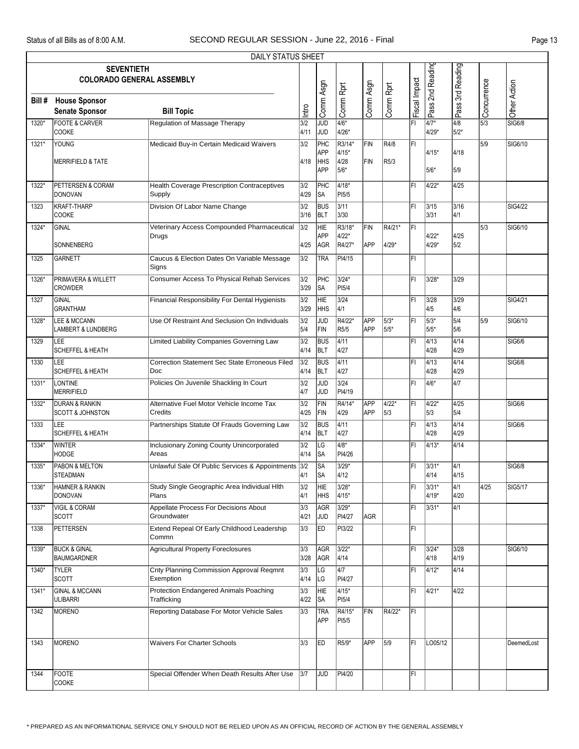r

|        |                                                          | DAILY STATUS SHEET                                           |                          |                          |                              |                   |                |               |                  |                          |                                     |                |
|--------|----------------------------------------------------------|--------------------------------------------------------------|--------------------------|--------------------------|------------------------------|-------------------|----------------|---------------|------------------|--------------------------|-------------------------------------|----------------|
|        | <b>SEVENTIETH</b><br><b>COLORADO GENERAL ASSEMBLY</b>    |                                                              |                          |                          |                              |                   |                |               |                  |                          |                                     |                |
| Bill # | <b>House Sponsor</b><br><b>Senate Sponsor</b>            | <b>Bill Topic</b>                                            | Intro                    | Comm Asgn                | Comm Rprt                    | Comm Asgn         | Comm Rprt      | Fiscal Impact | Pass 2nd Reading | Pass 3rd Reading         | Concurrence                         | Other Action   |
| 1320*  | <b>FOOTE &amp; CARVER</b><br><b>COOKE</b>                | <b>Regulation of Massage Therapy</b>                         | $\overline{3/2}$<br>4/11 | <b>JUD</b><br>JUD        | $4/6*$<br>4/26*              |                   |                | Fi            | $4/7*$<br>4/29*  | $\sqrt{4/8}$<br>5/2*     | $\overline{\overline{\smash{5}}/3}$ | <b>SIG6/8</b>  |
| 1321*  | YOUNG                                                    | Medicaid Buy-in Certain Medicaid Waivers                     | 3/2                      | PHC<br>APP               | R3/14*<br>4/15*              | <b>FIN</b>        | R4/8           | İΕΙ           | 4/15*            | 4/18                     | 5/9                                 | SIG6/10        |
|        | <b>MERRIFIELD &amp; TATE</b>                             |                                                              | 4/18                     | <b>HHS</b><br><b>APP</b> | 4/28<br>5/6*                 | FIN               | R5/3           |               | 5/6*             | 5/9                      |                                     |                |
| 1322*  | PETTERSEN & CORAM<br>DONOVAN                             | <b>Health Coverage Prescription Contraceptives</b><br>Supply | 3/2<br>4/29              | PHC<br>SA                | $4/18*$<br>PI5/5             |                   |                | IFI           | $4/22*$          | $\sqrt{4/25}$            |                                     |                |
| 1323   | KRAFT-THARP<br><b>COOKE</b>                              | Division Of Labor Name Change                                | 3/2<br>3/16              | <b>BUS</b><br>BLT        | 3/11<br>3/30                 |                   |                | ΙFΙ           | 3/15<br>3/31     | 3/16<br>4/1              |                                     | <b>SIG4/22</b> |
| 1324*  | GINAL                                                    | Veterinary Access Compounded Pharmaceutical<br>Drugs         | 3/2                      | HIE<br>APP               | R3/18'<br>4/22*              | FIN               | R4/21*         | ΙFΙ           | $4/22*$          | 4/25                     | 5/3                                 | SIG6/10        |
|        | SONNENBERG                                               |                                                              | 4/25                     | AGR                      | R4/27*                       | APP               | 4/29*          |               | 4/29*            | 5/2                      |                                     |                |
| 1325   | <b>GARNETT</b>                                           | Caucus & Election Dates On Variable Message<br>Signs         | 3/2                      | <b>TRA</b>               | PI4/15                       |                   |                | ΙFΙ           |                  |                          |                                     |                |
| 1326*  | <b>PRIMAVERA &amp; WILLETT</b><br><b>CROWDER</b>         | Consumer Access To Physical Rehab Services                   | 3/2<br>3/29              | PHC<br>SA                | $3/24*$<br>PI <sub>5/4</sub> |                   |                | FI            | 3/28*            | $3/29$                   |                                     |                |
| 1327   | GINAL<br><b>GRANTHAM</b>                                 | Financial Responsibility For Dental Hygienists               | 3/2<br>3/29              | HIE<br><b>HHS</b>        | $3/24$<br>4/1                |                   |                | l۴ı           | 3/28<br>4/5      | 3/29<br>4/6              |                                     | SIG4/21        |
| 1328*  | LEE & MCCANN<br>LAMBERT & LUNDBERG                       | Use Of Restraint And Seclusion On Individuals                | 3/2<br>5/4               | <b>JUD</b><br>FIN        | R4/22*<br>R5/5               | APP<br>APP        | $5/3*$<br>5/5* | İΕΙ           | $15/3*$<br>5/5*  | 5/4<br>5/6               | 5/9                                 | SIG6/10        |
| 1329   | LEE<br><b>SCHEFFEL &amp; HEATH</b>                       | Limited Liability Companies Governing Law                    | 3/2<br>4/14              | <b>BUS</b><br>BLT        | 4/11<br>4/27                 |                   |                | İΕΙ           | 4/13<br>4/28     | 4/14<br>4/29             |                                     | <b>SIG6/6</b>  |
| 1330   | LEE<br><b>SCHEFFEL &amp; HEATH</b>                       | Correction Statement Sec State Erroneous Filed<br>Doc        | 3/2<br>4/14              | <b>BUS</b><br>BLT        | 4/11<br>4/27                 |                   |                | l۴ı           | 4/13<br>4/28     | 4/14<br>4/29             |                                     | SIG6/6         |
| 1331*  | LONTINE<br>MERRIFIELD                                    | Policies On Juvenile Shackling In Court                      | 3/2<br>4/7               | <b>JUD</b><br> JUD       | $3/24$<br>PI4/19             |                   |                | ΙFΙ           | $14/6*$          | $\sqrt{4/7}$             |                                     |                |
| 1332*  | <b>DURAN &amp; RANKIN</b><br><b>SCOTT &amp; JOHNSTON</b> | Alternative Fuel Motor Vehicle Income Tax<br>Credits         | 3/2<br>4/25              | FIN<br>FIN               | R4/14*<br>4/29               | APP<br><b>APP</b> | 4/22*<br>5/3   | İΕΙ           | 4/22*<br>5/3     | 4/25<br>5/4              |                                     | <b>SIG6/6</b>  |
| 1333   | LEE<br><b>SCHEFFEL &amp; HEATH</b>                       | Partnerships Statute Of Frauds Governing Law                 | 3/2<br>4/14              | <b>BUS</b><br><b>BLT</b> | 4/11<br>4/27                 |                   |                | ΙFΙ           | 4/13<br>4/28     | 4/14<br>4/29             |                                     | <b>SIG6/6</b>  |
| 1334*  | <b>WINTER</b><br><b>HODGE</b>                            | <b>Inclusionary Zoning County Unincorporated</b><br>Areas    | 3/2<br>4/14              | LG<br> SA                | $\sqrt{4/8^*}$<br>PI4/26     |                   |                | ΙFΙ           | $4/13*$          | 4/14                     |                                     |                |
| 1335*  | PABON & MELTON<br><b>STEADMAN</b>                        | Unlawful Sale Of Public Services & Appointments              | 3/2<br>4/1               | <b>SA</b><br><b>SA</b>   | $3/29*$<br>4/12              |                   |                | FL            | $3/31*$<br>4/14  | $\overline{4/1}$<br>4/15 |                                     | <b>SIG6/8</b>  |
| 1336*  | <b>HAMNER &amp; RANKIN</b><br>DONOVAN                    | Study Single Geographic Area Individual HIth<br>Plans        | 3/2<br>4/1               | HIE<br><b>HHS</b>        | 3/28*<br>4/15*               |                   |                | ΙFΙ           | 3/31*<br>4/19*   | $\sqrt{4/1}$<br>4/20     | 4/25                                | <b>SIG5/17</b> |
| 1337*  | <b>VIGIL &amp; CORAM</b><br><b>SCOTT</b>                 | Appellate Process For Decisions About<br>Groundwater         | 3/3<br>4/21              | AGR<br><b>JUD</b>        | $3/29*$<br>PI4/27            | AGR               |                | ΙFΙ           | 3/31*            | 4/1                      |                                     |                |
| 1338   | PETTERSEN                                                | Extend Repeal Of Early Childhood Leadership<br>Commn         | 3/3                      | <b>ED</b>                | PI3/22                       |                   |                | FI.           |                  |                          |                                     |                |
| 1339*  | <b>BUCK &amp; GINAL</b><br><b>BAUMGARDNER</b>            | <b>Agricultural Property Foreclosures</b>                    | 3/3<br>3/28              | AGR<br>AGR               | 3/22*<br>4/14                |                   |                | ΙFΙ           | 3/24*<br>4/18    | 3/28<br>4/19             |                                     | SIG6/10        |
| 1340*  | <b>TYLER</b><br><b>SCOTT</b>                             | <b>Cnty Planning Commission Approval Regmnt</b><br>Exemption | 3/3<br>4/14              | LG<br> LG                | 4/7<br>PI4/27                |                   |                | ΙFΙ           | 4/12*            | 4/14                     |                                     |                |
| 1341*  | <b>GINAL &amp; MCCANN</b><br><b>ULIBARRI</b>             | Protection Endangered Animals Poaching<br>Trafficking        | 3/3<br>4/22              | HIE<br><b>SA</b>         | 4/15*<br>PI5/4               |                   |                | FL            | $4/21*$          | 4/22                     |                                     |                |
| 1342   | MORENO                                                   | Reporting Database For Motor Vehicle Sales                   | 3/3                      | <b>TRA</b><br>APP        | R4/15*<br>PI5/5              | FIN               | R4/22*         | IFI.          |                  |                          |                                     |                |
| 1343   | MORENO                                                   | <b>Waivers For Charter Schools</b>                           | 3/3                      | <b>ED</b>                | R5/9*                        | <b>APP</b>        | $\sqrt{5/9}$   | FI.           | LO05/12          |                          |                                     | DeemedLost     |
| 1344   | FOOTE<br><b>COOKE</b>                                    | Special Offender When Death Results After Use                | 3/7                      | <b>JUD</b>               | PI4/20                       |                   |                | ΙFΙ           |                  |                          |                                     |                |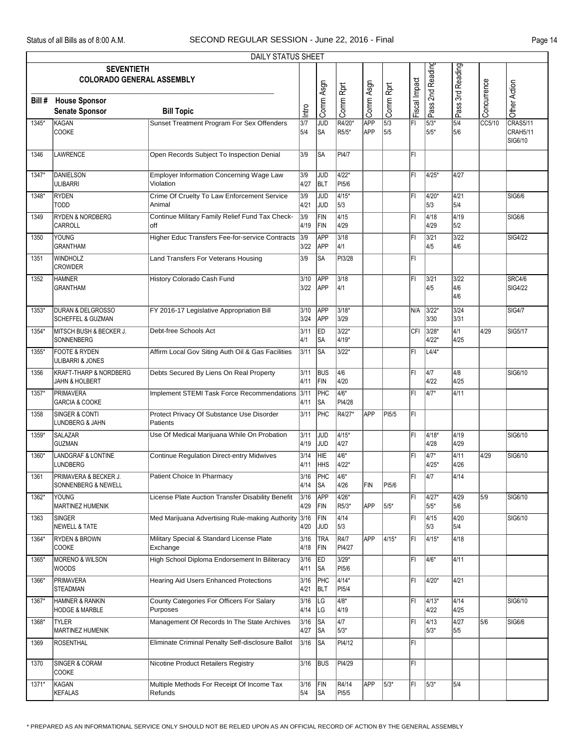|         | DAILY STATUS SHEET                                                 |                                                        |              |                          |                         |                   |                         |               |                   |                                            |             |                                        |
|---------|--------------------------------------------------------------------|--------------------------------------------------------|--------------|--------------------------|-------------------------|-------------------|-------------------------|---------------|-------------------|--------------------------------------------|-------------|----------------------------------------|
|         | <b>SEVENTIETH</b><br><b>COLORADO GENERAL ASSEMBLY</b>              |                                                        |              |                          |                         |                   |                         |               | Pass 2nd Reading  | Pass 3rd Reading                           |             |                                        |
| Bill #  | <b>House Sponsor</b><br><b>Senate Sponsor</b>                      | <b>Bill Topic</b>                                      | Intro        | Comm Asgn                | Comm Rprt               | Comm Asgn         | Comm Rprt               | Fiscal Impact |                   |                                            | Concurrence | Other Action                           |
| 1345*   | KAGAN<br><b>COOKE</b>                                              | Sunset Treatment Program For Sex Offenders             | 3/7<br>5/4   | <b>JUD</b><br>lsa        | R4/20*<br>R5/5*         | APP<br><b>APP</b> | $\overline{5/3}$<br>5/5 | l۴ı           | $5/3*$<br>$5/5*$  | $\overline{\overline{\frac{5}{4}}}$<br>5/6 | CC5/10      | CRAS5/11<br><b>CRAH5/11</b><br>SIG6/10 |
| 1346    | <b>LAWRENCE</b>                                                    | Open Records Subject To Inspection Denial              | 3/9          | lsa                      | PI4/7                   |                   |                         | FI            |                   |                                            |             |                                        |
| 1347*   | DANIELSON<br><b>ULIBARRI</b>                                       | Employer Information Concerning Wage Law<br>Violation  | 3/9<br>4/27  | <b>JUD</b><br><b>BLT</b> | 4/22*<br>PI5/6          |                   |                         | FI            | $4/25*$           | 4/27                                       |             |                                        |
| 1348*   | <b>RYDEN</b><br><b>TODD</b>                                        | Crime Of Cruelty To Law Enforcement Service<br>Animal  | 3/9<br>4/21  | JUD<br><b>JUD</b>        | $4/15*$<br>5/3          |                   |                         | l۴ı           | 4/20*<br>5/3      | 4/21<br>5/4                                |             | SIG6/6                                 |
| 1349    | <b>RYDEN &amp; NORDBERG</b><br><b>CARROLL</b>                      | Continue Military Family Relief Fund Tax Check-<br>off | 3/9<br>4/19  | FIN<br>FIN               | $\sqrt{4/15}$<br>4/29   |                   |                         | İΕΙ           | 4/18<br>4/29      | 4/19<br>5/2                                |             | <b>SIG6/6</b>                          |
| 1350    | YOUNG<br><b>GRANTHAM</b>                                           | Higher Educ Transfers Fee-for-service Contracts        | 3/9<br>3/22  | APP<br><b>APP</b>        | 3/18<br>4/1             |                   |                         | FI            | 3/21<br>4/5       | $3/22$<br>4/6                              |             | <b>SIG4/22</b>                         |
| 1351    | WINDHOLZ<br><b>CROWDER</b>                                         | Land Transfers For Veterans Housing                    | 3/9          | <b>SA</b>                | PI3/28                  |                   |                         | IF۱           |                   |                                            |             |                                        |
| 1352    | <b>HAMNER</b><br><b>GRANTHAM</b>                                   | History Colorado Cash Fund                             | 3/10<br>3/22 | APP<br>APP               | 3/18<br>4/1             |                   |                         | ΙFΙ           | 3/21<br>4/5       | 3/22<br>4/6<br>4/6                         |             | SRC4/6<br><b>SIG4/22</b>               |
| 1353*   | <b>DURAN &amp; DELGROSSO</b><br><b>SCHEFFEL &amp; GUZMAN</b>       | FY 2016-17 Legislative Appropriation Bill              | 3/10<br>3/24 | APP<br><b>APP</b>        | $3/18*$<br>3/29         |                   |                         | N/A           | $3/22*$<br>3/30   | $3/24$<br>3/31                             |             | <b>SIG4/7</b>                          |
| 1354*   | <b>MITSCH BUSH &amp; BECKER J.</b><br><b>SONNENBERG</b>            | Debt-free Schools Act                                  | 3/11<br>4/1  | ED<br> SA                | $3/22*$<br>4/19*        |                   |                         | CFI           | 3/28*<br>4/22*    | $\overline{4/1}$<br>4/25                   | 4/29        | <b>SIG5/17</b>                         |
| 1355*   | <b>FOOTE &amp; RYDEN</b><br>ULIBARRI & JONES                       | Affirm Local Gov Siting Auth Oil & Gas Facilities      | 3/11         | <b>SA</b>                | $3/22*$                 |                   |                         | l۴ı           | $L4/4*$           |                                            |             |                                        |
| 1356    | <b>KRAFT-THARP &amp; NORDBERG</b><br><b>JAHN &amp; HOLBERT</b>     | Debts Secured By Liens On Real Property                | 3/11<br>4/11 | <b>BUS</b><br>FIN        | 4/6<br>4/20             |                   |                         | FI            | 4/7<br>4/22       | 4/8<br>4/25                                |             | SIG6/10                                |
| $1357*$ | PRIMAVERA<br><b>GARCIA &amp; COOKE</b>                             | Implement STEMI Task Force Recommendations             | 3/11<br>4/11 | PHC<br> SA               | $4/6*$<br>PI4/28        |                   |                         | l۴ı           | 4/7*              | 4/11                                       |             |                                        |
| 1358    | <b>SINGER &amp; CONTI</b><br>LUNDBERG & JAHN                       | Protect Privacy Of Substance Use Disorder<br>Patients  | 3/11         | <b>PHC</b>               | R4/27*                  | <b>APP</b>        | PI5/5                   | l۴ı           |                   |                                            |             |                                        |
| 1359*   | SALAZAR<br><b>GUZMAN</b>                                           | Use Of Medical Marijuana While On Probation            | 3/11<br>4/19 | <b>JUD</b><br><b>JUD</b> | $4/15*$<br>4/27         |                   |                         | FI            | 4/18*<br>4/28     | 4/19<br>4/29                               |             | SIG6/10                                |
| 1360*   | <b>LANDGRAF &amp; LONTINE</b><br>LUNDBERG                          | <b>Continue Regulation Direct-entry Midwives</b>       | 3/14<br>4/11 | <b>HIE</b><br><b>HHS</b> | $\sqrt{4/6^*}$<br>4/22* |                   |                         | FI            | $4/7*$<br>$4/25*$ | 4/11<br>4/26                               | 4/29        | SIG6/10                                |
| 1361    | <b>PRIMAVERA &amp; BECKER J.</b><br><b>SONNENBERG &amp; NEWELL</b> | Patient Choice In Pharmacy                             | 3/16<br>4/14 | PHC<br><b>SA</b>         | $4/6*$<br>4/26          | FIN               | PI5/6                   | F             | $\overline{4/7}$  | $\sqrt{4/14}$                              |             |                                        |
| 1362*   | <b>YOUNG</b><br><b>MARTINEZ HUMENIK</b>                            | License Plate Auction Transfer Disability Benefit      | 3/16<br>4/29 | <b>APP</b><br>FIN        | 4/26*<br>R5/3*          | APP               | 5/5*                    | FI            | $4/27*$<br>$5/5*$ | 4/29<br>5/6                                | 5/9         | SIG6/10                                |
| 1363    | <b>SINGER</b><br><b>NEWELL &amp; TATE</b>                          | Med Marijuana Advertising Rule-making Authority 3/16   | 4/20         | FIN<br>JUD               | 4/14<br>5/3             |                   |                         | ΙFΙ           | 4/15<br>5/3       | 4/20<br>5/4                                |             | SIG6/10                                |
| 1364*   | <b>RYDEN &amp; BROWN</b><br><b>COOKE</b>                           | Military Special & Standard License Plate<br>Exchange  | 3/16<br>4/18 | <b>TRA</b><br>FIN        | R4/7<br>PI4/27          | APP               | 4/15*                   | ΙFΙ           | 4/15*             | 4/18                                       |             |                                        |
| 1365*   | <b>MORENO &amp; WILSON</b><br><b>WOODS</b>                         | High School Diploma Endorsement In Biliteracy          | 3/16<br>4/11 | <b>IED</b><br><b>SA</b>  | 3/29*<br>PI5/6          |                   |                         | FI            | 4/6*              | 4/11                                       |             |                                        |
| 1366*   | PRIMAVERA<br><b>STEADMAN</b>                                       | <b>Hearing Aid Users Enhanced Protections</b>          | 3/16<br>4/21 | PHC<br>BLT               | $4/14*$<br>PI5/4        |                   |                         | ΙFΙ           | 4/20*             | 4/21                                       |             |                                        |
| 1367*   | HAMNER & RANKIN<br><b>HODGE &amp; MARBLE</b>                       | County Categories For Officers For Salary<br>Purposes  | 3/16<br>4/14 | <b>LG</b><br> LG         | 4/8*<br>4/19            |                   |                         | ΙFΙ           | 4/13*<br>4/22     | 4/14<br>4/25                               |             | SIG6/10                                |
| 1368*   | <b>TYLER</b><br>MARTINEZ HUMENIK                                   | Management Of Records In The State Archives            | 3/16<br>4/27 | <b>SA</b><br> SA         | 4/7<br>5/3*             |                   |                         | FI            | 4/13<br>$5/3*$    | 4/27<br>5/5                                | 5/6         | SIG6/6                                 |
| 1369    | ROSENTHAL                                                          | Eliminate Criminal Penalty Self-disclosure Ballot      | 3/16         | <b>SA</b>                | PI4/12                  |                   |                         | FI            |                   |                                            |             |                                        |
| 1370    | <b>SINGER &amp; CORAM</b><br>COOKE                                 | <b>Nicotine Product Retailers Registry</b>             | 3/16         | <b>BUS</b>               | PI4/29                  |                   |                         | FI            |                   |                                            |             |                                        |
| 1371*   | KAGAN<br><b>KEFALAS</b>                                            | Multiple Methods For Receipt Of Income Tax<br>Refunds  | 3/16<br>5/4  | FIN<br> SA               | R4/14<br>PI5/5          | <b>APP</b>        | 5/3*                    | FI            | 5/3*              | 5/4                                        |             |                                        |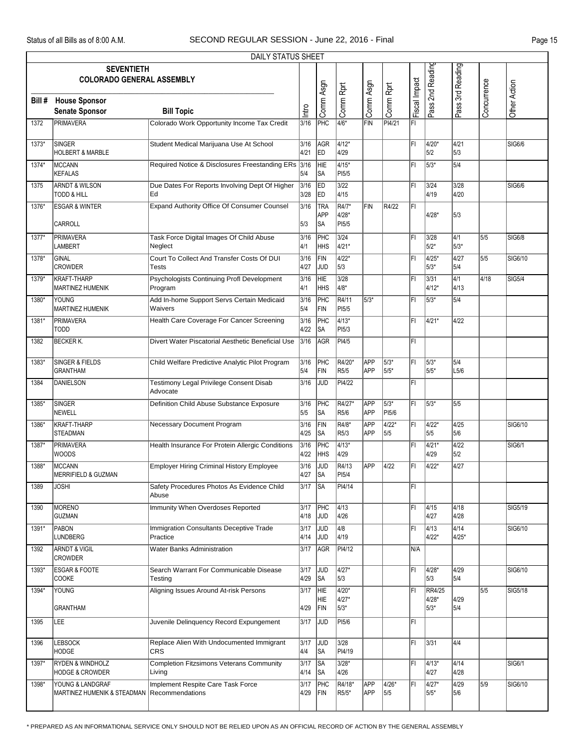|        |                                                           | <b>DAILY STATUS SHEET</b>                                    |                |                          |                              |                          |                 |               |                                    |                          |             |               |
|--------|-----------------------------------------------------------|--------------------------------------------------------------|----------------|--------------------------|------------------------------|--------------------------|-----------------|---------------|------------------------------------|--------------------------|-------------|---------------|
|        | <b>SEVENTIETH</b><br><b>COLORADO GENERAL ASSEMBLY</b>     |                                                              |                |                          |                              |                          |                 |               | Pass 2nd Reading                   | Pass 3rd Reading         |             |               |
| Bill # | <b>House Sponsor</b><br><b>Senate Sponsor</b>             | <b>Bill Topic</b>                                            | Intro          | Comm Asgn                | Comm Rprt                    | Comm Asgn                | Comm Rprt       | Fiscal Impact |                                    |                          | Concurrence | Other Action  |
| 1372   | <b>PRIMAVERA</b>                                          | Colorado Work Opportunity Income Tax Credit                  | 3/16           | PHC                      | $4/6*$                       | FIN                      | PI4/21          | FI            |                                    |                          |             |               |
| 1373*  | <b>SINGER</b><br><b>HOLBERT &amp; MARBLE</b>              | Student Medical Marijuana Use At School                      | 3/16<br>4/21   | AGR<br>ED                | $4/12*$<br>4/29              |                          |                 | FI            | 4/20*<br>5/2                       | 4/21<br>5/3              |             | SIG6/6        |
| 1374*  | MCCANN<br><b>KEFALAS</b>                                  | Required Notice & Disclosures Freestanding ERs 3/16          | 5/4            | <b>HIE</b><br> SA        | $4/15*$<br>PI5/5             |                          |                 | FI            | 5/3*                               | 5/4                      |             |               |
| 1375   | <b>ARNDT &amp; WILSON</b><br><b>TODD &amp; HILL</b>       | Due Dates For Reports Involving Dept Of Higher<br>Ed         | 3/16<br>3/28   | ED<br><b>IED</b>         | $3/22$<br>4/15               |                          |                 | FI            | 3/24<br>4/19                       | 3/28<br>4/20             |             | SIG6/6        |
| 1376*  | <b>ESGAR &amp; WINTER</b><br>CARROLL                      | Expand Authority Office Of Consumer Counsel                  | 3/16<br>5/3    | TRA<br><b>APP</b><br>lsa | R4/7*<br>4/28*<br>PI5/5      | FIN                      | R4/22           | ΙFΙ           | 4/28*                              | 5/3                      |             |               |
| 1377*  | <b>PRIMAVERA</b><br><b>LAMBERT</b>                        | Task Force Digital Images Of Child Abuse<br>Neglect          | 3/16<br>4/1    | PHC<br><b>HHS</b>        | $3/24$<br>4/21*              |                          |                 | FI            | 3/28<br>$5/2*$                     | $\sqrt{4/1}$<br>5/3*     | 5/5         | <b>SIG6/8</b> |
| 1378*  | <b>GINAL</b><br><b>CROWDER</b>                            | Court To Collect And Transfer Costs Of DUI<br>Tests          | 3/16<br>4/27   | FIN<br><b>JUD</b>        | $4/22*$<br>5/3               |                          |                 | ΙFΙ           | $4/25*$<br>$5/3*$                  | $\sqrt{4/27}$<br>5/4     | 5/5         | SIG6/10       |
| 1379*  | <b>KRAFT-THARP</b><br>MARTINEZ HUMENIK                    | <b>Psychologists Continuing Profl Development</b><br>Program | 3/16<br>4/1    | HIE<br><b>HHS</b>        | $3/28$<br>4/8*               |                          |                 | FI            | 3/31<br>$4/12*$                    | $\overline{4/1}$<br>4/13 | 4/18        | SIG5/4        |
| 1380*  | <b>YOUNG</b><br><b>MARTINEZ HUMENIK</b>                   | Add In-home Support Servs Certain Medicaid<br>Waivers        | 3/16<br>5/4    | PHC<br>FIN               | R4/11<br>PI <sub>5/5</sub>   | 5/3*                     |                 | FI            | $5/3*$                             | 5/4                      |             |               |
| 1381*  | PRIMAVERA<br><b>TODD</b>                                  | Health Care Coverage For Cancer Screening                    | 3/16<br>4/22   | PHC<br><b>SA</b>         | $4/13*$<br>PI <sub>5/3</sub> |                          |                 | ΙFΙ           | 4/21*                              | 4/22                     |             |               |
| 1382   | <b>BECKER K.</b>                                          | Divert Water Piscatorial Aesthetic Beneficial Use            | 3/16           | AGR                      | PI4/5                        |                          |                 | FI            |                                    |                          |             |               |
| 1383*  | <b>SINGER &amp; FIELDS</b><br><b>GRANTHAM</b>             | Child Welfare Predictive Analytic Pilot Program              | 3/16<br>5/4    | PHC<br>FIN               | R4/20*<br>R5/5               | <b>APP</b><br><b>APP</b> | 5/3*<br>5/5*    | FI            | 5/3*<br>5/5*                       | 5/4<br>L5/6              |             |               |
| 1384   | <b>DANIELSON</b>                                          | Testimony Legal Privilege Consent Disab<br>Advocate          | 3/16           | <b>JUD</b>               | PI4/22                       |                          |                 | IF۱           |                                    |                          |             |               |
| 1385*  | <b>SINGER</b><br><b>NEWELL</b>                            | Definition Child Abuse Substance Exposure                    | 3/16<br>5/5    | PHC<br> SA               | R4/27*<br>R <sub>5/6</sub>   | APP<br><b>APP</b>        | $5/3*$<br>PI5/6 | FI            | $5/3*$                             | 5/5                      |             |               |
| 1386*  | <b>KRAFT-THARP</b><br><b>STEADMAN</b>                     | Necessary Document Program                                   | 3/16<br>4/25   | FIN<br> SA               | R4/8*<br>R <sub>5</sub> /3   | <b>APP</b><br><b>APP</b> | $4/22*$<br>5/5  | FI            | $4/22*$<br>5/5                     | 4/25<br>5/6              |             | SIG6/10       |
| 1387*  | PRIMAVERA<br><b>WOODS</b>                                 | Health Insurance For Protein Allergic Conditions             | 3/16<br>4/22   | PHC<br><b>HHS</b>        | $4/13*$<br>4/29              |                          |                 | ΙFΙ           | $4/21*$<br>4/29                    | 4/22<br>5/2              |             | SIG6/1        |
| 1388*  | <b>MCCANN</b><br>MERRIFIELD & GUZMAN                      | <b>Employer Hiring Criminal History Employee</b>             | 3/16<br>4/27   | JUD<br>lsa               | R4/13<br>PI5/4               | APP                      | 4/22            | FI            | $4/22*$                            | 4/27                     |             |               |
| 1389   | <b>JOSHI</b>                                              | Safety Procedures Photos As Evidence Child<br>Abuse          | 3/17           | <b>SA</b>                | PI4/14                       |                          |                 | FI            |                                    |                          |             |               |
| 1390   | MORENO<br><b>GUZMAN</b>                                   | Immunity When Overdoses Reported                             | 3/17<br>4/18   | PHC<br>JUD               | $\sqrt{4/13}$<br>4/26        |                          |                 | FI            | 4/15<br>4/27                       | 4/18<br>4/28             |             | SIG5/19       |
| 1391*  | PABON<br><b>LUNDBERG</b>                                  | Immigration Consultants Deceptive Trade<br>Practice          | 3/17<br>4/14   | JUD<br>JUD               | 4/8<br>4/19                  |                          |                 | FI            | 4/13<br>4/22*                      | 4/14<br>4/25*            |             | SIG6/10       |
| 1392   | <b>ARNDT &amp; VIGIL</b><br>CROWDER                       | <b>Water Banks Administration</b>                            | 3/17           | <b>AGR</b>               | PI4/12                       |                          |                 | N/A           |                                    |                          |             |               |
| 1393*  | <b>ESGAR &amp; FOOTE</b><br>COOKE                         | Search Warrant For Communicable Disease<br>Testing           | 3/17<br>4/29   | <b>JUD</b><br><b>SA</b>  | $4/27*$<br>5/3               |                          |                 | FI            | 4/28*<br>5/3                       | 4/29<br>5/4              |             | SIG6/10       |
| 1394*  | YOUNG<br><b>GRANTHAM</b>                                  | Aligning Issues Around At-risk Persons                       | 3/17<br>4/29   | <b>HIE</b><br>HIE<br>FIN | $4/20*$<br>4/27*<br>5/3*     |                          |                 | FI            | <b>RR4/25</b><br>$4/28*$<br>$5/3*$ | 4/29<br>5/4              | 5/5         | SIG5/18       |
| 1395   | LEE                                                       | Juvenile Delinquency Record Expungement                      | 3/17           | <b>JUD</b>               | PI <sub>5/6</sub>            |                          |                 | FL            |                                    |                          |             |               |
| 1396   | <b>LEBSOCK</b><br><b>HODGE</b>                            | Replace Alien With Undocumented Immigrant<br><b>CRS</b>      | $3/17$<br>4/4  | JUD<br><b>SA</b>         | 3/28<br>PI4/19               |                          |                 | FI            | 3/31                               | $\overline{4/4}$         |             |               |
| 1397*  | <b>RYDEN &amp; WINDHOLZ</b><br><b>HODGE &amp; CROWDER</b> | <b>Completion Fitzsimons Veterans Community</b><br>Living    | $3/17$<br>4/14 | <b>SA</b><br><b>SA</b>   | $3/28*$<br>4/26              |                          |                 | FI            | 4/13*<br>4/27                      | 4/14<br>4/28             |             | SIG6/1        |
| 1398*  | YOUNG & LANDGRAF<br>MARTINEZ HUMENIK & STEADMAN           | Implement Respite Care Task Force<br><b>Recommendations</b>  | 3/17<br>4/29   | PHC<br>FIN               | R4/18*<br>R5/5*              | <b>APP</b><br>APP        | 4/26*<br>5/5    | FI            | 4/27*<br>$5/5*$                    | 4/29<br>5/6              | 5/9         | SIG6/10       |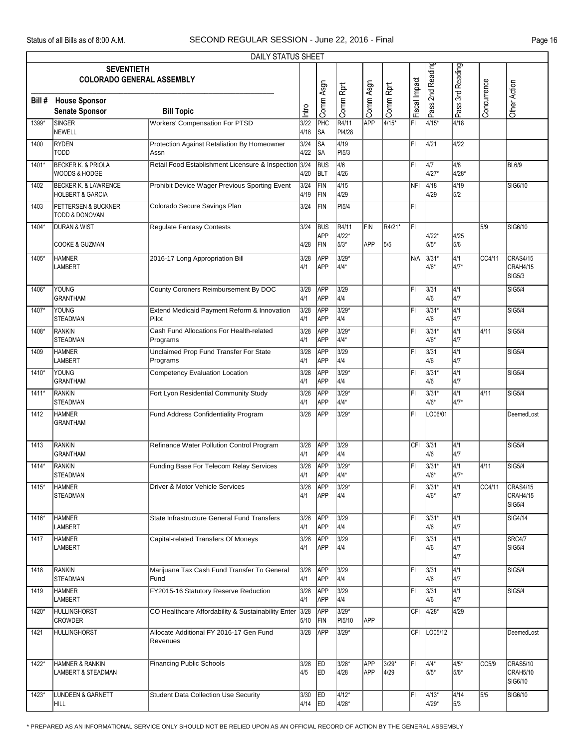|        |                                                                | DAILY STATUS SHEET                                   |               |                          |                        |                   |                 |               |                   |                                |             |                                              |
|--------|----------------------------------------------------------------|------------------------------------------------------|---------------|--------------------------|------------------------|-------------------|-----------------|---------------|-------------------|--------------------------------|-------------|----------------------------------------------|
|        | <b>SEVENTIETH</b>                                              | <b>COLORADO GENERAL ASSEMBLY</b>                     |               |                          |                        |                   |                 |               | Pass 2nd Reading  | Pass 3rd Reading               |             |                                              |
| Bill # | <b>House Sponsor</b><br><b>Senate Sponsor</b>                  | <b>Bill Topic</b>                                    | htro          | Comm Asgn                | Comm Rprt              | Comm Asgn         | Comm Rprt       | Fiscal Impact |                   |                                | Concurrence | Other Action                                 |
| 1399*  | <b>SINGER</b><br>NEWELL                                        | <b>Workers' Compensation For PTSD</b>                | 3/22<br>4/18  | PHC<br>lsa               | R4/11<br>PI4/28        | APP               | 4/15*           | FI            | $4/15*$           | 4/18                           |             |                                              |
| 1400   | <b>RYDEN</b><br><b>TODD</b>                                    | Protection Against Retaliation By Homeowner<br>Assn  | 3/24<br>4/22  | <b>SA</b><br> SA         | $\sqrt{4/19}$<br>PI5/3 |                   |                 | FL            | 4/21              | 4/22                           |             |                                              |
| 1401*  | <b>BECKER K. &amp; PRIOLA</b><br>WOODS & HODGE                 | Retail Food Establishment Licensure & Inspection     | 3/24<br>4/20  | <b>BUS</b><br>BLT        | 4/6<br>4/26            |                   |                 | FI            | 4/7<br>$4/27*$    | 4/8<br>4/28*                   |             | BL6/9                                        |
| 1402   | <b>BECKER K. &amp; LAWRENCE</b><br><b>HOLBERT &amp; GARCIA</b> | Prohibit Device Wager Previous Sporting Event        | 3/24<br>4/19  | FIN<br>FIN               | 4/15<br>4/29           |                   |                 | NFI           | 4/18<br>4/29      | 4/19<br>5/2                    |             | SIG6/10                                      |
| 1403   | <b>PETTERSEN &amp; BUCKNER</b><br>TODD & DONOVAN               | Colorado Secure Savings Plan                         | 3/24          | FIN                      | PI5/4                  |                   |                 | FI            |                   |                                |             |                                              |
| 1404*  | <b>DURAN &amp; WIST</b><br><b>COOKE &amp; GUZMAN</b>           | <b>Regulate Fantasy Contests</b>                     | 3/24<br>4/28  | <b>BUS</b><br>APP<br>FIN | R4/11<br>4/22*<br>5/3* | FIN<br><b>APP</b> | R4/21*<br>5/5   | l۴ı           | $4/22*$<br>$5/5*$ | 4/25<br>5/6                    | 5/9         | SIG6/10                                      |
| 1405*  | <b>HAMNER</b><br>LAMBERT                                       | 2016-17 Long Appropriation Bill                      | 3/28<br>4/1   | <b>APP</b><br><b>APP</b> | $3/29*$<br>4/4*        |                   |                 | N/A           | 3/31*<br>$4/6*$   | $\overline{4/1}$<br>4/7*       | CC4/11      | CRAS4/15<br><b>CRAH4/15</b><br><b>SIG5/3</b> |
| 1406*  | YOUNG<br><b>GRANTHAM</b>                                       | County Coroners Reimbursement By DOC                 | 3/28<br>4/1   | APP<br>APP               | $3/29$<br>4/4          |                   |                 | ΙFΙ           | 3/31<br>4/6       | 4/1<br>4/7                     |             | SIG5/4                                       |
| 1407*  | YOUNG<br><b>STEADMAN</b>                                       | Extend Medicaid Payment Reform & Innovation<br>Pilot | 3/28<br>4/1   | APP<br><b>APP</b>        | $3/29*$<br>4/4         |                   |                 | FI            | 3/31*<br>4/6      | $\sqrt{4/1}$<br>4/7            |             | SIG5/4                                       |
| 1408*  | <b>RANKIN</b><br><b>STEADMAN</b>                               | Cash Fund Allocations For Health-related<br>Programs | 3/28<br>4/1   | APP<br><b>APP</b>        | $3/29*$<br>4/4*        |                   |                 | FI            | 3/31*<br>$4/6*$   | $\overline{4/1}$<br>4/7        | 4/11        | SIG5/4                                       |
| 1409   | <b>HAMNER</b><br><b>LAMBERT</b>                                | Unclaimed Prop Fund Transfer For State<br>Programs   | 3/28<br>4/1   | APP<br>APP               | 3/29<br>4/4            |                   |                 | ΙFΙ           | 3/31<br>4/6       | $\overline{4/1}$<br>4/7        |             | SIG5/4                                       |
| 1410*  | YOUNG<br><b>GRANTHAM</b>                                       | <b>Competency Evaluation Location</b>                | 3/28<br>4/1   | <b>APP</b><br><b>APP</b> | $3/29*$<br>4/4         |                   |                 | FI            | 3/31*<br>4/6      | $\overline{4/1}$<br>4/7        |             | SIG5/4                                       |
| 1411*  | RANKIN<br><b>STEADMAN</b>                                      | Fort Lyon Residential Community Study                | 3/28<br>4/1   | APP<br><b>APP</b>        | 3/29*<br>4/4*          |                   |                 | FI            | 3/31*<br>$4/6*$   | $\overline{4/1}$<br>4/7*       | 4/11        | SIG5/4                                       |
| 1412   | <b>HAMNER</b><br><b>GRANTHAM</b>                               | Fund Address Confidentiality Program                 | 3/28          | <b>APP</b>               | 3/29*                  |                   |                 | FI            | LO06/01           |                                |             | DeemedLost                                   |
| 1413   | <b>RANKIN</b><br><b>GRANTHAM</b>                               | Refinance Water Pollution Control Program            | 3/28<br>4/1   | APP<br><b>APP</b>        | 3/29<br>4/4            |                   |                 | CFI           | 3/31<br>4/6       | 4/1<br>4/7                     |             | SIG5/4                                       |
| 1414*  | RANKIN<br>STEADMAN                                             | Funding Base For Telecom Relay Services              | 3/28<br>4/1   | APP<br><b>APP</b>        | $3/29*$<br>4/4*        |                   |                 | FI            | $3/31*$<br>4/6*   | $\sqrt{4/1}$<br>4/7*           | 4/11        | SIG5/4                                       |
| 1415*  | <b>HAMNER</b><br><b>STEADMAN</b>                               | Driver & Motor Vehicle Services                      | $3/28$<br>4/1 | <b>APP</b><br><b>APP</b> | $3/29*$<br>4/4         |                   |                 | FI            | 3/31*<br>4/6*     | $\sqrt{4/1}$<br>4/7            | CC4/11      | CRAS4/15<br>CRAH4/15<br>SIG5/4               |
| 1416*  | <b>HAMNER</b><br>LAMBERT                                       | State Infrastructure General Fund Transfers          | 3/28<br>4/1   | APP<br>APP               | 3/29<br>4/4            |                   |                 | FI            | 3/31*<br>4/6      | $\sqrt{4/1}$<br>4/7            |             | SIG4/14                                      |
| 1417   | <b>HAMNER</b><br><b>LAMBERT</b>                                | Capital-related Transfers Of Moneys                  | $3/28$<br>4/1 | APP<br><b>APP</b>        | 3/29<br>4/4            |                   |                 | ΙFΙ           | 3/31<br>4/6       | $\overline{4/1}$<br>4/7<br>4/7 |             | SRC4/7<br>SIG5/4                             |
| 1418   | RANKIN<br><b>STEADMAN</b>                                      | Marijuana Tax Cash Fund Transfer To General<br>Fund  | 3/28<br>4/1   | <b>APP</b><br>APP        | 3/29<br>4/4            |                   |                 | ΙFΙ           | 3/31<br>4/6       | $\overline{4/1}$<br>4/7        |             | SIG5/4                                       |
| 1419   | <b>HAMNER</b><br><b>LAMBERT</b>                                | FY2015-16 Statutory Reserve Reduction                | 3/28<br>4/1   | <b>APP</b><br>APP        | 3/29<br>4/4            |                   |                 | FI            | $3/31$<br>4/6     | $\sqrt{4/1}$<br>4/7            |             | SIG5/4                                       |
| 1420*  | <b>HULLINGHORST</b><br><b>CROWDER</b>                          | CO Healthcare Affordability & Sustainability Enter   | 3/28<br>5/10  | <b>APP</b><br>FIN        | $3/29*$<br>PI5/10      | <b>APP</b>        |                 | CFI           | 4/28*             | 4/29                           |             |                                              |
| 1421   | HULLINGHORST                                                   | Allocate Additional FY 2016-17 Gen Fund<br>Revenues  | 3/28          | APP                      | $3/29*$                |                   |                 |               | CFI LO05/12       |                                |             | DeemedLost                                   |
| 1422*  | HAMNER & RANKIN<br>LAMBERT & STEADMAN                          | <b>Financing Public Schools</b>                      | 3/28<br>4/5   | ED<br>led.               | $3/28*$<br>4/28        | <b>APP</b><br>APP | $3/29*$<br>4/29 | FL            | $4/4*$<br>$5/5*$  | 4/5*<br>5/6*                   | CC5/9       | CRAS5/10<br><b>CRAH5/10</b><br>SIG6/10       |
| 1423*  | LUNDEEN & GARNETT<br>HILL                                      | <b>Student Data Collection Use Security</b>          | 3/30<br>4/14  | <b>IED</b><br><b>ED</b>  | 4/12*<br>4/28*         |                   |                 | FI            | 4/13*<br>$4/29*$  | 4/14<br>5/3                    | 5/5         | SIG6/10                                      |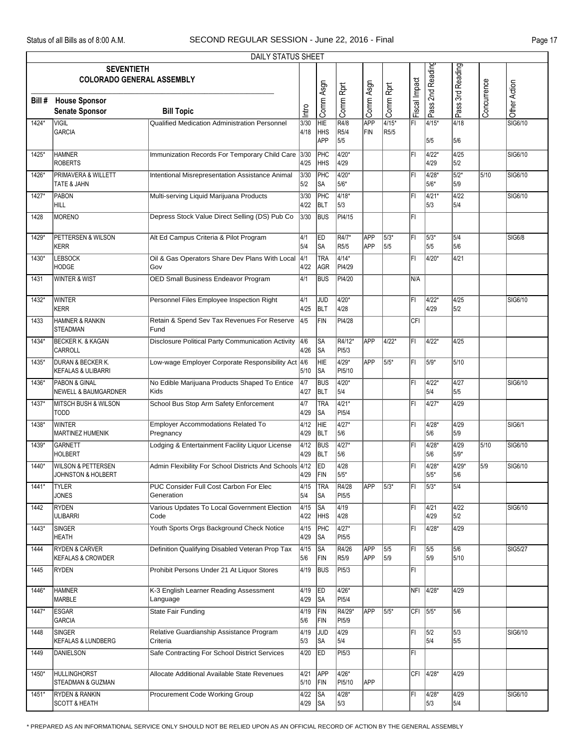|        |                                                | DAILY STATUS SHEET                                       |              |                               |                  |            |                             |               |                  |                  |             |                |
|--------|------------------------------------------------|----------------------------------------------------------|--------------|-------------------------------|------------------|------------|-----------------------------|---------------|------------------|------------------|-------------|----------------|
|        | <b>SEVENTIETH</b>                              |                                                          |              |                               |                  |            |                             |               |                  |                  |             |                |
|        | <b>COLORADO GENERAL ASSEMBLY</b>               |                                                          |              |                               |                  |            |                             |               | Pass 2nd Reading | Pass 3rd Reading |             |                |
|        |                                                |                                                          |              | Comm Asgn                     | Comm Rprt        | Comm Asgn  | Comm Rprt                   | Fiscal Impact |                  |                  | Concurrence | Other Action   |
| Bill # | <b>House Sponsor</b>                           |                                                          |              |                               |                  |            |                             |               |                  |                  |             |                |
|        | <b>Senate Sponsor</b>                          | <b>Bill Topic</b>                                        | Intro        |                               |                  |            |                             |               |                  |                  |             |                |
| 1424*  | <b>VIGIL</b><br><b>GARCIA</b>                  | Qualified Medication Administration Personnel            | 3/30<br>4/18 | $\overline{\text{HE}}$<br>HHS | R4/8<br>R5/4     | APP<br>FIN | $4/15*$<br>R <sub>5/5</sub> | l۴ı           | 4/15*            | 4/18             |             | SIG6/10        |
|        |                                                |                                                          |              | <b>APP</b>                    | 5/5              |            |                             |               | 5/5              | 5/6              |             |                |
| 1425*  | <b>HAMNER</b>                                  | Immunization Records For Temporary Child Care            | 3/30         | PHC                           | $4/20*$          |            |                             | ΙFΙ           | 4/22*            | 4/25             |             | SIG6/10        |
|        | <b>ROBERTS</b>                                 |                                                          | 4/25         | <b>HHS</b>                    | 4/29             |            |                             |               | 4/29             | 5/2              |             |                |
| 1426*  | PRIMAVERA & WILLETT                            | Intentional Misrepresentation Assistance Animal          | 3/30         | PHC                           | $4/20*$          |            |                             | FI            | 4/28*            | $5/2*$           | 5/10        | SIG6/10        |
|        | TATE & JAHN                                    |                                                          | 5/2          | SA                            | 5/6*             |            |                             |               | 5/6*             | 5/9              |             |                |
| 1427*  | PABON                                          | Multi-serving Liquid Marijuana Products                  | 3/30         | PHC                           | $4/18*$          |            |                             | FI            | 4/21*            | 4/22             |             | SIG6/10        |
|        | HILL                                           |                                                          | 4/22         | blt                           | 5/3              |            |                             |               | 5/3              | 5/4              |             |                |
| 1428   | MORENO                                         | Depress Stock Value Direct Selling (DS) Pub Co           | 3/30         | <b>BUS</b>                    | PI4/15           |            |                             | ΙFΙ           |                  |                  |             |                |
|        |                                                |                                                          |              |                               |                  | APP        |                             |               |                  |                  |             |                |
| 1429*  | PETTERSEN & WILSON<br><b>KERR</b>              | Alt Ed Campus Criteria & Pilot Program                   | 4/1<br>5/4   | <b>ED</b><br> SA              | R4/7*<br>R5/5    | <b>APP</b> | 5/3*<br>5/5                 | İΕΙ           | 5/3*<br>5/5      | 5/4<br>5/6       |             | <b>SIG6/8</b>  |
| 1430*  | <b>LEBSOCK</b>                                 | Oil & Gas Operators Share Dev Plans With Local 4/1       |              | <b>TRA</b>                    | $4/14*$          |            |                             | ΙFΙ           | 4/20*            | 4/21             |             |                |
|        | HODGE                                          | Gov                                                      | 4/22         | AGR                           | PI4/29           |            |                             |               |                  |                  |             |                |
| 1431   | <b>WINTER &amp; WIST</b>                       | OED Small Business Endeavor Program                      | 4/1          | <b>BUS</b>                    | PI4/20           |            |                             | IN/A          |                  |                  |             |                |
|        |                                                |                                                          |              |                               |                  |            |                             |               |                  |                  |             |                |
| 1432*  | <b>WINTER</b>                                  | Personnel Files Employee Inspection Right                | 4/1          | JUD                           | 4/20*            |            |                             | FI            | 4/22*            | 4/25             |             | SIG6/10        |
|        | <b>KERR</b>                                    |                                                          | 4/25         | <b>BLT</b>                    | 4/28             |            |                             |               | 4/29             | 5/2              |             |                |
| 1433   | <b>HAMNER &amp; RANKIN</b><br><b>STEADMAN</b>  | Retain & Spend Sev Tax Revenues For Reserve<br>Fund      | 4/5          | FIN                           | PI4/28           |            |                             | CFI           |                  |                  |             |                |
|        |                                                |                                                          |              |                               |                  |            |                             |               |                  |                  |             |                |
| 1434*  | <b>BECKER K. &amp; KAGAN</b><br>CARROLL        | <b>Disclosure Political Party Communication Activity</b> | 4/6<br>4/26  | <b>SA</b><br>∣SA              | R4/12*<br>PI5/3  | APP        | 4/22*                       | ĪFI           | $4/22*$          | 4/25             |             |                |
| 1435*  | <b>DURAN &amp; BECKER K.</b>                   | Low-wage Employer Corporate Responsibility Act 4/6       |              | HIE                           | $4/29*$          | APP        | 5/5*                        | FL            | 5/9*             | 5/10             |             |                |
|        | <b>KEFALAS &amp; ULIBARRI</b>                  |                                                          | 5/10         | SA                            | PI5/10           |            |                             |               |                  |                  |             |                |
| 1436*  | PABON & GINAL                                  | No Edible Marijuana Products Shaped To Entice            | 4/7          | <b>BUS</b>                    | $4/20*$          |            |                             | ΙFΙ           | 4/22*            | 4/27             |             | SIG6/10        |
|        | <b>NEWELL &amp; BAUMGARDNER</b>                | <b>Kids</b>                                              | 4/27         | BLT                           | 5/4              |            |                             |               | 5/4              | 5/5              |             |                |
| 1437*  | <b>MITSCH BUSH &amp; WILSON</b>                | School Bus Stop Arm Safety Enforcement                   | 4/7          | <b>TRA</b>                    | $4/21*$          |            |                             | ΙFΙ           | $14/27*$         | 4/29             |             |                |
|        | <b>TODD</b>                                    |                                                          | 4/29         | SA                            | PI5/4            |            |                             |               |                  |                  |             |                |
| 1438*  | <b>WINTER</b>                                  | Employer Accommodations Related To<br>Pregnancy          | 4/12         | HIE<br><b>BLT</b>             | $4/27*$<br>5/6   |            |                             | FL            | 4/28*<br>5/6     | 4/29<br>5/9      |             | <b>SIG6/1</b>  |
| 1439*  | <b>MARTINEZ HUMENIK</b>                        | Lodging & Entertainment Facility Liquor License          | 4/29<br>4/12 | <b>BUS</b>                    | $4/27*$          |            |                             | ΙFΙ           | 4/28*            | 4/29             | 5/10        | SIG6/10        |
|        | GARNETT<br><b>HOLBERT</b>                      |                                                          | 4/29         | <b>BLT</b>                    | 5/6              |            |                             |               | 5/6              | $5/9*$           |             |                |
| 1440*  | <b>WILSON &amp; PETTERSEN</b>                  | Admin Flexibility For School Districts And Schools 4/12  |              | ED                            | 4/28             |            |                             | FI            | $4/28*$          | $4/29*$          | 5/9         | SIG6/10        |
|        | JOHNSTON & HOLBERT                             |                                                          | 4/29         | FIN                           | 5/5*             |            |                             |               | 5/5*             | 5/6              |             |                |
| 1441*  | <b>TYLER</b>                                   | PUC Consider Full Cost Carbon For Elec                   | 4/15         | <b>TRA</b>                    | R4/28            | APP        | $5/3*$                      | FL            | $ 5/3*$          | 5/4              |             |                |
|        | <b>JONES</b>                                   | Generation                                               | 5/4          | ∣SA                           | PI5/5            |            |                             |               |                  |                  |             |                |
| 1442   | <b>RYDEN</b>                                   | Various Updates To Local Government Election             | 4/15         | <b>SA</b>                     | 4/19             |            |                             | ΙFΙ           | 4/21             | 4/22             |             | SIG6/10        |
|        | <b>ULIBARRI</b>                                | Code                                                     | 4/22         | HHS                           | 4/28             |            |                             |               | 4/29             | 5/2              |             |                |
| 1443*  | SINGER<br>HEATH                                | Youth Sports Orgs Background Check Notice                | 4/15<br>4/29 | PHC<br>∥SA                    | $4/27*$<br>PI5/5 |            |                             | FI            | 4/28*            | 4/29             |             |                |
| 1444   | <b>RYDEN &amp; CARVER</b>                      | Definition Qualifying Disabled Veteran Prop Tax          | 4/15         | ∥SA                           | R4/26            | APP        | 5/5                         | ΙFΙ           | 5/5              | 5/6              |             | <b>SIG5/27</b> |
|        | <b>KEFALAS &amp; CROWDER</b>                   |                                                          | 5/6          | FIN                           | R <sub>5/9</sub> | APP        | 5/9                         |               | 5/9              | 5/10             |             |                |
| 1445   | <b>RYDEN</b>                                   | Prohibit Persons Under 21 At Liquor Stores               | 4/19         | <b>BUS</b>                    | PI5/3            |            |                             | FI            |                  |                  |             |                |
|        |                                                |                                                          |              |                               |                  |            |                             |               |                  |                  |             |                |
| 1446*  | <b>HAMNER</b>                                  | K-3 English Learner Reading Assessment                   | 4/19         | <b>ED</b>                     | 4/26*            |            |                             |               | NFI 4/28*        | 4/29             |             |                |
|        | MARBLE                                         | Language                                                 | 4/29         | <b>SA</b>                     | PI5/4            |            |                             |               |                  |                  |             |                |
| 1447*  | <b>ESGAR</b><br><b>GARCIA</b>                  | State Fair Funding                                       | 4/19<br>5/6  | FIN<br>FIN                    | R4/29*<br>PI5/9  | APP        | 5/5*                        | CFI 5/5*      |                  | 5/6              |             |                |
|        |                                                |                                                          |              |                               |                  |            |                             |               |                  |                  |             |                |
| 1448   | <b>SINGER</b><br><b>KEFALAS &amp; LUNDBERG</b> | Relative Guardianship Assistance Program<br>Criteria     | 4/19<br>5/3  | <b>JUD</b><br> SA             | 4/29<br>5/4      |            |                             | ΙFΙ           | 5/2<br>5/4       | 5/3<br>5/5       |             | SIG6/10        |
| 1449   | DANIELSON                                      | Safe Contracting For School District Services            | 4/20         | <b>ED</b>                     | PI5/3            |            |                             | FL            |                  |                  |             |                |
|        |                                                |                                                          |              |                               |                  |            |                             |               |                  |                  |             |                |
| 1450*  | HULLINGHORST                                   | Allocate Additional Available State Revenues             | 4/21         | <b>APP</b>                    | 4/26*            |            |                             |               | CFI 4/28*        | 4/29             |             |                |
|        | <b>STEADMAN &amp; GUZMAN</b>                   |                                                          | 5/10         | FIN                           | PI5/10           | APP        |                             |               |                  |                  |             |                |
| 1451*  | <b>RYDEN &amp; RANKIN</b>                      | Procurement Code Working Group                           | 4/22         | $\overline{\text{SA}}$        | 4/28*            |            |                             | FI            | $4/28*$          | 4/29             |             | SIG6/10        |
|        | <b>SCOTT &amp; HEATH</b>                       |                                                          | $4/29$ SA    |                               | 5/3              |            |                             |               | 5/3              | 5/4              |             |                |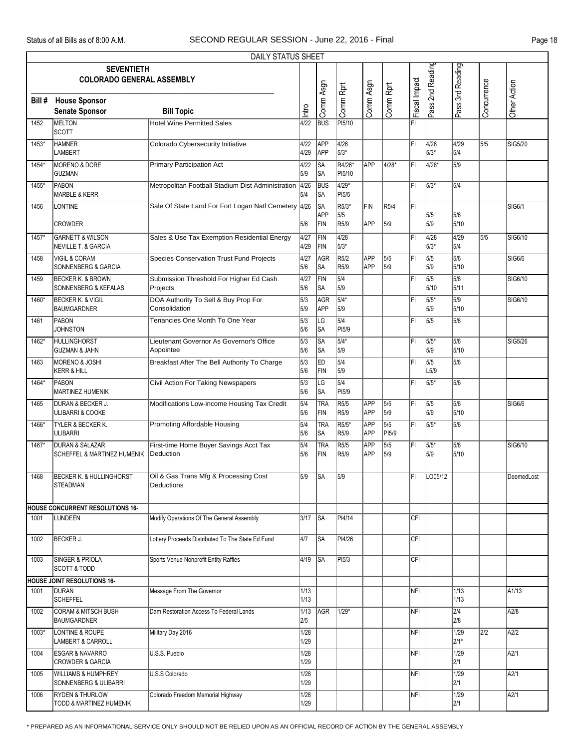|        |                                                                      | <b>DAILY STATUS SHEET</b>                             |                         |                           |                                 |                          |              |               |                  |                  |             |                |
|--------|----------------------------------------------------------------------|-------------------------------------------------------|-------------------------|---------------------------|---------------------------------|--------------------------|--------------|---------------|------------------|------------------|-------------|----------------|
|        | <b>SEVENTIETH</b>                                                    |                                                       |                         |                           |                                 |                          |              |               | Pass 2nd Reading |                  |             |                |
|        | <b>COLORADO GENERAL ASSEMBLY</b>                                     |                                                       |                         |                           |                                 |                          |              |               |                  | Pass 3rd Reading |             |                |
|        |                                                                      |                                                       |                         |                           |                                 |                          |              |               |                  |                  |             |                |
| Bill # | <b>House Sponsor</b>                                                 |                                                       |                         | Comm Asgn                 | Comm Rprt                       | Comm Asgn                | Comm Rprt    | Fiscal Impact |                  |                  | Concurrence | Other Action   |
|        | <b>Senate Sponsor</b>                                                | <b>Bill Topic</b>                                     | Intro                   |                           |                                 |                          |              |               |                  |                  |             |                |
| 1452   | MELTON<br><b>SCOTT</b>                                               | <b>Hotel Wine Permitted Sales</b>                     | 4/22                    | <b>BUS</b>                | PI5/10                          |                          |              | FI            |                  |                  |             |                |
| 1453*  | <b>HAMNER</b><br><b>LAMBERT</b>                                      | Colorado Cybersecurity Initiative                     | 4/22<br>4/29            | APP<br>APP                | 4/26<br>5/3*                    |                          |              | FI            | 4/28<br>$5/3*$   | 4/29<br>5/4      | 5/5         | SIG5/20        |
| 1454*  | <b>MORENO &amp; DORE</b><br><b>GUZMAN</b>                            | <b>Primary Participation Act</b>                      | 4/22<br>5/9             | SA<br> SA                 | R4/26*<br>PI5/10                | <b>APP</b>               | 4/28*        | İΕΙ           | 4/28*            | 5/9              |             |                |
| 1455*  | PABON<br><b>MARBLE &amp; KERR</b>                                    | Metropolitan Football Stadium Dist Administration     | 4/26<br>5/4             | <b>BUS</b><br>SA          | $4/29*$<br>PI5/5                |                          |              | FI            | 5/3*             | 5/4              |             |                |
| 1456   | LONTINE                                                              | Sale Of State Land For Fort Logan Natl Cemetery 4/26  |                         | SA<br><b>APP</b>          | R5/3*<br>5/5                    | FIN                      | R5/4         | ΙFΙ           | 5/5              | 5/6              |             | <b>SIG6/1</b>  |
|        | <b>CROWDER</b>                                                       |                                                       | 5/6                     | FIN                       | R5/9                            | <b>APP</b>               | 5/9          |               | 5/9              | 5/10             |             |                |
| 1457*  | <b>GARNETT &amp; WILSON</b><br><b>NEVILLE T. &amp; GARCIA</b>        | Sales & Use Tax Exemption Residential Energy          | 4/27<br>4/29            | FIN<br>FIN                | 4/28<br>5/3*                    |                          |              | FI            | 4/28<br>5/3*     | 4/29<br>5/4      | 5/5         | SIG6/10        |
| 1458   | <b>VIGIL &amp; CORAM</b><br>SONNENBERG & GARCIA                      | <b>Species Conservation Trust Fund Projects</b>       | 4/27<br>5/6             | AGR<br>SA                 | R5/2<br>R <sub>5/9</sub>        | <b>APP</b><br><b>APP</b> | 5/5<br>5/9   | ΙFΙ           | 5/5<br>5/9       | 5/6<br>5/10      |             | <b>SIG6/6</b>  |
| 1459   | <b>BECKER K. &amp; BROWN</b><br><b>SONNENBERG &amp; KEFALAS</b>      | Submission Threshold For Higher Ed Cash<br>Projects   | 4/27<br>5/6             | FIN<br> SA                | $\overline{\frac{5}{4}}$<br>5/9 |                          |              | ΙFΙ           | 5/5<br>5/10      | 5/6<br>5/11      |             | SIG6/10        |
| 1460*  | <b>BECKER K. &amp; VIGIL</b><br><b>BAUMGARDNER</b>                   | DOA Authority To Sell & Buy Prop For<br>Consolidation | $\sqrt{5/3}$<br>5/9     | AGR<br>APP                | $5/4*$<br>5/9                   |                          |              | FI            | 5/5*<br>5/9      | 5/9<br>5/10      |             | SIG6/10        |
| 1461   | PABON<br><b>JOHNSTON</b>                                             | Tenancies One Month To One Year                       | 5/3<br>5/6              | LG<br> SA                 | 5/4<br>PI5/9                    |                          |              | l۴ı           | 5/5              | 5/6              |             |                |
| 1462*  | HULLINGHORST<br><b>GUZMAN &amp; JAHN</b>                             | Lieutenant Governor As Governor's Office<br>Appointee | 5/3<br>5/6              | SA<br> SA                 | $\sqrt{5/4^*}$<br>5/9           |                          |              | FI            | 5/5*<br>5/9      | 5/6<br>5/10      |             | <b>SIG5/26</b> |
| 1463   | <b>MORENO &amp; JOSHI</b><br><b>KERR &amp; HILL</b>                  | Breakfast After The Bell Authority To Charge          | 5/3<br>5/6              | ED<br>FIN                 | $\overline{\frac{5}{4}}$<br>5/9 |                          |              | FI            | 5/5<br>L5/9      | 5/6              |             |                |
| 1464*  | PABON<br>MARTINEZ HUMENIK                                            | Civil Action For Taking Newspapers                    | 5/3<br>5/6              | LG<br>SA                  | 5/4<br>PI5/9                    |                          |              | l۴ı           | $5/5*$           | 5/6              |             |                |
| 1465   | <b>DURAN &amp; BECKER J.</b><br>ULIBARRI & COOKE                     | Modifications Low-income Housing Tax Credit           | $\overline{5/4}$<br>5/6 | <b>TRA</b><br>FIN         | R5/5<br>R5/9                    | APP<br><b>APP</b>        | 5/5<br>5/9   | ΙFΙ           | 5/5<br>5/9       | 5/6<br>5/10      |             | <b>SIG6/6</b>  |
| 1466*  | <b>TYLER &amp; BECKER K.</b><br><b>ULIBARRI</b>                      | Promoting Affordable Housing                          | 5/4<br>5/6              | <b>TRA</b><br> SA         | R5/5*<br>R <sub>5/9</sub>       | APP<br>APP               | 5/5<br>PI5/9 | ΙFΙ           | 5/5*             | 5/6              |             |                |
| 1467*  | <b>DURAN &amp; SALAZAR</b><br><b>SCHEFFEL &amp; MARTINEZ HUMENIK</b> | First-time Home Buyer Savings Acct Tax<br>Deduction   | 5/4<br>5/6              | <b>TRA</b><br><b>IFIN</b> | R5/5<br>R <sub>5/9</sub>        | APP<br>APP               | 5/5<br>5/9   | l۴ı           | 5/5*<br>5/9      | 5/6<br>5/10      |             | SIG6/10        |
| 1468   | BECKER K. & HULLINGHORST<br><b>STEADMAN</b>                          | Oil & Gas Trans Mfg & Processing Cost<br>Deductions   | 5/9                     | <b>ISA</b>                | 5/9                             |                          |              | l۴۱           | LO05/12          |                  |             | DeemedLost     |
|        | <b>HOUSE CONCURRENT RESOLUTIONS 16-</b>                              |                                                       |                         |                           |                                 |                          |              |               |                  |                  |             |                |
| 1001   | <b>LUNDEEN</b>                                                       | Modify Operations Of The General Assembly             | 3/17                    | <b>I</b> SA               | PI4/14                          |                          |              | CFI           |                  |                  |             |                |
| 1002   | <b>BECKER J.</b>                                                     | Lottery Proceeds Distributed To The State Ed Fund     | 4/7                     | lsa                       | PI4/26                          |                          |              | CFI           |                  |                  |             |                |
| 1003   | <b>SINGER &amp; PRIOLA</b><br><b>SCOTT &amp; TODD</b>                | Sports Venue Nonprofit Entity Raffles                 | 4/19                    | SA                        | PI5/3                           |                          |              | CFI           |                  |                  |             |                |
|        | <b>HOUSE JOINT RESOLUTIONS 16-</b>                                   |                                                       |                         |                           |                                 |                          |              |               |                  |                  |             |                |
| 1001   | DURAN<br><b>SCHEFFEL</b>                                             | Message From The Governor                             | 1/13<br>1/13            |                           |                                 |                          |              | NFI           |                  | 1/13<br>1/13     |             | A1/13          |
| 1002   | CORAM & MITSCH BUSH<br><b>BAUMGARDNER</b>                            | Dam Restoration Access To Federal Lands               | 1/13<br>2/5             | AGR                       | $1/29*$                         |                          |              | NFI           |                  | 2/4<br>2/8       |             | A2/8           |
| 1003*  | LONTINE & ROUPE<br><b>LAMBERT &amp; CARROLL</b>                      | Military Day 2016                                     | 1/28<br>1/29            |                           |                                 |                          |              | NFI.          |                  | 1/29<br>2/1*     | 2/2         | A2/2           |
| 1004   | <b>ESGAR &amp; NAVARRO</b><br><b>CROWDER &amp; GARCIA</b>            | U.S.S. Pueblo                                         | 1/28<br>1/29            |                           |                                 |                          |              | NFI           |                  | 1/29<br>2/1      |             | A2/1           |
| 1005   | <b>WILLIAMS &amp; HUMPHREY</b><br>SONNENBERG & ULIBARRI              | U.S.S Colorado                                        | 1/28<br>1/29            |                           |                                 |                          |              | NFI.          |                  | 1/29<br>2/1      |             | A2/1           |
| 1006   | <b>RYDEN &amp; THURLOW</b><br>TODD & MARTINEZ HUMENIK                | Colorado Freedom Memorial Highway                     | 1/28<br>1/29            |                           |                                 |                          |              | NFI           |                  | 1/29<br>2/1      |             | A2/1           |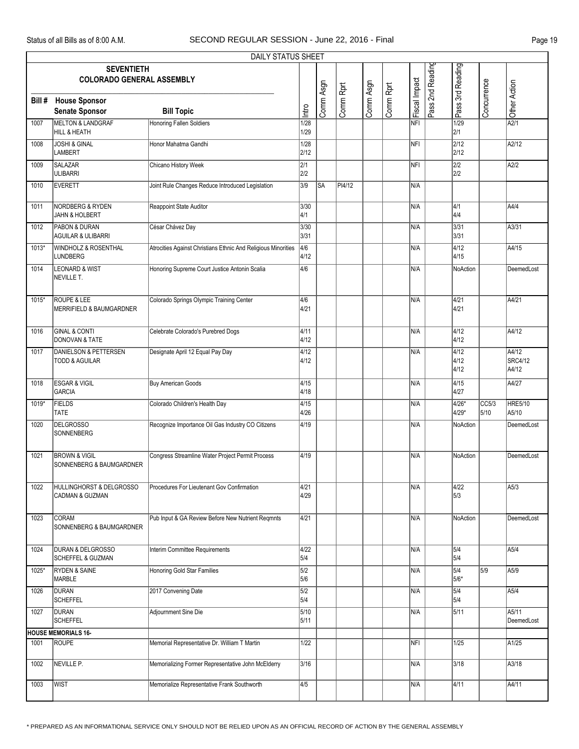|         |                                                               | DAILY STATUS SHEET                                            |                         |           |           |           |           |               |                  |                               |               |                           |
|---------|---------------------------------------------------------------|---------------------------------------------------------------|-------------------------|-----------|-----------|-----------|-----------|---------------|------------------|-------------------------------|---------------|---------------------------|
|         | <b>SEVENTIETH</b><br><b>COLORADO GENERAL ASSEMBLY</b>         |                                                               |                         |           |           |           |           |               | Pass 2nd Reading | Pass 3rd Reading              |               |                           |
| Bill#   | <b>House Sponsor</b><br><b>Senate Sponsor</b>                 | <b>Bill Topic</b>                                             | Intro                   | Comm Asgn | Comm Rprt | Comm Asgn | Comm Rprt | Fiscal Impact |                  |                               | Concurrence   | Other Action              |
| 1007    | MELTON & LANDGRAF<br>HILL & HEATH                             | <b>Honoring Fallen Soldiers</b>                               | 1/28<br>1/29            |           |           |           |           | NFI           |                  | 1/29<br>2/1                   |               | A2/1                      |
| 1008    | <b>JOSHI &amp; GINAL</b><br>LAMBERT                           | Honor Mahatma Gandhi                                          | 1/28<br>2/12            |           |           |           |           | NFI           |                  | 2/12<br>2/12                  |               | A2/12                     |
| 1009    | SALAZAR<br><b>ULIBARRI</b>                                    | Chicano History Week                                          | 2/1<br>2/2              |           |           |           |           | <b>NFI</b>    |                  | 2/2<br>2/2                    |               | A2/2                      |
| 1010    | EVERETT                                                       | Joint Rule Changes Reduce Introduced Legislation              | 3/9                     | <b>SA</b> | PI4/12    |           |           | N/A           |                  |                               |               |                           |
| 1011    | NORDBERG & RYDEN<br>JAHN & HOLBERT                            | Reappoint State Auditor                                       | 3/30<br>4/1             |           |           |           |           | N/A           |                  | $\overline{4/1}$<br>4/4       |               | A4/4                      |
| 1012    | <b>PABON &amp; DURAN</b><br><b>AGUILAR &amp; ULIBARRI</b>     | César Chávez Day                                              | 3/30<br>3/31            |           |           |           |           | N/A           |                  | 3/31<br>3/31                  |               | A3/31                     |
| 1013*   | <b>WINDHOLZ &amp; ROSENTHAL</b><br><b>LUNDBERG</b>            | Atrocities Against Christians Ethnic And Religious Minorities | 4/6<br>4/12             |           |           |           |           | N/A           |                  | $\sqrt{4/12}$<br>4/15         |               | A4/15                     |
| 1014    | <b>LEONARD &amp; WIST</b><br>NEVILLE T.                       | Honoring Supreme Court Justice Antonin Scalia                 | 4/6                     |           |           |           |           | N/A           |                  | NoAction                      |               | DeemedLost                |
| 1015*   | <b>ROUPE &amp; LEE</b><br>MERRIFIELD & BAUMGARDNER            | Colorado Springs Olympic Training Center                      | 4/6<br>4/21             |           |           |           |           | N/A           |                  | $\sqrt{4/21}$<br>4/21         |               | A4/21                     |
| 1016    | <b>GINAL &amp; CONTI</b><br>DONOVAN & TATE                    | Celebrate Colorado's Purebred Dogs                            | 4/11<br>4/12            |           |           |           |           | N/A           |                  | $\sqrt{4/12}$<br>4/12         |               | A4/12                     |
| 1017    | <b>DANIELSON &amp; PETTERSEN</b><br><b>TODD &amp; AGUILAR</b> | Designate April 12 Equal Pay Day                              | 4/12<br>4/12            |           |           |           |           | N/A           |                  | $\sqrt{4/12}$<br>4/12<br>4/12 |               | A4/12<br>SRC4/12<br>A4/12 |
| 1018    | <b>ESGAR &amp; VIGIL</b><br>GARCIA                            | <b>Buy American Goods</b>                                     | 4/15<br>4/18            |           |           |           |           | N/A           |                  | 4/15<br>4/27                  |               | A4/27                     |
| $1019*$ | <b>FIELDS</b><br><b>TATE</b>                                  | Colorado Children's Health Day                                | 4/15<br>4/26            |           |           |           |           | N/A           |                  | 4/26*<br>4/29*                | CC5/3<br>5/10 | <b>HRE5/10</b><br>A5/10   |
| 1020    | <b>DELGROSSO</b><br>SONNENBERG                                | Recognize Importance Oil Gas Industry CO Citizens             | 4/19                    |           |           |           |           | N/A           |                  | NoAction                      |               | DeemedLost                |
| 1021    | <b>BROWN &amp; VIGIL</b><br>SONNENBERG & BAUMGARDNER          | Congress Streamline Water Project Permit Process              | 4/19                    |           |           |           |           | N/A           |                  | NoAction                      |               | DeemedLost                |
| 1022    | HULLINGHORST & DELGROSSO<br>CADMAN & GUZMAN                   | Procedures For Lieutenant Gov Confirmation                    | 4/21<br>4/29            |           |           |           |           | N/A           |                  | 4/22<br>5/3                   |               | A5/3                      |
| 1023    | <b>CORAM</b><br>SONNENBERG & BAUMGARDNER                      | Pub Input & GA Review Before New Nutrient Regmnts             | 4/21                    |           |           |           |           | N/A           |                  | NoAction                      |               | DeemedLost                |
| 1024    | <b>DURAN &amp; DELGROSSO</b><br>SCHEFFEL & GUZMAN             | Interim Committee Requirements                                | 4/22<br>5/4             |           |           |           |           | N/A           |                  | 5/4<br>5/4                    |               | A5/4                      |
| 1025*   | <b>RYDEN &amp; SAINE</b><br>MARBLE                            | Honoring Gold Star Families                                   | 5/2<br>5/6              |           |           |           |           | N/A           |                  | 5/4<br>5/6*                   | 5/9           | A5/9                      |
| 1026    | <b>DURAN</b><br><b>SCHEFFEL</b>                               | 2017 Convening Date                                           | $\overline{5/2}$<br>5/4 |           |           |           |           | N/A           |                  | 5/4<br>5/4                    |               | A5/4                      |
| 1027    | DURAN<br><b>SCHEFFEL</b>                                      | Adjournment Sine Die                                          | 5/10<br>5/11            |           |           |           |           | N/A           |                  | 5/11                          |               | A5/11<br>DeemedLost       |
|         | <b>HOUSE MEMORIALS 16-</b>                                    |                                                               |                         |           |           |           |           |               |                  |                               |               |                           |
| 1001    | ROUPE                                                         | Memorial Representative Dr. William T Martin                  | 1/22                    |           |           |           |           | NFI           |                  | 1/25                          |               | A1/25                     |
| 1002    | NEVILLE P.                                                    | Memorializing Former Representative John McElderry            | 3/16                    |           |           |           |           | N/A           |                  | 3/18                          |               | A3/18                     |
| 1003    | <b>WIST</b>                                                   | Memorialize Representative Frank Southworth                   | 4/5                     |           |           |           |           | N/A           |                  | 4/11                          |               | A4/11                     |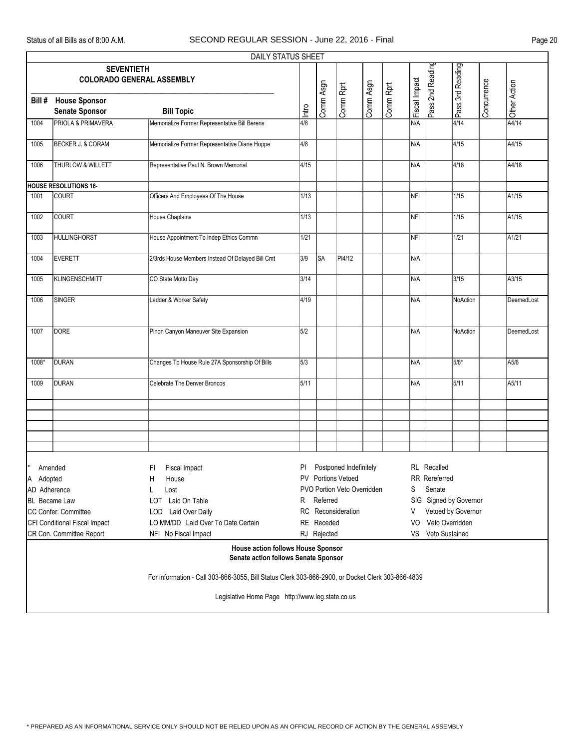|                      |                                                                            | <b>DAILY STATUS SHEET</b>                                                                         |                          |             |                             |           |           |               |                    |                        |             |              |
|----------------------|----------------------------------------------------------------------------|---------------------------------------------------------------------------------------------------|--------------------------|-------------|-----------------------------|-----------|-----------|---------------|--------------------|------------------------|-------------|--------------|
|                      | <b>SEVENTIETH</b>                                                          | <b>COLORADO GENERAL ASSEMBLY</b>                                                                  |                          |             |                             |           |           |               | Pass 2nd Reading   | Pass 3rd Reading       |             |              |
| Bill #               | <b>House Sponsor</b><br><b>Senate Sponsor</b>                              | <b>Bill Topic</b>                                                                                 | Intro                    | Comm Asgn   | Comm Rprt                   | Comm Asgn | Comm Rprt | Fiscal Impact |                    |                        | Concurrence | Other Action |
| 1004                 | <b>PRIOLA &amp; PRIMAVERA</b>                                              | Memorialize Former Representative Bill Berens                                                     | 4/8                      |             |                             |           |           | N/A           |                    | 4/14                   |             | A4/14        |
| 1005                 | BECKER J. & CORAM                                                          | Memorialize Former Representative Diane Hoppe                                                     | 4/8                      |             |                             |           |           | N/A           |                    | 4/15                   |             | A4/15        |
| 1006                 | <b>THURLOW &amp; WILLETT</b>                                               | Representative Paul N. Brown Memorial                                                             | 4/15                     |             |                             |           |           | N/A           |                    | 4/18                   |             | A4/18        |
|                      | <b>HOUSE RESOLUTIONS 16-</b>                                               |                                                                                                   |                          |             |                             |           |           |               |                    |                        |             |              |
| 1001                 | <b>COURT</b>                                                               | Officers And Employees Of The House                                                               | 1/13                     |             |                             |           |           | NFI           |                    | 1/15                   |             | A1/15        |
| 1002                 | COURT                                                                      | House Chaplains                                                                                   | 1/13                     |             |                             |           |           | NFI           |                    | 1/15                   |             | A1/15        |
| 1003                 | HULLINGHORST                                                               | House Appointment To Indep Ethics Commn                                                           | 1/21                     |             |                             |           |           | NFI           |                    | 1/21                   |             | A1/21        |
| 1004                 | <b>EVERETT</b>                                                             | 2/3rds House Members Instead Of Delayed Bill Cmt                                                  | 3/9                      | <b>SA</b>   | PI4/12                      |           |           | N/A           |                    |                        |             |              |
| 1005                 | KLINGENSCHMITT                                                             | CO State Motto Day                                                                                | 3/14                     |             |                             |           |           | N/A           |                    | 3/15                   |             | A3/15        |
| 1006                 | SINGER                                                                     | Ladder & Worker Safety                                                                            | 4/19                     |             |                             |           |           | N/A           |                    | NoAction               |             | DeemedLost   |
| 1007                 | <b>DORE</b>                                                                | Pinon Canyon Maneuver Site Expansion                                                              | 5/2                      |             |                             |           |           | N/A           |                    | NoAction               |             | DeemedLost   |
| 1008*                | DURAN                                                                      | Changes To House Rule 27A Sponsorship Of Bills                                                    | $\overline{\smash{5/3}}$ |             |                             |           |           | N/A           |                    | 5/6*                   |             | A5/6         |
| 1009                 | DURAN                                                                      | Celebrate The Denver Broncos                                                                      | 5/11                     |             |                             |           |           | N/A           |                    | 5/11                   |             | A5/11        |
|                      |                                                                            |                                                                                                   |                          |             |                             |           |           |               |                    |                        |             |              |
|                      |                                                                            |                                                                                                   |                          |             |                             |           |           |               |                    |                        |             |              |
|                      |                                                                            |                                                                                                   |                          |             |                             |           |           |               |                    |                        |             |              |
|                      |                                                                            |                                                                                                   |                          |             |                             |           |           |               |                    |                        |             |              |
|                      | Amended                                                                    | Fiscal Impact<br>FI.                                                                              | PI                       |             | Postponed Indefinitely      |           |           |               | <b>RL</b> Recalled |                        |             |              |
| ΙA<br>Adopted        |                                                                            | House<br>H                                                                                        |                          |             | PV Portions Vetoed          |           |           |               | RR Rereferred      |                        |             |              |
| AD Adherence         |                                                                            | Lost<br>L                                                                                         |                          |             | PVO Portion Veto Overridden |           |           | S             | Senate             |                        |             |              |
| <b>BL</b> Became Law |                                                                            | Laid On Table<br>LOT                                                                              | R                        | Referred    |                             |           |           |               |                    | SIG Signed by Governor |             |              |
|                      | CC Confer. Committee                                                       | LOD Laid Over Daily                                                                               |                          |             | RC Reconsideration          |           |           | V             |                    | Vetoed by Governor     |             |              |
|                      | CFI Conditional Fiscal Impact                                              | LO MM/DD Laid Over To Date Certain                                                                |                          | RE Receded  |                             |           |           | VO            | Veto Overridden    |                        |             |              |
|                      | CR Con. Committee Report                                                   | NFI No Fiscal Impact                                                                              |                          | RJ Rejected |                             |           |           |               | VS Veto Sustained  |                        |             |              |
|                      | House action follows House Sponsor<br>Senate action follows Senate Sponsor |                                                                                                   |                          |             |                             |           |           |               |                    |                        |             |              |
|                      |                                                                            | For information - Call 303-866-3055, Bill Status Clerk 303-866-2900, or Docket Clerk 303-866-4839 |                          |             |                             |           |           |               |                    |                        |             |              |
|                      |                                                                            | Legislative Home Page http://www.leg.state.co.us                                                  |                          |             |                             |           |           |               |                    |                        |             |              |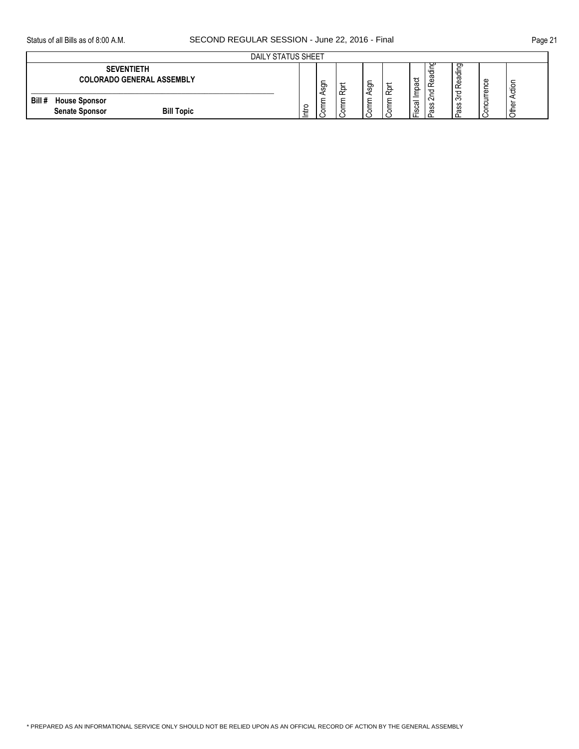|       | DAILY STATUS SHEET                                                 |   |                |                     |                  |                           |                            |                  |                                   |             |              |
|-------|--------------------------------------------------------------------|---|----------------|---------------------|------------------|---------------------------|----------------------------|------------------|-----------------------------------|-------------|--------------|
|       | <b>SEVENTIETH</b><br><b>COLORADO GENERAL ASSEMBLY</b>              |   | -<br>ğ<br>⊲    | Ο<br>$\tilde{\sim}$ | -<br>ğ<br>◀      | ∽<br>$\Omega$<br>$\alpha$ | pact<br>-                  | ັ<br>ູບ<br>Ιm    | రా<br>'ਰ<br>ω<br>Œ<br>$\tilde{ }$ | Φ<br>╰<br>Φ | ਟ<br>≔       |
| Bill# | <b>House Sponsor</b><br><b>Bill Topic</b><br><b>Senate Sponsor</b> | ≐ | $\circ$<br>د م | o                   | ∽<br>≂<br>∸<br>ਠ |                           | ∸<br>_<br>පි<br>ِ ⊘<br>' ட | $\sim$<br>c<br>S | $\sim$<br>ഗ<br>m<br>᠊ᢐ            | Ċ           | മ<br>≐<br>ГC |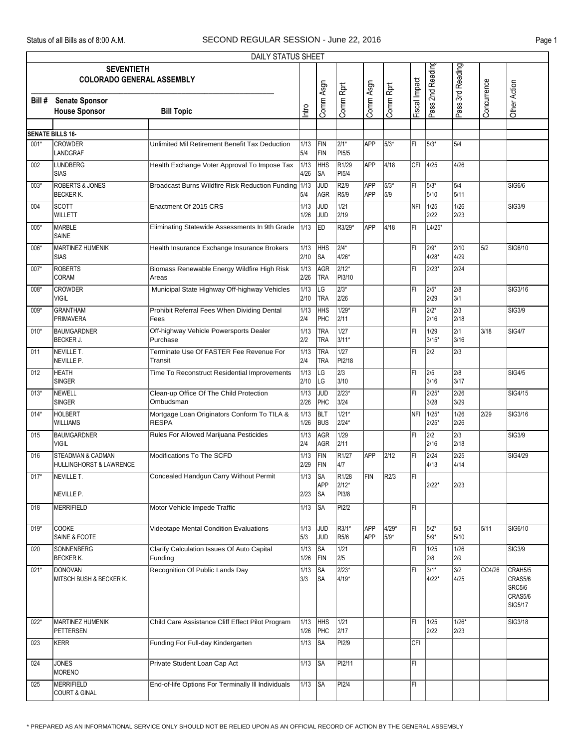|        | DAILY STATUS SHEET                                      |                                                             |                      |                          |                                     |                          |               |               |                          |                          |             |                                                           |
|--------|---------------------------------------------------------|-------------------------------------------------------------|----------------------|--------------------------|-------------------------------------|--------------------------|---------------|---------------|--------------------------|--------------------------|-------------|-----------------------------------------------------------|
|        | <b>SEVENTIETH</b><br><b>COLORADO GENERAL ASSEMBLY</b>   |                                                             |                      | Comm Asgn                | Comm Rprt                           | Comm Asgn                | Comm Rprt     | Fiscal Impact | Pass 2nd Reading         | Pass 3rd Reading         | Concurrence | Other Action                                              |
| Bill # | <b>Senate Sponsor</b>                                   |                                                             | Intro                |                          |                                     |                          |               |               |                          |                          |             |                                                           |
|        | <b>House Sponsor</b>                                    | <b>Bill Topic</b>                                           |                      |                          |                                     |                          |               |               |                          |                          |             |                                                           |
|        | <b>SENATE BILLS 16-</b>                                 |                                                             |                      |                          |                                     |                          |               |               |                          |                          |             |                                                           |
| $001*$ | <b>CROWDER</b><br>LANDGRAF                              | Unlimited Mil Retirement Benefit Tax Deduction              | 1/13<br>5/4          | FIN<br>FIN               | $2/1*$<br>PI5/5                     | APP                      | 5/3*          | IFI.          | 5/3*                     | 5/4                      |             |                                                           |
| 002    | <b>LUNDBERG</b><br><b>SIAS</b>                          | Health Exchange Voter Approval To Impose Tax                | 1/13<br>4/26         | <b>HHS</b><br>SA         | R1/29<br>PI5/4                      | APP                      | 4/18          |               | CFI 4/25                 | 4/26                     |             |                                                           |
| $003*$ | <b>ROBERTS &amp; JONES</b><br><b>BECKER K.</b>          | Broadcast Burns Wildfire Risk Reduction Funding 1/13        | 5/4                  | JUD<br>AGR               | R <sub>2/9</sub><br>R5/9            | <b>APP</b><br><b>APP</b> | 5/3*<br>5/9   | l۴ı           | 5/3*<br>5/10             | 5/4<br>5/11              |             | <b>SIG6/6</b>                                             |
| 004    | <b>SCOTT</b><br>WILLETT                                 | Enactment Of 2015 CRS                                       | 1/13<br>1/26         | <b>JUD</b><br>JUD        | $\frac{1}{21}$<br>2/19              |                          |               | NFI           | 1/25<br>2/22             | $\frac{1}{26}$<br>2/23   |             | <b>SIG3/9</b>                                             |
| 005*   | <b>MARBLE</b><br>SAINE                                  | Eliminating Statewide Assessments In 9th Grade              | 1/13                 | ED                       | R3/29*                              | APP                      | 4/18          | FI            | $L4/25*$                 |                          |             |                                                           |
| 006*   | MARTINEZ HUMENIK<br><b>SIAS</b>                         | Health Insurance Exchange Insurance Brokers                 | 1/13<br>2/10         | <b>HHS</b><br>SA         | $\sqrt{2/4^*}$<br>4/26*             |                          |               | FI            | $2/9*$<br>4/28*          | 2/10<br>4/29             | 5/2         | SIG6/10                                                   |
| $007*$ | <b>ROBERTS</b><br>CORAM                                 | Biomass Renewable Energy Wildfire High Risk<br>Areas        | 1/13<br>2/26         | AGR<br><b>TRA</b>        | $2/12*$<br>PI3/10                   |                          |               | FI            | 2/23*                    | 2/24                     |             |                                                           |
| $008*$ | <b>CROWDER</b><br><b>VIGIL</b>                          | Municipal State Highway Off-highway Vehicles                | 1/13<br>2/10         | LG<br><b>TRA</b>         | $2/3*$<br>2/26                      |                          |               | l۴ı           | 2/5*<br>2/29             | 2/8<br>3/1               |             | SIG3/16                                                   |
| 009*   | <b>GRANTHAM</b><br><b>PRIMAVERA</b>                     | Prohibit Referral Fees When Dividing Dental<br>Fees         | 1/13<br>2/4          | <b>HHS</b><br>PHC        | $1/29*$<br>2/11                     |                          |               | FI            | $2/2*$<br>2/16           | 2/3<br>2/18              |             | <b>SIG3/9</b>                                             |
| $010*$ | <b>BAUMGARDNER</b><br><b>BECKER J.</b>                  | Off-highway Vehicle Powersports Dealer<br>Purchase          | 1/13<br>2/2          | <b>TRA</b><br><b>TRA</b> | 1/27<br>3/11*                       |                          |               | FI            | 1/29<br>$3/15*$          | $\overline{2/1}$<br>3/16 | 3/18        | <b>SIG4/7</b>                                             |
| 011    | <b>NEVILLE T.</b><br>NEVILLE P.                         | Terminate Use Of FASTER Fee Revenue For<br>Transit          | $\sqrt{1/13}$<br>2/4 | <b>TRA</b><br><b>TRA</b> | 1/27<br>PI2/18                      |                          |               | l۴ı           | $\sqrt{2/2}$             | $\sqrt{2/3}$             |             |                                                           |
| 012    | <b>HEATH</b><br><b>SINGER</b>                           | Time To Reconstruct Residential Improvements                | 1/13<br>2/10         | LG<br>LG                 | $\sqrt{2/3}$<br>3/10                |                          |               | FI            | 2/5<br>3/16              | 2/8<br>3/17              |             | <b>SIG4/5</b>                                             |
| $013*$ | <b>NEWELL</b><br><b>SINGER</b>                          | Clean-up Office Of The Child Protection<br>Ombudsman        | 1/13<br>2/26         | <b>JUD</b><br>PHC        | $2/23*$<br>3/24                     |                          |               | FI            | $2/25*$<br>3/28          | 2/26<br>3/29             |             | SIG4/15                                                   |
| $014*$ | <b>HOLBERT</b><br><b>WILLIAMS</b>                       | Mortgage Loan Originators Conform To TILA &<br><b>RESPA</b> | 1/13<br>1/26         | <b>BLT</b><br><b>BUS</b> | $1/21*$<br>2/24*                    |                          |               | <b>NFI</b>    | $1/25*$<br>$2/25*$       | $\frac{1}{26}$<br>2/26   | 2/29        | SIG3/16                                                   |
| 015    | <b>BAUMGARDNER</b><br><b>VIGIL</b>                      | Rules For Allowed Marijuana Pesticides                      | 1/13<br>2/4          | <b>AGR</b><br>AGR        | 1/29<br>2/11                        |                          |               | FI            | $\overline{2/2}$<br>2/16 | $\sqrt{2/3}$<br>2/18     |             | SIG3/9                                                    |
| 016    | <b>STEADMAN &amp; CADMAN</b><br>HULLINGHORST & LAWRENCE | Modifications To The SCFD                                   | 1/13<br>2/29         | FIN<br>FIN               | R <sub>1/27</sub><br>4/7            | <b>APP</b>               | 2/12          | l۴ı           | 2/24<br>4/13             | $\sqrt{2/25}$<br>4/14    |             | SIG4/29                                                   |
| $017*$ | NEVILLE T.<br>NEVILLE P.                                | Concealed Handgun Carry Without Permit                      | 1/13<br>2/23         | <b>SA</b><br>APP<br>∣SA  | R <sub>1/28</sub><br>2/12*<br>PI3/8 | FIN                      | R2/3          | l۴۱           | 2/22*                    | 2/23                     |             |                                                           |
| 018    | <b>MERRIFIELD</b>                                       | Motor Vehicle Impede Traffic                                | 1/13                 | <b>SA</b>                | PI2/2                               |                          |               | IFI.          |                          |                          |             |                                                           |
| $019*$ | <b>COOKE</b><br>SAINE & FOOTE                           | <b>Videotape Mental Condition Evaluations</b>               | 1/13<br>5/3          | JUD<br>JUD               | $\overline{\text{R}3/1^*}$<br>R5/6  | APP<br>APP               | 4/29*<br>5/9* | FL            | $5/2*$<br>5/9*           | 5/3<br>5/10              | 5/11        | SIG6/10                                                   |
| 020    | SONNENBERG<br><b>BECKER K.</b>                          | Clarify Calculation Issues Of Auto Capital<br>Funding       | 1/13<br>1/26         | SA<br>FIN                | 1/21<br>2/5                         |                          |               | F١            | 1/25<br>2/8              | 1/26<br>2/9              |             | SIG3/9                                                    |
| $021*$ | <b>DONOVAN</b><br>MITSCH BUSH & BECKER K.               | Recognition Of Public Lands Day                             | 1/13<br>3/3          | SA<br><b>SA</b>          | 2/23*<br>4/19*                      |                          |               | ΙFΙ           | $3/1*$<br>4/22*          | 3/2<br>4/25              | CC4/26      | CRAH5/5<br>CRAS5/6<br><b>SRC5/6</b><br>CRAS5/6<br>SIG5/17 |
| $022*$ | MARTINEZ HUMENIK<br><b>PETTERSEN</b>                    | Child Care Assistance Cliff Effect Pilot Program            | 1/13<br>1/26         | <b>HHS</b><br>PHC        | 1/21<br>2/17                        |                          |               | FI            | 1/25<br>2/22             | $1/26*$<br>2/23          |             | SIG3/18                                                   |
| 023    | <b>KERR</b>                                             | Funding For Full-day Kindergarten                           | 1/13                 | $\overline{\text{SA}}$   | PI2/9                               |                          |               | CFI           |                          |                          |             |                                                           |
| 024    | <b>JONES</b><br><b>MORENO</b>                           | Private Student Loan Cap Act                                | 1/13                 | <b>SA</b>                | PI2/11                              |                          |               | FL            |                          |                          |             |                                                           |
| 025    | <b>MERRIFIELD</b><br><b>COURT &amp; GINAL</b>           | End-of-life Options For Terminally III Individuals          | 1/13                 | SA                       | PI2/4                               |                          |               | FI            |                          |                          |             |                                                           |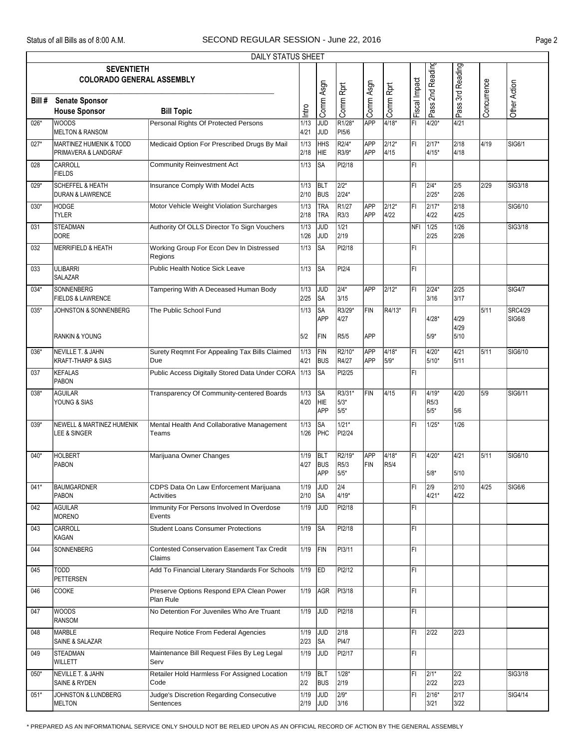|        | DAILY STATUS SHEET                                         |                                                             |              |                                 |                                          |                          |               |               |                                    |                       |             |                                 |  |
|--------|------------------------------------------------------------|-------------------------------------------------------------|--------------|---------------------------------|------------------------------------------|--------------------------|---------------|---------------|------------------------------------|-----------------------|-------------|---------------------------------|--|
|        | <b>SEVENTIETH</b><br><b>COLORADO GENERAL ASSEMBLY</b>      |                                                             |              |                                 |                                          |                          |               |               | Pass 2nd Reading                   | Pass 3rd Reading      |             |                                 |  |
| Bill # | <b>Senate Sponsor</b><br><b>House Sponsor</b>              | <b>Bill Topic</b>                                           | Intro        | Comm Asgn                       | Comm Rprt                                | Comm Asgn                | Comm Rprt     | Fiscal Impact |                                    |                       | Concurrence | Other Action                    |  |
| $026*$ | <b>WOODS</b><br><b>MELTON &amp; RANSOM</b>                 | Personal Rights Of Protected Persons                        | 1/13<br>4/21 | JUD<br>JUD                      | R <sub>1/28</sub> *<br>P <sub>15/6</sub> | <b>APP</b>               | 4/18*         | l۴ı           | 4/20*                              | 4/21                  |             |                                 |  |
| $027*$ | <b>MARTINEZ HUMENIK &amp; TODD</b><br>PRIMAVERA & LANDGRAF | Medicaid Option For Prescribed Drugs By Mail                | 1/13<br>2/18 | <b>HHS</b><br>HIE               | R2/4*<br>R3/9*                           | <b>APP</b><br>APP        | 2/12*<br>4/15 | FI            | 2/17*<br>$4/15*$                   | 2/18<br>4/18          | 4/19        | SIG6/1                          |  |
| 028    | <b>CARROLL</b><br><b>FIELDS</b>                            | <b>Community Reinvestment Act</b>                           | 1/13         | <b>SA</b>                       | PI2/18                                   |                          |               | ĪFI           |                                    |                       |             |                                 |  |
| 029*   | <b>SCHEFFEL &amp; HEATH</b><br>DURAN & LAWRENCE            | Insurance Comply With Model Acts                            | 1/13<br>2/10 | <b>BLT</b><br><b>BUS</b>        | $\sqrt{2/2^*}$<br>2/24*                  |                          |               | FI            | 2/4*<br>2/25*                      | 2/5<br>2/26           | 2/29        | SIG3/18                         |  |
| $030*$ | <b>HODGE</b><br><b>TYLER</b>                               | Motor Vehicle Weight Violation Surcharges                   | 1/13<br>2/18 | TRA<br>TRA                      | R1/27<br>R3/3                            | <b>APP</b><br><b>APP</b> | 2/12*<br>4/22 | İΕΙ           | 2/17*<br>4/22                      | $\sqrt{2/18}$<br>4/25 |             | SIG6/10                         |  |
| 031    | <b>STEADMAN</b><br><b>DORE</b>                             | Authority Of OLLS Director To Sign Vouchers                 | 1/13<br>1/26 | <b>JUD</b><br><b>JUD</b>        | $\frac{1}{21}$<br>2/19                   |                          |               | NFI           | 1/25<br>2/25                       | 1/26<br>2/26          |             | SIG3/18                         |  |
| 032    | <b>MERRIFIELD &amp; HEATH</b>                              | Working Group For Econ Dev In Distressed<br>Regions         | 1/13         | <b>SA</b>                       | PI2/18                                   |                          |               | FI            |                                    |                       |             |                                 |  |
| 033    | <b>ULIBARRI</b><br><b>SALAZAR</b>                          | <b>Public Health Notice Sick Leave</b>                      | 1/13         | <b>I</b> SA                     | PI2/4                                    |                          |               | FI            |                                    |                       |             |                                 |  |
| $034*$ | <b>SONNENBERG</b><br><b>FIELDS &amp; LAWRENCE</b>          | Tampering With A Deceased Human Body                        | 1/13<br>2/25 | JUD<br><b>SA</b>                | $2/4*$<br>3/15                           | APP                      | $2/12*$       | l۴ı           | 2/24*<br>3/16                      | 2/25<br>3/17          |             | <b>SIG4/7</b>                   |  |
| $035*$ | JOHNSTON & SONNENBERG                                      | The Public School Fund                                      | 1/13         | <b>SA</b><br><b>APP</b>         | R3/29*<br>4/27                           | <b>FIN</b>               | R4/13*        | ĪFI           | $4/28*$                            | 4/29                  | 5/11        | <b>SRC4/29</b><br><b>SIG6/8</b> |  |
|        | <b>RANKIN &amp; YOUNG</b>                                  |                                                             | 5/2          | FIN                             | R5/5                                     | APP                      |               |               | 5/9*                               | 4/29<br>5/10          |             |                                 |  |
| 036*   | NEVILLE T. & JAHN<br>KRAFT-THARP & SIAS                    | Surety Regmnt For Appealing Tax Bills Claimed<br>Due        | 1/13<br>4/21 | FIN<br><b>BUS</b>               | R2/10*<br>R4/27                          | <b>APP</b><br>APP        | 4/18*<br>5/9* | l۴ı           | 4/20*<br>5/10*                     | 4/21<br>5/11          | 5/11        | SIG6/10                         |  |
| 037    | <b>KEFALAS</b><br>PABON                                    | Public Access Digitally Stored Data Under CORA              | 1/13         | <b>SA</b>                       | PI2/25                                   |                          |               | FI            |                                    |                       |             |                                 |  |
| 038*   | <b>AGUILAR</b><br>YOUNG & SIAS                             | Transparency Of Community-centered Boards                   | 1/13<br>4/20 | <b>SA</b><br>HIE<br><b>APP</b>  | R3/31*<br>5/3*<br>5/5*                   | FIN                      | 4/15          | l۴ı           | 4/19*<br>R <sub>5</sub> /3<br>5/5* | 4/20<br>5/6           | 5/9         | SIG6/11                         |  |
| $039*$ | <b>NEWELL &amp; MARTINEZ HUMENIK</b><br>LEE & SINGER       | Mental Health And Collaborative Management<br>Teams         | 1/13<br>1/26 | SA<br>PHC                       | $1/21*$<br>PI2/24                        |                          |               | l۴۱           | $1/25*$                            | 1/26                  |             |                                 |  |
| $040*$ | <b>HOLBERT</b><br><b>PABON</b>                             | Marijuana Owner Changes                                     | 1/19<br>4/27 | BLT<br><b>BUS</b><br><b>APP</b> | R2/19*<br>R5/3<br>5/5*                   | APP<br><b>FIN</b>        | 4/18*<br>R5/4 | ĪFI           | $4/20*$<br>5/8*                    | 4/21<br>5/10          | 5/11        | SIG6/10                         |  |
| $041*$ | <b>BAUMGARDNER</b><br>PABON                                | CDPS Data On Law Enforcement Marijuana<br><b>Activities</b> | 1/19<br>2/10 | <b>JUD</b><br><b>SA</b>         | $\sqrt{2/4}$<br>4/19*                    |                          |               | FI            | 2/9<br>4/21*                       | 2/10<br>4/22          | 4/25        | SIG6/6                          |  |
| 042    | <b>AGUILAR</b><br><b>MORENO</b>                            | Immunity For Persons Involved In Overdose<br>Events         | 1/19         | <b>JUD</b>                      | PI2/18                                   |                          |               | IF۱           |                                    |                       |             |                                 |  |
| 043    | <b>CARROLL</b><br>KAGAN                                    | <b>Student Loans Consumer Protections</b>                   | 1/19         | <b>SA</b>                       | PI2/18                                   |                          |               | FL            |                                    |                       |             |                                 |  |
| 044    | SONNENBERG                                                 | <b>Contested Conservation Easement Tax Credit</b><br>Claims | 1/19         | FIN                             | PI3/11                                   |                          |               | FL            |                                    |                       |             |                                 |  |
| 045    | TODD<br>PETTERSEN                                          | Add To Financial Literary Standards For Schools             | 1/19         | <b>ED</b>                       | PI2/12                                   |                          |               | l۴ı           |                                    |                       |             |                                 |  |
| 046    | <b>COOKE</b>                                               | Preserve Options Respond EPA Clean Power<br>Plan Rule       | 1/19         | AGR                             | PI3/18                                   |                          |               | FI            |                                    |                       |             |                                 |  |
| 047    | WOODS<br><b>RANSOM</b>                                     | No Detention For Juveniles Who Are Truant                   | 1/19         | <b>JUD</b>                      | PI2/18                                   |                          |               | FL            |                                    |                       |             |                                 |  |
| 048    | MARBLE<br>SAINE & SALAZAR                                  | Require Notice From Federal Agencies                        | 1/19<br>2/23 | <b>JUD</b><br><b>SA</b>         | 2/18<br>PI4/7                            |                          |               | FI            | 2/22                               | 2/23                  |             |                                 |  |
| 049    | <b>STEADMAN</b><br>WILLETT                                 | Maintenance Bill Request Files By Leg Legal<br>Serv         | 1/19         | <b>JUD</b>                      | PI2/17                                   |                          |               | FI            |                                    |                       |             |                                 |  |
| $050*$ | NEVILLE T. & JAHN<br>SAINE & RYDEN                         | Retailer Hold Harmless For Assigned Location<br>Code        | 1/19<br>2/2  | BLT<br><b>BUS</b>               | 1/28*<br>2/19                            |                          |               | FI            | $ 2/1*$<br>2/22                    | 2/2<br>2/23           |             | SIG3/18                         |  |
| $051*$ | JOHNSTON & LUNDBERG<br><b>MELTON</b>                       | Judge's Discretion Regarding Consecutive<br>Sentences       | 1/19<br>2/19 | <b>JUD</b><br>JUD               | $2/9*$<br>3/16                           |                          |               | ΙFΙ           | 2/16*<br>3/21                      | $\sqrt{2/17}$<br>3/22 |             | SIG4/14                         |  |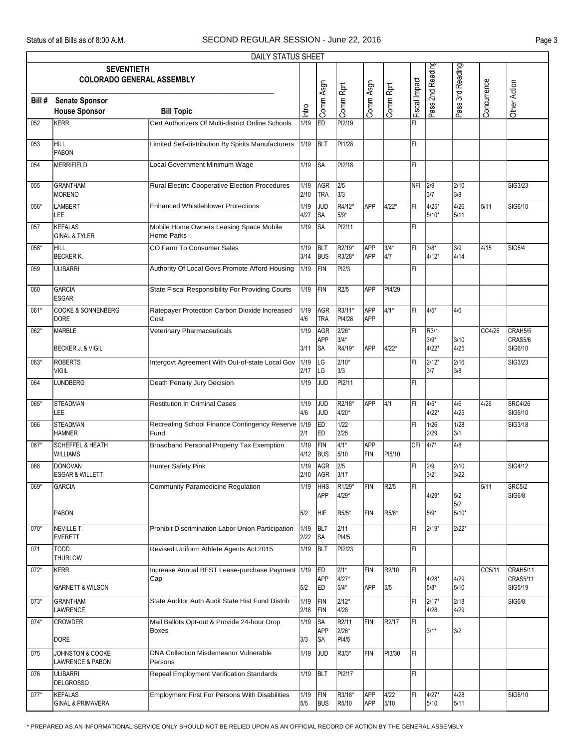|        |                                                       | <b>DAILY STATUS SHEET</b>                                   |              |                          |                                      |                          |               |               |                   |                       |             |                                        |
|--------|-------------------------------------------------------|-------------------------------------------------------------|--------------|--------------------------|--------------------------------------|--------------------------|---------------|---------------|-------------------|-----------------------|-------------|----------------------------------------|
|        | <b>SEVENTIETH</b><br><b>COLORADO GENERAL ASSEMBLY</b> |                                                             |              |                          |                                      |                          |               |               | Pass 2nd Reading  | Pass 3rd Reading      |             |                                        |
| Bill # | <b>Senate Sponsor</b><br><b>House Sponsor</b>         | <b>Bill Topic</b>                                           | Intro        | Comm Asgn                | Comm Rprt                            | Comm Asgn                | Comm Rprt     | Fiscal Impact |                   |                       | Concurrence | Other Action                           |
| 052    | KERR                                                  | Cert Authorizers Of Multi-district Online Schools           | 1/19         | ED                       | P <sub>12/19</sub>                   |                          |               | FI            |                   |                       |             |                                        |
| 053    | HILL<br>PABON                                         | Limited Self-distribution By Spirits Manufacturers          | 1/19         | <b>BLT</b>               | PI1/28                               |                          |               | FI            |                   |                       |             |                                        |
| 054    | MERRIFIELD                                            | <b>Local Government Minimum Wage</b>                        | 1/19         | SA                       | PI2/18                               |                          |               | FI            |                   |                       |             |                                        |
| 055    | GRANTHAM<br><b>MORENO</b>                             | Rural Electric Cooperative Election Procedures              | 1/19<br>2/10 | AGR<br><b>TRA</b>        | $\sqrt{2/5}$<br>3/3                  |                          |               | NFI 2/9       | 3/7               | 2/10<br>3/8           |             | SIG3/23                                |
| 056*   | LAMBERT<br>LEE                                        | <b>Enhanced Whistleblower Protections</b>                   | 1/19<br>4/27 | JUD<br>SA                | R4/12*<br>5/9*                       | APP                      | $4/22*$       | FI            | 4/25*<br>5/10*    | 4/26<br>5/11          | 5/11        | SIG6/10                                |
| 057    | <b>KEFALAS</b><br><b>GINAL &amp; TYLER</b>            | Mobile Home Owners Leasing Space Mobile<br>Home Parks       | 1/19         | SA                       | PI2/11                               |                          |               | FI            |                   |                       |             |                                        |
| 058*   | HILL<br><b>BECKER K.</b>                              | CO Farm To Consumer Sales                                   | 1/19<br>3/14 | <b>BLT</b><br><b>BUS</b> | R2/19*<br>R3/28*                     | <b>APP</b><br><b>APP</b> | $3/4*$<br>4/7 | l۴ı           | $3/8*$<br>4/12*   | 3/9<br>4/14           | 4/15        | <b>SIG5/4</b>                          |
| 059    | <b>ULIBARRI</b>                                       | Authority Of Local Govs Promote Afford Housing              | 1/19         | FIN                      | PI2/3                                |                          |               | FI            |                   |                       |             |                                        |
| 060    | <b>GARCIA</b><br><b>ESGAR</b>                         | State Fiscal Responsibility For Providing Courts            | 1/19         | FIN                      | R2/5                                 | APP                      | PI4/29        |               |                   |                       |             |                                        |
| 061*   | COOKE & SONNENBERG<br>DORE                            | Ratepayer Protection Carbon Dioxide Increased<br>Cost       | 1/19<br>4/6  | <b>AGR</b><br><b>TRA</b> | R3/11*<br>PI4/28                     | <b>APP</b><br>APP        | $4/1*$        | FL            | 4/5*              | 4/6                   |             |                                        |
| 062*   | MARBLE                                                | Veterinary Pharmaceuticals                                  | 1/19         | <b>AGR</b><br>APP        | $2/26*$<br>3/4*                      |                          |               | FI            | R3/1<br>3/9*      | 3/10                  | CC4/26      | CRAH5/5<br>CRAS5/6                     |
| 063*   | <b>BECKER J. &amp; VIGIL</b><br><b>ROBERTS</b>        | Intergovt Agreement With Out-of-state Local Gov             | 3/11<br>1/19 | SA<br>LG                 | R4/19*<br>$2/10*$                    | APP                      | $4/22*$       | FI            | 4/22*<br>2/12*    | 4/25<br>2/16          |             | SIG6/10<br>SIG3/23                     |
|        | <b>VIGIL</b>                                          |                                                             | 2/17         | LG                       | 3/3                                  |                          |               |               | 3/7               | 3/8                   |             |                                        |
| 064    | <b>LUNDBERG</b>                                       | Death Penalty Jury Decision                                 | 1/19         | <b>JUD</b>               | PI2/11                               |                          |               | l۴ı           |                   |                       |             |                                        |
| 065*   | <b>STEADMAN</b><br>LEE                                | <b>Restitution In Criminal Cases</b>                        | 1/19<br>4/6  | <b>JUD</b><br>JUD        | R2/18*<br>4/20*                      | APP                      | $\sqrt{4/1}$  | FI            | $4/5*$<br>$4/22*$ | 4/6<br>4/25           | 4/26        | <b>SRC4/26</b><br>SIG6/10              |
| 066    | <b>STEADMAN</b><br><b>HAMNER</b>                      | Recreating School Finance Contingency Reserve<br>Fund       | 1/19<br>2/1  | ED<br>ED                 | 1/22<br>2/25                         |                          |               | FI            | 1/26<br>2/29      | 1/28<br>3/1           |             | SIG3/18                                |
| 067*   | <b>SCHEFFEL &amp; HEATH</b><br><b>WILLIAMS</b>        | Broadband Personal Property Tax Exemption                   | 1/19<br>4/12 | FIN<br>BUS               | $\sqrt{4/1^*}$<br>5/10               | APP<br>FIN               | PI5/10        | <b>CFI</b>    | $\sqrt{4/7^*}$    | 4/8                   |             |                                        |
| 068    | DONOVAN<br><b>ESGAR &amp; WILLETT</b>                 | <b>Hunter Safety Pink</b>                                   | 1/19<br>2/10 | AGR<br>AGR               | $\overline{2/5}$<br>3/17             |                          |               | FI            | 2/9<br>3/21       | 2/10<br>3/22          |             | SIG4/12                                |
| 069*   | <b>GARCIA</b>                                         | <b>Community Paramedicine Regulation</b>                    | 1/19         | HHS<br>APP               | R <sub>1/29</sub> *<br>4/29*         | FIN                      | R2/5          | FI            | 4/29*             | 5/2                   | 5/11        | <b>SRC5/2</b><br>SIG6/8                |
|        | <b>PABON</b>                                          |                                                             | 5/2          | HIE                      | R5/5*                                | FIN                      | R5/6*         |               | 5/9*              | 5/2<br>5/10*          |             |                                        |
| 070*   | NEVILLE T.<br><b>EVERETT</b>                          | Prohibit Discrimination Labor Union Participation           | 1/19<br>2/22 | BLT<br> SA               | 2/11<br>PI4/5                        |                          |               | FL            | 2/19*             | 2/22*                 |             |                                        |
| 071    | TODD<br><b>THURLOW</b>                                | Revised Uniform Athlete Agents Act 2015                     | 1/19         | BLT                      | PI2/23                               |                          |               | FL            |                   |                       |             |                                        |
| $072*$ | KERR<br><b>GARNETT &amp; WILSON</b>                   | Increase Annual BEST Lease-purchase Payment 1/19<br>Cap     | 5/2          | ED.<br>APP<br>ED.        | $2/1*$<br>4/27*<br>5/4*              | FIN<br>APP               | R2/10<br>5/5  | ĪFI           | 4/28*<br>$5/8*$   | 4/29<br>5/10          | CC5/11      | CRAH5/11<br><b>CRAS5/11</b><br>SIG5/19 |
| $073*$ | <b>GRANTHAM</b><br>LAWRENCE                           | State Auditor Auth Audit State Hist Fund Distrib            | 1/19<br>2/18 | FIN<br>FIN               | $2/12*$<br>4/28                      |                          |               | FI            | $2/17*$<br>4/28   | $\sqrt{2/18}$<br>4/29 |             | SIG6/8                                 |
| 074*   | <b>CROWDER</b><br>DORE                                | Mail Ballots Opt-out & Provide 24-hour Drop<br><b>Boxes</b> | 1/19<br>3/3  | SA<br><b>APP</b><br> SA  | R <sub>2</sub> /11<br>2/26*<br>PI4/5 | <b>FIN</b>               | R2/17         | FL            | $3/1*$            | 3/2                   |             |                                        |
| 075    | JOHNSTON & COOKE<br><b>LAWRENCE &amp; PABON</b>       | DNA Collection Misdemeanor Vulnerable<br>Persons            | 1/19         | JUD                      | R3/3*                                | FIN                      | PI3/30        | FL.           |                   |                       |             |                                        |
| 076    | <b>ULIBARRI</b><br><b>DELGROSSO</b>                   | <b>Repeal Employment Verification Standards</b>             | 1/19         | <b>BLT</b>               | PI2/17                               |                          |               | FL            |                   |                       |             |                                        |
| $077*$ | KEFALAS<br><b>GINAL &amp; PRIMAVERA</b>               | <b>Employment First For Persons With Disabilities</b>       | 1/19<br>5/5  | FIN<br><b>BUS</b>        | R3/18*<br>R5/10                      | APP<br>APP               | 4/22<br>5/10  | FI            | 4/27*<br>5/10     | 4/28<br>5/11          |             | SIG6/10                                |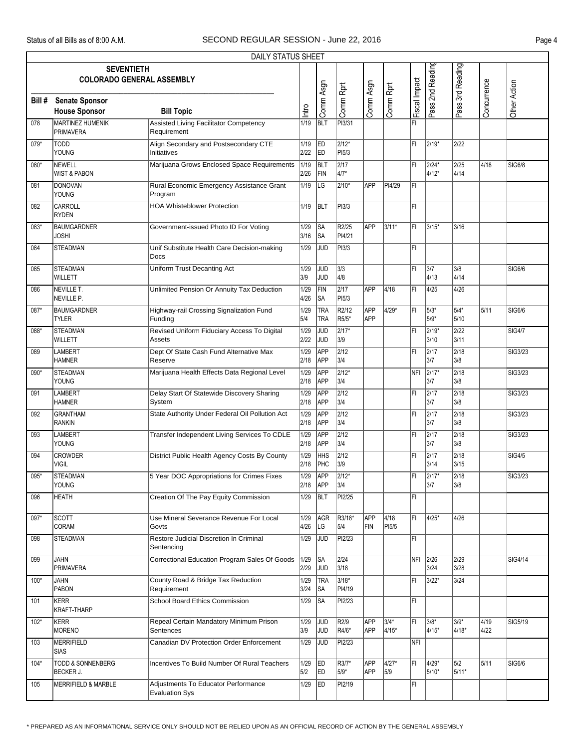|        |                                                       | DAILY STATUS SHEET                                           |              |                          |                          |                   |                        |               |                  |                       |              |               |
|--------|-------------------------------------------------------|--------------------------------------------------------------|--------------|--------------------------|--------------------------|-------------------|------------------------|---------------|------------------|-----------------------|--------------|---------------|
|        | <b>SEVENTIETH</b><br><b>COLORADO GENERAL ASSEMBLY</b> |                                                              |              |                          |                          |                   |                        |               | Pass 2nd Reading | Pass 3rd Reading      |              |               |
| Bill # | <b>Senate Sponsor</b><br><b>House Sponsor</b>         | <b>Bill Topic</b>                                            | Intro        | Comm Asgn                | Comm Rprt                | Comm Asgn         | Comm Rprt              | Fiscal Impact |                  |                       | Concurrence  | Other Action  |
| 078    | <b>MARTINEZ HUMENIK</b><br><b>PRIMAVERA</b>           | <b>Assisted Living Facilitator Competency</b><br>Requirement | 1/19         | <b>BLT</b>               | PI3/31                   |                   |                        | ΙFΙ           |                  |                       |              |               |
| 079*   | <b>TODD</b><br>YOUNG                                  | Align Secondary and Postsecondary CTE<br>Initiatives         | 1/19<br>2/22 | <b>ED</b><br>ED          | $2/12*$<br>PI5/3         |                   |                        | ΙFΙ           | 2/19*            | 2/22                  |              |               |
| 080*   | NEWELL<br><b>WIST &amp; PABON</b>                     | Marijuana Grows Enclosed Space Requirements                  | 1/19<br>2/26 | BLT<br>FIN               | $\sqrt{2/17}$<br>4/7*    |                   |                        | l۴ı           | 2/24*<br>$4/12*$ | 2/25<br>4/14          | 4/18         | <b>SIG6/8</b> |
| 081    | DONOVAN<br>YOUNG                                      | Rural Economic Emergency Assistance Grant<br>Program         | 1/19         | LG                       | $2/10*$                  | <b>APP</b>        | PI4/29                 | FI            |                  |                       |              |               |
| 082    | CARROLL<br><b>RYDEN</b>                               | <b>HOA Whisteblower Protection</b>                           | 1/19         | <b>BLT</b>               | PI3/3                    |                   |                        | FI            |                  |                       |              |               |
| 083*   | <b>BAUMGARDNER</b><br><b>JOSHI</b>                    | Government-issued Photo ID For Voting                        | 1/29<br>3/16 | <b>SA</b><br> SA         | R2/25<br>PI4/21          | <b>APP</b>        | 3/11*                  | l۴ı           | 3/15*            | 3/16                  |              |               |
| 084    | <b>STEADMAN</b>                                       | Unif Substitute Health Care Decision-making<br>Docs          | 1/29         | <b>JUD</b>               | PI3/3                    |                   |                        | FI            |                  |                       |              |               |
| 085    | <b>STEADMAN</b><br>WILLETT                            | Uniform Trust Decanting Act                                  | 1/29<br>3/9  | JUD<br><b>JUD</b>        | 3/3<br>4/8               |                   |                        | FI            | 3/7<br>4/13      | 3/8<br>4/14           |              | SIG6/6        |
| 086    | NEVILLE T.<br>NEVILLE P.                              | Unlimited Pension Or Annuity Tax Deduction                   | 1/29<br>4/26 | FIN<br> SA               | 2/17<br>PI5/3            | <b>APP</b>        | 4/18                   | l۴۱           | 4/25             | 4/26                  |              |               |
| 087*   | <b>BAUMGARDNER</b><br><b>TYLER</b>                    | Highway-rail Crossing Signalization Fund<br>Funding          | 1/29<br>5/4  | <b>TRA</b><br><b>TRA</b> | R2/12<br>R5/5*           | <b>APP</b><br>APP | $4/29*$                | FI            | 5/3*<br>$5/9*$   | $5/4*$<br>5/10        | 5/11         | SIG6/6        |
| 088*   | <b>STEADMAN</b><br>WILLETT                            | Revised Uniform Fiduciary Access To Digital<br><b>Assets</b> | 1/29<br>2/22 | <b>JUD</b><br>JUD        | $\sqrt{2/17^*}$<br>3/9   |                   |                        | FI            | 2/19*<br>3/10    | 2/22<br>3/11          |              | <b>SIG4/7</b> |
| 089    | LAMBERT<br><b>HAMNER</b>                              | Dept Of State Cash Fund Alternative Max<br>Reserve           | 1/29<br>2/18 | APP<br><b>APP</b>        | $\overline{2/12}$<br>3/4 |                   |                        | l۴ı           | 2/17<br>3/7      | $\sqrt{2/18}$<br>3/8  |              | SIG3/23       |
| 090*   | <b>STEADMAN</b><br>YOUNG                              | Marijuana Health Effects Data Regional Level                 | 1/29<br>2/18 | APP<br><b>APP</b>        | $2/12*$<br>3/4           |                   |                        | NFI           | $2/17*$<br>3/7   | 2/18<br>3/8           |              | SIG3/23       |
| 091    | <b>LAMBERT</b><br><b>HAMNER</b>                       | Delay Start Of Statewide Discovery Sharing<br>System         | 1/29<br>2/18 | <b>APP</b><br>APP        | $\overline{2/12}$<br>3/4 |                   |                        | FI            | 2/17<br>3/7      | $\sqrt{2/18}$<br>3/8  |              | SIG3/23       |
| 092    | <b>GRANTHAM</b><br><b>RANKIN</b>                      | State Authority Under Federal Oil Pollution Act              | 1/29<br>2/18 | APP<br>APP               | $\overline{2/12}$<br>3/4 |                   |                        | l۴ı           | 2/17<br>3/7      | $\sqrt{2/18}$<br>3/8  |              | SIG3/23       |
| 093    | <b>LAMBERT</b><br>YOUNG                               | Transfer Independent Living Services To CDLE                 | 1/29<br>2/18 | <b>APP</b><br>APP        | $\overline{2/12}$<br>3/4 |                   |                        | FI            | 2/17<br>3/7      | 2/18<br>3/8           |              | SIG3/23       |
| 094    | <b>CROWDER</b><br><b>VIGIL</b>                        | District Public Health Agency Costs By County                | 1/29<br>2/18 | <b>HHS</b><br>PHC        | $\overline{2/12}$<br>3/9 |                   |                        | FI            | 2/17<br>3/14     | $\sqrt{2/18}$<br>3/15 |              | <b>SIG4/5</b> |
| 095*   | <b>STEADMAN</b><br><b>YOUNG</b>                       | 5 Year DOC Appropriations for Crimes Fixes                   | 1/29<br>2/18 | <b>APP</b><br>APP        | $\sqrt{2/12^*}$<br>3/4   |                   |                        | İFI           | 2/17*<br>3/7     | 2/18<br>3/8           |              | SIG3/23       |
| 096    | <b>HEATH</b>                                          | Creation Of The Pay Equity Commission                        | 1/29         | <b>BLT</b>               | PI2/25                   |                   |                        | FI            |                  |                       |              |               |
| 097*   | <b>SCOTT</b><br>CORAM                                 | Use Mineral Severance Revenue For Local<br>Govts             | 1/29<br>4/26 | AGR<br>LG                | R3/18*<br>5/4            | APP<br>FIN        | $\sqrt{4/18}$<br>PI5/5 | FI            | $14/25*$         | 4/26                  |              |               |
| 098    | <b>STEADMAN</b>                                       | Restore Judicial Discretion In Criminal<br>Sentencing        | 1/29         | JUD                      | PI2/23                   |                   |                        | FL            |                  |                       |              |               |
| 099    | JAHN<br><b>PRIMAVERA</b>                              | Correctional Education Program Sales Of Goods                | 1/29<br>2/29 | <b>SA</b><br>JUD         | 2/24<br>3/18             |                   |                        |               | NFI 2/26<br>3/24 | 2/29<br>3/28          |              | SIG4/14       |
| $100*$ | <b>JAHN</b><br>PABON                                  | County Road & Bridge Tax Reduction<br>Requirement            | 1/29<br>3/24 | <b>TRA</b><br><b>SA</b>  | $3/18*$<br>PI4/19        |                   |                        | FI            | 3/22*            | 3/24                  |              |               |
| 101    | KERR<br>KRAFT-THARP                                   | <b>School Board Ethics Commission</b>                        | 1/29         | ∣SA                      | PI2/23                   |                   |                        | FI            |                  |                       |              |               |
| 102*   | KERR<br>MORENO                                        | Repeal Certain Mandatory Minimum Prison<br>Sentences         | 1/29<br>3/9  | <b>JUD</b><br><b>JUD</b> | R2/9<br>R4/6*            | <b>APP</b><br>APP | $3/4*$<br>4/15*        | FI            | 3/8*<br>$4/15*$  | $3/9*$<br>4/18*       | 4/19<br>4/22 | SIG5/19       |
| 103    | MERRIFIELD<br>SIAS                                    | Canadian DV Protection Order Enforcement                     | 1/29         | <b>JUD</b>               | PI2/23                   |                   |                        | NFI           |                  |                       |              |               |
| 104*   | <b>TODD &amp; SONNENBERG</b><br><b>BECKER J.</b>      | Incentives To Build Number Of Rural Teachers                 | 1/29<br>5/2  | ED<br>ED                 | R3/7*<br>5/9*            | <b>APP</b><br>APP | $4/27*$<br>5/9         | ΙFΙ           | 4/29*<br>5/10*   | 5/2<br>5/11*          | 5/11         | <b>SIG6/6</b> |
| 105    | <b>MERRIFIELD &amp; MARBLE</b>                        | Adjustments To Educator Performance<br><b>Evaluation Sys</b> | 1/29         | <b>ED</b>                | PI2/19                   |                   |                        | FI            |                  |                       |              |               |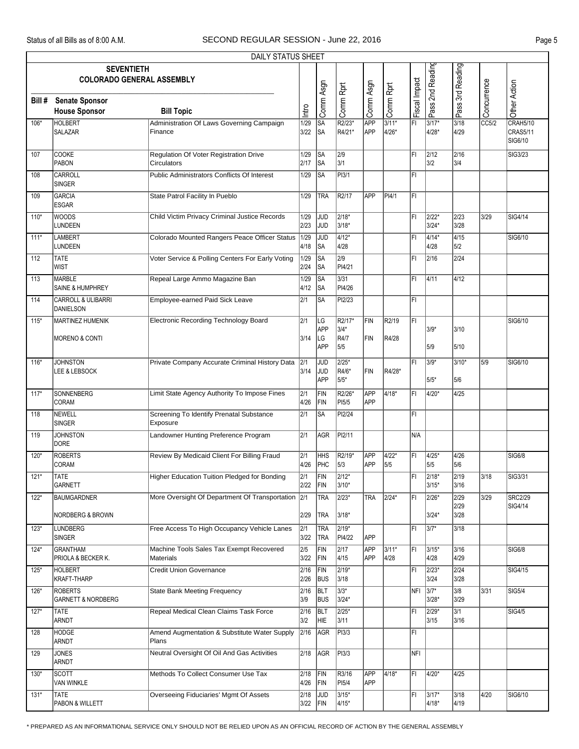|        |                                                       | DAILY STATUS SHEET                                           |                          |                              |                            |                   |                    |               |                  |                       |                    |                                        |
|--------|-------------------------------------------------------|--------------------------------------------------------------|--------------------------|------------------------------|----------------------------|-------------------|--------------------|---------------|------------------|-----------------------|--------------------|----------------------------------------|
|        | <b>SEVENTIETH</b><br><b>COLORADO GENERAL ASSEMBLY</b> |                                                              |                          |                              |                            |                   |                    |               | Pass 2nd Reading | Pass 3rd Reading      |                    |                                        |
| Bill#  | <b>Senate Sponsor</b><br><b>House Sponsor</b>         | <b>Bill Topic</b>                                            | Intro                    | Comm Asgn                    | Comm Rprt                  | Comm Asgn         | Comm Rprt          | Fiscal Impact |                  |                       | Concurrence        | Other Action                           |
| 106*   | <b>HOLBERT</b><br><b>SALAZAR</b>                      | Administration Of Laws Governing Campaign<br>Finance         | 1/29<br>3/22             | SA<br>lsa                    | R2/23*<br>R4/21*           | APP<br>APP        | $3/11*$<br>$4/26*$ | FI            | 3/17*<br>4/28*   | 3/18<br>4/29          | $\overline{CC5/2}$ | CRAH5/10<br><b>CRAS5/11</b><br>SIG6/10 |
| 107    | <b>COOKE</b><br>PABON                                 | Regulation Of Voter Registration Drive<br>Circulators        | 1/29<br>2/17             | SA<br> SA                    | 2/9<br>3/1                 |                   |                    | l۴ı           | 2/12<br>3/2      | 2/16<br>3/4           |                    | SIG3/23                                |
| 108    | CARROLL<br><b>SINGER</b>                              | Public Administrators Conflicts Of Interest                  | 1/29                     | SA                           | PI3/1                      |                   |                    | FI            |                  |                       |                    |                                        |
| 109    | <b>GARCIA</b><br><b>ESGAR</b>                         | State Patrol Facility In Pueblo                              | 1/29                     | <b>TRA</b>                   | R <sub>2</sub> /17         | APP               | PI4/1              | FI            |                  |                       |                    |                                        |
| $110*$ | <b>WOODS</b><br>LUNDEEN                               | Child Victim Privacy Criminal Justice Records                | 1/29<br>2/23             | JUD<br><b>JUD</b>            | $2/18*$<br>3/18*           |                   |                    | FI            | 2/22*<br>$3/24*$ | $\sqrt{2/23}$<br>3/28 | 3/29               | SIG4/14                                |
| $111*$ | <b>LAMBERT</b><br>LUNDEEN                             | Colorado Mounted Rangers Peace Officer Status                | 1/29<br>4/18             | JUD<br>SA                    | $4/12*$<br>4/28            |                   |                    | FI            | 4/14*<br>4/28    | 4/15<br>5/2           |                    | SIG6/10                                |
| 112    | <b>TATE</b><br><b>WIST</b>                            | Voter Service & Polling Centers For Early Voting             | 1/29<br>2/24             | $\overline{\text{SA}}$<br>SA | $\overline{2/9}$<br>PI4/21 |                   |                    | ΙFΙ           | 2/16             | 2/24                  |                    |                                        |
| 113    | MARBLE<br>SAINE & HUMPHREY                            | Repeal Large Ammo Magazine Ban                               | 1/29<br>4/12             | SA<br> SA                    | $3/31$<br>PI4/26           |                   |                    | ΙFΙ           | 4/11             | 4/12                  |                    |                                        |
| 114    | <b>CARROLL &amp; ULIBARRI</b><br>DANIELSON            | <b>Employee-earned Paid Sick Leave</b>                       | 2/1                      | SA                           | PI2/23                     |                   |                    | FI            |                  |                       |                    |                                        |
| $115*$ | <b>MARTINEZ HUMENIK</b><br><b>MORENO &amp; CONTI</b>  | Electronic Recording Technology Board                        | 2/1<br>3/14              | LG<br><b>APP</b><br>LG       | R2/17*<br>3/4*<br>R4/7     | FIN<br>FIN        | R2/19<br>R4/28     | l۴۱           | $3/9*$           | 3/10                  |                    | SIG6/10                                |
| $116*$ | <b>JOHNSTON</b>                                       | Private Company Accurate Criminal History Data               | 2/1                      | <b>APP</b><br><b>JUD</b>     | 5/5<br>$2/25*$             |                   |                    | FI            | 5/9<br>3/9*      | 5/10<br>$3/10*$       | 5/9                | SIG6/10                                |
|        | <b>LEE &amp; LEBSOCK</b>                              |                                                              | 3/14                     | JUD<br><b>APP</b>            | R4/6*<br>5/5*              | FIN               | R4/28*             |               | 5/5*             | 5/6                   |                    |                                        |
| $117*$ | SONNENBERG<br>CORAM                                   | Limit State Agency Authority To Impose Fines                 | 2/1<br>4/26              | FIN<br>FIN                   | R2/26*<br>PI5/5            | <b>APP</b><br>APP | $4/18*$            | FI            | 4/20*            | $\sqrt{4/25}$         |                    |                                        |
| 118    | NEWELL<br><b>SINGER</b>                               | Screening To Identify Prenatal Substance<br>Exposure         | 2/1                      | SA                           | PI2/24                     |                   |                    | FI            |                  |                       |                    |                                        |
| 119    | <b>JOHNSTON</b><br><b>DORE</b>                        | Landowner Hunting Preference Program                         | 2/1                      | AGR                          | PI2/11                     |                   |                    | N/A           |                  |                       |                    |                                        |
| $120*$ | <b>ROBERTS</b><br><b>CORAM</b>                        | Review By Medicaid Client For Billing Fraud                  | 2/1<br>4/26              | <b>HHS</b><br>PHC            | R2/19*<br>5/3              | APP<br>APP        | $4/22*$<br>5/5     | FI            | 4/25*<br>5/5     | 4/26<br>5/6           |                    | <b>SIG6/8</b>                          |
| $121*$ | <b>TATE</b><br>GARNETT                                | Higher Education Tuition Pledged for Bonding                 | $\overline{2/1}$<br>2/22 | FIN<br>FIN                   | $2/12*$<br>3/10*           |                   |                    | ĪFI           | $2/18*$<br>3/15* | $\sqrt{2/19}$<br>3/16 | 3/18               | SIG3/31                                |
| $122*$ | <b>BAUMGARDNER</b><br>NORDBERG & BROWN                | More Oversight Of Department Of Transportation               | 2/1<br>2/29              | TRA<br><b>TRA</b>            | $2/23*$<br>3/18*           | <b>TRA</b>        | $2/24*$            | FI            | 2/26*<br>$3/24*$ | 2/29<br>2/29<br>3/28  | 3/29               | <b>SRC2/29</b><br>SIG4/14              |
| $123*$ | LUNDBERG<br><b>SINGER</b>                             | Free Access To High Occupancy Vehicle Lanes                  | 2/1<br>3/22              | <b>TRA</b><br><b>TRA</b>     | $2/19*$<br>PI4/22          | <b>APP</b>        |                    | FI            | $37*$            | 3/18                  |                    |                                        |
| 124*   | <b>GRANTHAM</b><br>PRIOLA & BECKER K.                 | Machine Tools Sales Tax Exempt Recovered<br><b>Materials</b> | 2/5<br>3/22              | FIN<br>FIN                   | 2/17<br>4/15               | APP<br>APP        | $3/11*$<br>4/28    | FI            | 3/15*<br>4/28    | 3/16<br>4/29          |                    | <b>SIG6/8</b>                          |
| 125*   | <b>HOLBERT</b><br><b>KRAFT-THARP</b>                  | <b>Credit Union Governance</b>                               | 2/16<br>2/26             | FIN<br><b>BUS</b>            | 2/19*<br>3/18              |                   |                    | FI            | 2/23*<br>3/24    | 2/24<br>3/28          |                    | SIG4/15                                |
| 126*   | <b>ROBERTS</b><br><b>GARNETT &amp; NORDBERG</b>       | <b>State Bank Meeting Frequency</b>                          | 2/16<br>3/9              | <b>BLT</b><br><b>BUS</b>     | $3/3*$<br>3/24*            |                   |                    | $NFI$ 3/7*    | 3/28*            | 3/8<br>3/29           | 3/31               | SIG5/4                                 |
| $127*$ | TATE<br>ARNDT                                         | Repeal Medical Clean Claims Task Force                       | 2/16<br>3/2              | BLT<br>HIE.                  | 2/25*<br>3/11              |                   |                    | FI            | 2/29*<br>3/15    | 3/1<br>3/16           |                    | SIG4/5                                 |
| 128    | HODGE<br>ARNDT                                        | Amend Augmentation & Substitute Water Supply<br>Plans        | 2/16                     | AGR                          | PI3/3                      |                   |                    | FL            |                  |                       |                    |                                        |
| 129    | <b>JONES</b><br>ARNDT                                 | Neutral Oversight Of Oil And Gas Activities                  | 2/18                     | AGR                          | PI3/3                      |                   |                    | NFI           |                  |                       |                    |                                        |
| 130*   | <b>SCOTT</b><br>VAN WINKLE                            | Methods To Collect Consumer Use Tax                          | 2/18<br>4/26             | FIN<br>FIN                   | R3/16<br>PI5/4             | APP<br>APP        | 4/18*              | FI            | 4/20*            | 4/25                  |                    |                                        |
| $131*$ | TATE<br>PABON & WILLETT                               | Overseeing Fiduciaries' Mgmt Of Assets                       | 2/18<br>3/22             | <b>JUD</b><br>FIN            | $3/15*$<br>4/15*           |                   |                    | FL            | 3/17*<br>4/18*   | 3/18<br>4/19          | 4/20               | SIG6/10                                |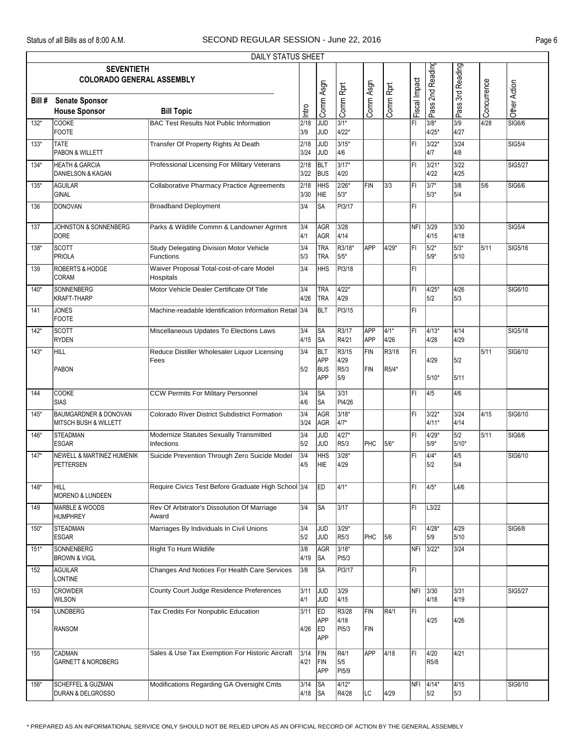|        |                                                                      | DAILY STATUS SHEET                                          |                       |                               |                          |            |                |               |                          |                     |             |                |
|--------|----------------------------------------------------------------------|-------------------------------------------------------------|-----------------------|-------------------------------|--------------------------|------------|----------------|---------------|--------------------------|---------------------|-------------|----------------|
|        | <b>SEVENTIETH</b><br><b>COLORADO GENERAL ASSEMBLY</b>                |                                                             |                       |                               |                          |            |                |               | Pass 2nd Reading         | Pass 3rd Reading    |             |                |
| Bill # | <b>Senate Sponsor</b><br><b>House Sponsor</b>                        | <b>Bill Topic</b>                                           | Intro                 | Comm Asgn                     | Comm Rprt                | Comm Asgn  | Comm Rprt      | Fiscal Impact |                          |                     | Concurrence | Other Action   |
| $132*$ | <b>COOKE</b><br><b>FOOTE</b>                                         | <b>BAC Test Results Not Public Information</b>              | 2/18<br>3/9           | JUD<br>JUD                    | $3/1*$<br>4/22*          |            |                | l۴ı           | 3/8*<br>4/25*            | 3/9<br>4/27         | 4/28        | SIG6/6         |
| 133*   | <b>TATE</b><br>PABON & WILLETT                                       | Transfer Of Property Rights At Death                        | $\sqrt{2/18}$<br>3/24 | JUD<br>JUD                    | $3/15*$<br>4/6           |            |                | FI            | 3/22*<br>4/7             | $3/24$<br>4/8       |             | <b>SIG5/4</b>  |
| $134*$ | <b>HEATH &amp; GARCIA</b><br>DANIELSON & KAGAN                       | Professional Licensing For Military Veterans                | 2/18<br>3/22          | <b>BLT</b><br><b>BUS</b>      | $3/17*$<br>4/20          |            |                | FI            | 3/21*<br>4/22            | $3/22$<br>4/25      |             | <b>SIG5/27</b> |
| $135*$ | <b>AGUILAR</b><br>GINAL                                              | <b>Collaborative Pharmacy Practice Agreements</b>           | 2/18<br>3/30          | <b>HHS</b><br>HIE             | $2/26*$<br>5/3*          | FIN        | 3/3            | l۴ı           | $3/7*$<br>$5/3*$         | 3/8<br>5/4          | 5/6         | <b>SIG6/6</b>  |
| 136    | DONOVAN                                                              | <b>Broadband Deployment</b>                                 | 3/4                   | <b>SA</b>                     | PI3/17                   |            |                | FL            |                          |                     |             |                |
| 137    | JOHNSTON & SONNENBERG<br><b>DORE</b>                                 | Parks & Wildlife Commn & Landowner Agrmnt                   | 3/4<br>4/1            | <b>AGR</b><br>AGR             | $3/28$<br>4/14           |            |                |               | NFI 3/29<br>4/15         | 3/30<br>4/18        |             | <b>SIG5/4</b>  |
| 138*   | <b>SCOTT</b><br>PRIOLA                                               | <b>Study Delegating Division Motor Vehicle</b><br>Functions | 3/4<br>5/3            | TRA<br>TRA                    | R3/18*<br>5/5*           | APP        | $4/29*$        | FI            | 5/2*<br>5/9*             | $5/3*$<br>5/10      | 5/11        | SIG5/16        |
| 139    | <b>ROBERTS &amp; HODGE</b><br>CORAM                                  | Waiver Proposal Total-cost-of-care Model<br>Hospitals       | 3/4                   | <b>HHS</b>                    | PI3/18                   |            |                | FI            |                          |                     |             |                |
| $140*$ | SONNENBERG<br>KRAFT-THARP                                            | Motor Vehicle Dealer Certificate Of Title                   | 3/4<br>4/26           | <b>TRA</b><br><b>TRA</b>      | $4/22*$<br>4/29          |            |                | l۴ı           | 4/25*<br>5/2             | 4/26<br>5/3         |             | SIG6/10        |
| 141    | <b>JONES</b><br><b>FOOTE</b>                                         | Machine-readable Identification Information Retail 3/4      |                       | <b>BLT</b>                    | PI3/15                   |            |                | FI            |                          |                     |             |                |
| $142*$ | SCOTT<br><b>RYDEN</b>                                                | Miscellaneous Updates To Elections Laws                     | 3/4<br>4/15           | SA<br>SA                      | R3/17<br>R4/21           | APP<br>APP | $4/1*$<br>4/26 | FL            | $4/13*$<br>4/28          | 4/14<br>4/29        |             | SIG5/18        |
| $143*$ | HILL                                                                 | Reduce Distiller Wholesaler Liquor Licensing<br>Fees        | 3/4                   | BLT<br>APP                    | R3/15<br>4/29            | FIN        | R3/18          | ĪFĪ           | 4/29                     | 5/2                 | 5/11        | SIG6/10        |
|        | PABON                                                                |                                                             | 5/2                   | BUS<br><b>APP</b>             | R <sub>5</sub> /3<br>5/9 | FIN        | R5/4*          |               | 5/10*                    | 5/11                |             |                |
| 144    | <b>COOKE</b><br><b>SIAS</b>                                          | CCW Permits For Military Personnel                          | 3/4<br>4/6            | SA<br>SA                      | $3/31$<br>PI4/26         |            |                | FL            | $\sqrt{4/5}$             | 4/6                 |             |                |
| $145*$ | <b>BAUMGARDNER &amp; DONOVAN</b><br><b>MITSCH BUSH &amp; WILLETT</b> | Colorado River District Subdistrict Formation               | 3/4<br>3/24           | <b>AGR</b><br>AGR             | $3/18*$<br>4/7*          |            |                | l۴۱           | 3/22*<br>4/11*           | $3/24$<br>4/14      | 4/15        | SIG6/10        |
| $146*$ | <b>STEADMAN</b><br><b>ESGAR</b>                                      | Modernize Statutes Sexually Transmitted<br>Infections       | 3/4<br>5/2            | JUD<br>JUD                    | $4/27*$<br>R5/3          | <b>PHC</b> | $5/6*$         | FI            | 4/29*<br>$5/9*$          | 5/2<br>5/10*        | 5/11        | SIG6/6         |
| $147*$ | NEWELL & MARTINEZ HUMENIK<br><b>PETTERSEN</b>                        | Suicide Prevention Through Zero Suicide Model               | 3/4<br>4/5            | <b>HHS</b><br>HIE             | $3/28*$<br>4/29          |            |                | FI            | $4/4*$<br>5/2            | $\sqrt{4/5}$<br>5/4 |             | SIG6/10        |
| $148*$ | HILL<br><b>MORENO &amp; LUNDEEN</b>                                  | Require Civics Test Before Graduate High School 3/4         |                       | ED                            | 4/1*                     |            |                | FI            | $4/5*$                   | L4/6                |             |                |
| 149    | <b>MARBLE &amp; WOODS</b><br><b>HUMPHREY</b>                         | Rev Of Arbitrator's Dissolution Of Marriage<br>Award        | 3/4                   | <b>SA</b>                     | 3/17                     |            |                | FI            | L3/22                    |                     |             |                |
| 150*   | STEADMAN<br><b>ESGAR</b>                                             | Marriages By Individuals In Civil Unions                    | 3/4<br>5/2            | JUD<br><b>JUD</b>             | $3/29*$<br>R5/3          | PHC        | 5/6            | FI            | 4/28*<br>5/9             | 4/29<br>5/10        |             | SIG6/8         |
| $151*$ | <b>SONNENBERG</b><br><b>BROWN &amp; VIGIL</b>                        | Right To Hunt Wildlife                                      | 3/8<br>4/19           | AGR<br>SA                     | 3/18*<br>PI5/3           |            |                |               | NFI 3/22*                | 3/24                |             |                |
| 152    | <b>AGUILAR</b><br>LONTINE                                            | Changes And Notices For Health Care Services                | 3/8                   | SA                            | PI3/17                   |            |                | FL            |                          |                     |             |                |
| 153    | <b>CROWDER</b><br>WILSON                                             | County Court Judge Residence Preferences                    | 3/11<br>4/1           | JUD<br>JUD                    | $3/29$<br>4/15           |            |                |               | NFI 3/30<br>4/18         | 3/31<br>4/19        |             | SIG5/27        |
| 154    | <b>LUNDBERG</b><br>RANSOM                                            | <b>Tax Credits For Nonpublic Education</b>                  | 3/11<br>4/26          | ED<br>APP<br>ED<br><b>APP</b> | R3/28<br>4/18<br>PI5/3   | FIN<br>FIN | R4/1           | FL            | 4/25                     | 4/26                |             |                |
| 155    | CADMAN<br><b>GARNETT &amp; NORDBERG</b>                              | Sales & Use Tax Exemption For Historic Aircraft             | 3/14<br>4/21          | FIN<br>FIN<br><b>APP</b>      | R4/1<br>5/5<br>PI5/9     | APP        | 4/18           | FL            | 4/20<br>R <sub>5/8</sub> | 4/21                |             |                |
| 156*   | SCHEFFEL & GUZMAN<br><b>DURAN &amp; DELGROSSO</b>                    | Modifications Regarding GA Oversight Cmts                   | 3/14<br>4/18          | SA<br><b>SA</b>               | 4/12*<br>R4/28           | LC         | 4/29           |               | NFI 4/14*<br>5/2         | 4/15<br>5/3         |             | SIG6/10        |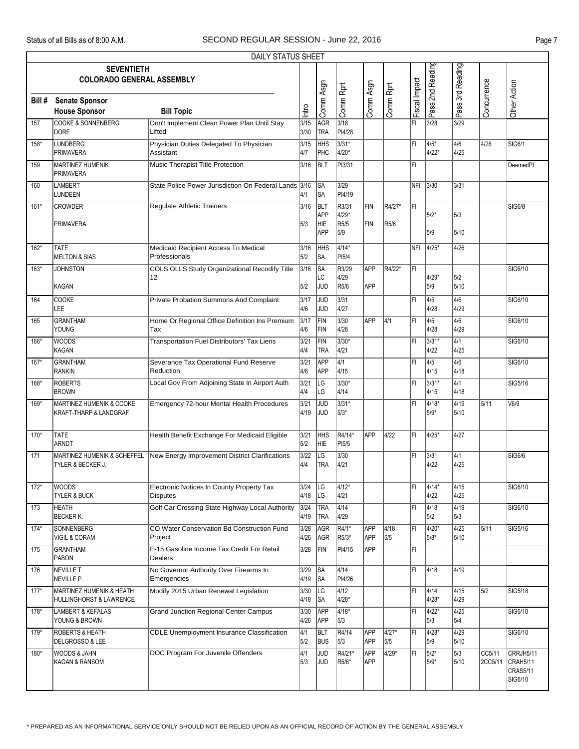|        |                                                               | DAILY STATUS SHEET                                                           |                     |                                         |                               |                          |                |               |                  |                          |                   |                                                     |
|--------|---------------------------------------------------------------|------------------------------------------------------------------------------|---------------------|-----------------------------------------|-------------------------------|--------------------------|----------------|---------------|------------------|--------------------------|-------------------|-----------------------------------------------------|
|        | <b>SEVENTIETH</b><br><b>COLORADO GENERAL ASSEMBLY</b>         |                                                                              |                     |                                         |                               |                          |                |               | Pass 2nd Reading | Pass 3rd Reading         |                   |                                                     |
| Bill # | <b>Senate Sponsor</b><br><b>House Sponsor</b>                 | <b>Bill Topic</b>                                                            | Intro               | Comm Asgn                               | Comm Rprt                     | Comm Asgn                | Comm Rprt      | Fiscal Impact |                  |                          | Concurrence       | Other Action                                        |
| 157    | <b>COOKE &amp; SONNENBERG</b><br><b>DORE</b>                  | Don't Implement Clean Power Plan Until Stay<br>Lifted                        | 3/15<br>3/30        | AGR<br><b>TRA</b>                       | 3/18<br>PI4/28                |                          |                | l۴ı           | 3/28             | 3/29                     |                   |                                                     |
| 158*   | <b>LUNDBERG</b><br><b>PRIMAVERA</b>                           | Physician Duties Delegated To Physician<br>Assistant                         | 3/15<br>4/7         | HHS<br>PHC                              | $3/31*$<br>4/20*              |                          |                | FI            | 4/5*<br>4/22*    | 4/6<br>4/25              | 4/26              | SIG6/1                                              |
| 159    | <b>MARTINEZ HUMENIK</b><br><b>PRIMAVERA</b>                   | Music Therapist Title Protection                                             | 3/16                | BLT                                     | PI3/31                        |                          |                | FI            |                  |                          |                   | <b>DeemedPI</b>                                     |
| 160    | <b>LAMBERT</b><br><b>LUNDEEN</b>                              | State Police Power Jurisdiction On Federal Lands 3/16                        | 4/1                 | ∣SA<br>∣SA                              | 3/29<br>PI4/19                |                          |                | NFI.          | 3/30             | 3/31                     |                   |                                                     |
| $161*$ | <b>CROWDER</b><br><b>PRIMAVERA</b>                            | Regulate Athletic Trainers                                                   | 3/16<br>5/3         | BLT<br><b>APP</b><br> HIE<br><b>APP</b> | R3/31<br>4/29*<br>R5/5<br>5/9 | <b>FIN</b><br><b>FIN</b> | R4/27*<br>R5/6 | ĪFI           | 5/2*<br>5/9      | 5/3<br>5/10              |                   | <b>SIG6/8</b>                                       |
| 162*   | <b>TATE</b><br><b>MELTON &amp; SIAS</b>                       | Medicaid Recipient Access To Medical<br>Professionals                        | 3/16<br>5/2         | HHS<br> SA                              | $4/14*$<br>PI <sub>5/4</sub>  |                          |                | NFI           | 4/25*            | 4/26                     |                   |                                                     |
| 163*   | <b>JOHNSTON</b><br>KAGAN                                      | <b>COLS OLLS Study Organizational Recodify Title</b><br>12                   | 3/16<br>5/2         | ∣SA<br>LС<br>JUD                        | R3/29<br>4/29<br>R5/6         | APP<br>APP               | R4/22*         | ĪFI           | 4/29*<br>5/9     | 5/2<br>5/10              |                   | SIG6/10                                             |
| 164    | COOKE<br>LEE                                                  | Private Probation Summons And Complaint                                      | 3/17<br>4/6         | <b>JUD</b><br>JUD                       | 3/31<br>4/27                  |                          |                | FI            | 4/5<br>4/28      | 4/6<br>4/29              |                   | SIG6/10                                             |
| 165    | <b>GRANTHAM</b><br>YOUNG                                      | Home Or Regional Office Definition Ins Premium<br>Tax                        | 3/17<br>4/6         | FIN<br>FIN                              | 3/30<br>4/28                  | <b>APP</b>               | 4/1            | l۴ı           | 4/5<br>4/28      | 4/6<br>4/29              |                   | SIG6/10                                             |
| 166*   | <b>WOODS</b><br><b>KAGAN</b>                                  | Transportation Fuel Distributors' Tax Liens                                  | 3/21<br>4/4         | FIN<br><b>TRA</b>                       | 3/30*<br>4/21                 |                          |                | FI            | 3/31*<br>4/22    | $\overline{4/1}$<br>4/25 |                   | SIG6/10                                             |
| $167*$ | <b>GRANTHAM</b><br><b>RANKIN</b>                              | Severance Tax Operational Fund Reserve<br>Reduction                          | 3/21<br>4/6         | APP<br><b>APP</b>                       | 4/1<br>4/15                   |                          |                | FI            | 4/5<br>4/15      | 4/6<br>4/18              |                   | SIG6/10                                             |
| 168*   | <b>ROBERTS</b><br><b>BROWN</b>                                | Local Gov From Adjoining State In Airport Auth                               | 3/21<br>4/4         | LG<br>LG                                | 3/30*<br>4/14                 |                          |                | l۴ı           | 3/31*<br>4/15    | 4/1<br>4/18              |                   | SIG5/16                                             |
| 169*   | <b>MARTINEZ HUMENIK &amp; COOKE</b><br>KRAFT-THARP & LANDGRAF | Emergency 72-hour Mental Health Procedures                                   | 3/21<br>4/19        | <b>JUD</b><br><b>JUD</b>                | 3/31*<br>5/3*                 |                          |                | FI            | $4/18*$<br>5/9*  | $\sqrt{4/19}$<br>5/10    | 5/11              | V6/9                                                |
| $170*$ | <b>TATE</b><br><b>ARNDT</b>                                   | Health Benefit Exchange For Medicaid Eligible                                | 3/21<br>5/2         | HHS<br>HIE                              | R4/14*<br>PI5/5               | APP                      | 4/22           | l۴۱           | 4/25*            | $\sqrt{4/27}$            |                   |                                                     |
| 171    | TYLER & BECKER J.                                             | MARTINEZ HUMENIK & SCHEFFEL   New Energy Improvement District Clarifications | 3/22<br>4/4         | LG<br><b>TRA</b>                        | $3/30$<br>4/21                |                          |                | FI            | 3/31<br>4/22     | $\sqrt{4/1}$<br>4/25     |                   | SIG6/6                                              |
| $172*$ | <b>WOODS</b><br><b>TYLER &amp; BUCK</b>                       | Electronic Notices In County Property Tax<br><b>Disputes</b>                 | 3/24<br>4/18        | ∣LG<br>LG                               | 4/12*<br>4/21                 |                          |                | FI            | 4/14*<br>4/22    | 4/15<br>4/25             |                   | SIG6/10                                             |
| 173    | <b>HEATH</b><br><b>BECKER K.</b>                              | Golf Car Crossing State Highway Local Authority                              | 3/24<br>4/19        | TRA<br><b>TRA</b>                       | $\sqrt{4/14}$<br>4/29         |                          |                | l۴ı           | 4/18<br>5/2      | 4/19<br>5/3              |                   | SIG6/10                                             |
| $174*$ | <b>SONNENBERG</b><br><b>VIGIL &amp; CORAM</b>                 | CO Water Conservation Bd Construction Fund<br>Project                        | 3/28<br>4/26        | AGR<br>AGR                              | $R4/1*$<br>R5/3*              | APP<br>APP               | 4/18<br>5/5    | FI            | $4/20*$<br>5/8*  | 4/25<br>5/10             | 5/11              | SIG5/16                                             |
| 175    | <b>GRANTHAM</b><br>PABON                                      | E-15 Gasoline Income Tax Credit For Retail<br>Dealers                        | 3/28                | FIN                                     | PI4/15                        | APP                      |                | FL            |                  |                          |                   |                                                     |
| 176    | NEVILLE T.<br>NEVILLE P.                                      | No Governor Authority Over Firearms In<br>Emergencies                        | 3/29<br>4/19        | <b>SA</b><br><b>SA</b>                  | 4/14<br>PI4/26                |                          |                | l۴۱           | 4/18             | 4/19                     |                   |                                                     |
| $177*$ | MARTINEZ HUMENIK & HEATH<br>HULLINGHORST & LAWRENCE           | Modify 2015 Urban Renewal Legislation                                        | 3/30<br>4/18        | LG<br> SA                               | 4/12<br>4/28*                 |                          |                | FI            | 4/14<br>4/28*    | 4/15<br>4/29             | 5/2               | SIG5/18                                             |
| 178*   | <b>LAMBERT &amp; KEFALAS</b><br>YOUNG & BROWN                 | <b>Grand Junction Regional Center Campus</b>                                 | 3/30<br>4/26        | <b>APP</b><br><b>APP</b>                | $4/18*$<br>5/3                |                          |                | FI            | 4/22*<br>5/3     | 4/25<br>5/4              |                   | SIG6/10                                             |
| 179*   | <b>ROBERTS &amp; HEATH</b><br>DELGROSSO & LEE                 | <b>CDLE Unemployment Insurance Classification</b>                            | 4/1<br>5/2          | BLT<br><b>BUS</b>                       | R4/14<br>5/3                  | APP<br>APP               | 4/27*<br>5/5   | l۴ı           | $4/28*$<br>5/9   | 4/29<br>5/10             |                   | SIG6/10                                             |
| 180*   | <b>WOODS &amp; JAHN</b><br><b>KAGAN &amp; RANSOM</b>          | DOC Program For Juvenile Offenders                                           | $\sqrt{4/1}$<br>5/3 | <b>JUD</b><br><b>JUD</b>                | R4/21*<br>R5/6*               | APP<br>APP               | 4/29*          | ĪFI           | $5/2*$<br>5/9*   | 5/3<br>5/10              | CC5/11<br>2CC5/11 | CRRJH5/11<br>CRAH5/11<br><b>CRAS5/11</b><br>SIG6/10 |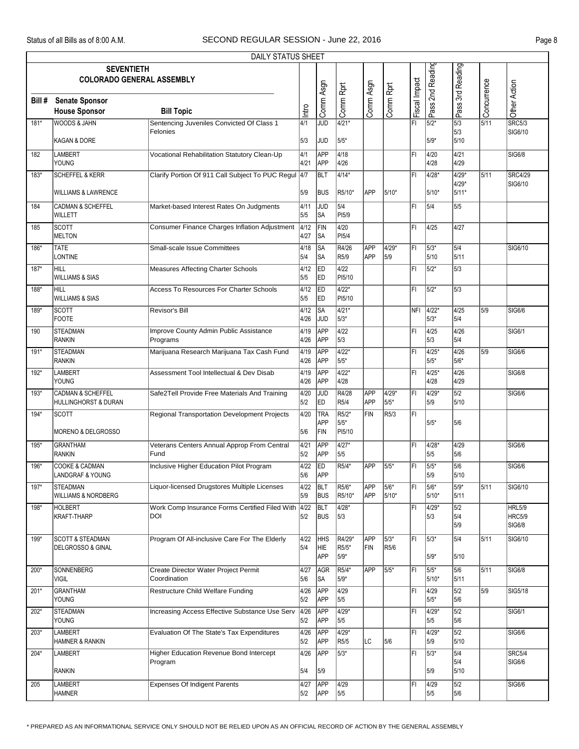|        |                                                       | DAILY STATUS SHEET                                         |              |                          |                             |                          |                   |               |                  |                                             |             |                                          |
|--------|-------------------------------------------------------|------------------------------------------------------------|--------------|--------------------------|-----------------------------|--------------------------|-------------------|---------------|------------------|---------------------------------------------|-------------|------------------------------------------|
|        | <b>SEVENTIETH</b><br><b>COLORADO GENERAL ASSEMBLY</b> |                                                            |              |                          |                             |                          |                   |               | Pass 2nd Reading | Pass 3rd Reading                            |             |                                          |
| Bill # | <b>Senate Sponsor</b><br><b>House Sponsor</b>         | <b>Bill Topic</b>                                          | Intro        | Comm Asgn                | Comm Rprt                   | Comm Asgn                | Comm Rprt         | Fiscal Impact |                  |                                             | Concurrence | Other Action                             |
| 181*   | <b>WOODS &amp; JAHN</b>                               | Sentencing Juveniles Convicted Of Class 1                  | 4/1          | <b>JUD</b>               | $4/21*$                     |                          |                   | l۴ı           | 5/2*             | $\overline{\overline{\smash{5}}/3}$         | 5/11        | SRC5/3                                   |
|        | KAGAN & DORE                                          | Felonies                                                   | 5/3          | JUD                      | 5/5*                        |                          |                   |               | $5/9*$           | 5/3<br>5/10                                 |             | SIG6/10                                  |
| 182    | LAMBERT<br><b>YOUNG</b>                               | Vocational Rehabilitation Statutory Clean-Up               | 4/1<br>4/21  | APP<br><b>APP</b>        | 4/18<br>4/26                |                          |                   | l۴ı           | 4/20<br>4/28     | 4/21<br>4/29                                |             | SIG6/8                                   |
| 183*   | <b>SCHEFFEL &amp; KERR</b>                            | Clarify Portion Of 911 Call Subject To PUC Regul 4/7       |              | BLT                      | 4/14*                       |                          |                   | FI            | 4/28*            | $4/29*$<br>4/29*                            | 5/11        | <b>SRC4/29</b><br>SIG6/10                |
|        | <b>WILLIAMS &amp; LAWRENCE</b>                        |                                                            | 5/9          | <b>BUS</b>               | R5/10*                      | <b>APP</b>               | 5/10*             |               | $5/10*$          | 5/11*                                       |             |                                          |
| 184    | <b>CADMAN &amp; SCHEFFEL</b><br><b>WILLETT</b>        | Market-based Interest Rates On Judgments                   | 4/11<br>5/5  | JUD<br>SA                | 5/4<br>PI5/9                |                          |                   | FL            | 5/4              | 5/5                                         |             |                                          |
| 185    | <b>SCOTT</b><br><b>MELTON</b>                         | Consumer Finance Charges Inflation Adjustment              | 4/12<br>4/27 | FIN<br>SA                | 4/20<br>PI5/4               |                          |                   | ΙFΙ           | 4/25             | 4/27                                        |             |                                          |
| 186*   | <b>TATE</b><br><b>LONTINE</b>                         | Small-scale Issue Committees                               | 4/18<br>5/4  | SA<br>SA                 | R4/26<br>R5/9               | <b>APP</b><br><b>APP</b> | 4/29*<br>5/9      | FI            | 5/3*<br>5/10     | $\sqrt{5/4}$<br>5/11                        |             | SIG6/10                                  |
| $187*$ | HILL<br><b>WILLIAMS &amp; SIAS</b>                    | Measures Affecting Charter Schools                         | 4/12<br>5/5  | ED<br>ED                 | 4/22<br>PI5/10              |                          |                   | FI            | 5/2*             | 5/3                                         |             |                                          |
| 188*   | <b>HILL</b><br><b>WILLIAMS &amp; SIAS</b>             | <b>Access To Resources For Charter Schools</b>             | 4/12<br>5/5  | <b>IED</b><br>ED         | $4/22*$<br>PI5/10           |                          |                   | ΙFΙ           | 5/2*             | 5/3                                         |             |                                          |
| 189*   | <b>SCOTT</b><br><b>FOOTE</b>                          | Revisor's Bill                                             | 4/12<br>4/26 | SA<br>JUD                | $4/21*$<br>5/3*             |                          |                   | NFI           | 4/22*<br>$5/3*$  | 4/25<br>5/4                                 | 5/9         | SIG6/6                                   |
| 190    | <b>STEADMAN</b><br><b>RANKIN</b>                      | Improve County Admin Public Assistance<br>Programs         | 4/19<br>4/26 | APP<br><b>APP</b>        | 4/22<br>5/3                 |                          |                   | FI            | 4/25<br>5/3      | 4/26<br>5/4                                 |             | SIG6/1                                   |
| 191*   | <b>STEADMAN</b><br><b>RANKIN</b>                      | Marijuana Research Marijuana Tax Cash Fund                 | 4/19<br>4/26 | APP<br><b>APP</b>        | $4/22*$<br>5/5*             |                          |                   | l۴ı           | 4/25*<br>$5/5*$  | 4/26<br>5/6*                                | 5/9         | SIG6/6                                   |
| 192*   | LAMBERT<br>YOUNG                                      | Assessment Tool Intellectual & Dev Disab                   | 4/19<br>4/26 | APP<br>APP               | $4/22*$<br>4/28             |                          |                   | l۴ı           | $4/25*$<br>4/28  | 4/26<br>4/29                                |             | <b>SIG6/8</b>                            |
| 193*   | <b>CADMAN &amp; SCHEFFEL</b><br>HULLINGHORST & DURAN  | Safe2Tell Provide Free Materials And Training              | 4/20<br>5/2  | JUD<br>ED                | R4/28<br>R5/4               | <b>APP</b><br>APP        | 4/29*<br>5/5*     | FI            | 4/29*<br>5/9     | 5/2<br>5/10                                 |             | SIG6/6                                   |
| 194*   | <b>SCOTT</b><br>MORENO & DELGROSSO                    | Regional Transportation Development Projects               | 4/20<br>5/6  | TRA<br>APP<br>FIN        | $R5/2*$<br>5/5*<br>PI5/10   | FIN                      | R <sub>5</sub> /3 | ĪFI           | $5/5*$           | 5/6                                         |             |                                          |
| 195*   | <b>GRANTHAM</b><br><b>RANKIN</b>                      | Veterans Centers Annual Approp From Central<br>Fund        | 4/21<br>5/2  | APP<br><b>APP</b>        | $4/27*$<br>5/5              |                          |                   | l۴ı           | 4/28*<br>5/5     | 4/29<br>5/6                                 |             | SIG6/6                                   |
| 196*   | <b>COOKE &amp; CADMAN</b><br>LANDGRAF & YOUNG         | Inclusive Higher Education Pilot Program                   | 4/22<br>5/6  | ED<br><b>APP</b>         | R5/4*                       | APP                      | $5/5*$            | FI            | 5/5*<br>5/9      | 5/6<br>5/10                                 |             | SIG6/6                                   |
| 197*   | <b>STEADMAN</b><br><b>WILLIAMS &amp; NORDBERG</b>     | Liquor-licensed Drugstores Multiple Licenses               | 4/22<br>5/9  | BLT<br><b>BUS</b>        | R5/6*<br>R5/10*             | APP<br><b>APP</b>        | $5/6*$<br>$5/10*$ | FI            | 5/6*<br>$5/10*$  | $5/9*$<br>5/11                              | 5/11        | SIG6/10                                  |
| 198*   | <b>HOLBERT</b><br>KRAFT-THARP                         | Work Comp Insurance Forms Certified Filed With 4/22<br>DOI | 5/2          | <b>BLT</b><br><b>BUS</b> | 4/28*<br>5/3                |                          |                   | FI            | 4/29*<br>5/3     | 5/2<br>5/4<br>5/9                           |             | <b>HRL5/9</b><br><b>HRC5/9</b><br>SIG6/8 |
| 199*   | <b>SCOTT &amp; STEADMAN</b><br>DELGROSSO & GINAL      | Program Of All-inclusive Care For The Elderly              | 4/22<br>5/4  | <b>HHS</b><br>HIE<br>APP | R4/29*<br>R5/5*<br>5/9*     | <b>APP</b><br>FIN        | $5/3*$<br>R5/6    | l۴۱           | 5/3*<br>$5/9*$   | $\overline{\overline{\frac{5}{4}}}$<br>5/10 | 5/11        | SIG6/10                                  |
| 200*   | <b>SONNENBERG</b><br><b>VIGIL</b>                     | Create Director Water Project Permit<br>Coordination       | 4/27<br>5/6  | AGR<br><b>SA</b>         | $R5/4*$<br>5/9*             | <b>APP</b>               | $5/5*$            | l۴ı           | 5/5*<br>$5/10*$  | 5/6<br>5/11                                 | 5/11        | <b>SIG6/8</b>                            |
| $201*$ | GRANTHAM<br><b>YOUNG</b>                              | <b>Restructure Child Welfare Funding</b>                   | 4/26<br>5/2  | APP<br><b>APP</b>        | 4/29<br>5/5                 |                          |                   | FI            | 4/29<br>5/5*     | 5/2<br>5/6                                  | 5/9         | SIG5/18                                  |
| $202*$ | <b>STEADMAN</b><br>YOUNG                              | Increasing Access Effective Substance Use Serv             | 4/26<br>5/2  | APP<br><b>APP</b>        | $4/29*$<br>5/5              |                          |                   | FI            | 4/29*<br>5/5     | 5/2<br>5/6                                  |             | SIG6/1                                   |
| $203*$ | <b>LAMBERT</b><br>HAMNER & RANKIN                     | Evaluation Of The State's Tax Expenditures                 | 4/26<br>5/2  | APP<br>APP               | $4/29*$<br>R <sub>5/5</sub> | ГC                       | 5/6               | FI            | 4/29*<br>5/9     | $\overline{\overline{\frac{5}{2}}}$<br>5/10 |             | SIG6/6                                   |
| 204*   | <b>LAMBERT</b>                                        | <b>Higher Education Revenue Bond Intercept</b>             | 4/26         | APP                      | 5/3*                        |                          |                   | FL            | $5/3*$           | $\sqrt{5/4}$                                |             | SRC5/4                                   |
|        | <b>RANKIN</b>                                         | Program                                                    | 5/4          | 5/9                      |                             |                          |                   |               | 5/9              | 5/4<br>5/10                                 |             | SIG6/6                                   |
| 205    | LAMBERT<br><b>HAMNER</b>                              | <b>Expenses Of Indigent Parents</b>                        | 4/27<br>5/2  | APP<br><b>APP</b>        | 4/29<br>5/5                 |                          |                   | FI            | 4/29<br>5/5      | 5/2<br>5/6                                  |             | SIG6/6                                   |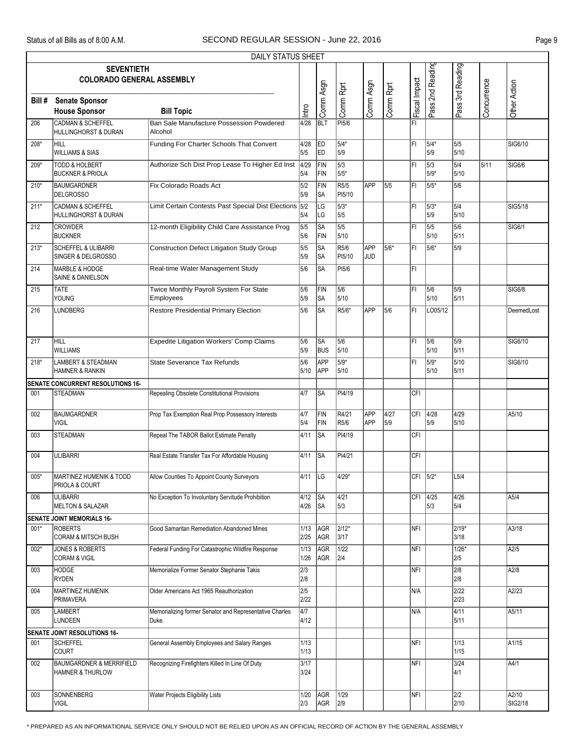|        |                                                                    | DAILY STATUS SHEET                                               |              |                         |                |                   |             |               |                      |                          |             |                  |
|--------|--------------------------------------------------------------------|------------------------------------------------------------------|--------------|-------------------------|----------------|-------------------|-------------|---------------|----------------------|--------------------------|-------------|------------------|
|        | <b>SEVENTIETH</b>                                                  |                                                                  |              |                         |                |                   |             |               |                      |                          |             |                  |
|        | <b>COLORADO GENERAL ASSEMBLY</b>                                   |                                                                  |              |                         |                |                   |             |               |                      |                          |             |                  |
|        |                                                                    |                                                                  |              |                         |                |                   |             |               |                      |                          |             |                  |
| Bill # | <b>Senate Sponsor</b>                                              |                                                                  |              | Comm Asgn               | Comm Rprt      | Comm Asgn         | Comm Rprt   | Fiscal Impact | Pass 2nd Reading     | Pass 3rd Reading         | Concurrence | Other Action     |
|        | <b>House Sponsor</b>                                               | <b>Bill Topic</b>                                                | Intro        |                         |                |                   |             |               |                      |                          |             |                  |
| 206    | <b>CADMAN &amp; SCHEFFEL</b><br>HULLINGHORST & DURAN               | Ban Sale Manufacture Possession Powdered<br>Alcohol              | 4/28         | <b>BLT</b>              | <b>PI5/6</b>   |                   |             | l۴ı           |                      |                          |             |                  |
| $208*$ | HILL<br><b>WILLIAMS &amp; SIAS</b>                                 | Funding For Charter Schools That Convert                         | 4/28<br>5/5  | <b>ED</b><br>ED         | 5/4*<br>5/9    |                   |             | FI            | 5/4*<br>5/9          | 5/5<br>5/10              |             | SIG6/10          |
| $209*$ | <b>TODD &amp; HOLBERT</b><br><b>BUCKNER &amp; PRIOLA</b>           | Authorize Sch Dist Prop Lease To Higher Ed Inst 4/29             | 5/4          | FIN<br>FIN              | 5/3<br>5/5*    |                   |             | l۴ı           | $\sqrt{5/3}$<br>5/9* | $\overline{5/4}$<br>5/10 | 5/11        | SIG6/6           |
| $210*$ | <b>BAUMGARDNER</b><br><b>DELGROSSO</b>                             | Fix Colorado Roads Act                                           | 5/2<br>5/9   | FIN<br> SA              | R5/5<br>PI5/10 | APP               | 5/5         | l۴۱           | 5/5*                 | 5/6                      |             |                  |
| $211*$ | <b>CADMAN &amp; SCHEFFEL</b><br>HULLINGHORST & DURAN               | Limit Certain Contests Past Special Dist Elections 5/2           | 5/4          | LG<br>LG                | $5/3*$<br>5/5  |                   |             | FI            | $ 5/3*$<br>5/9       | 5/4<br>5/10              |             | SIG5/18          |
| 212    | <b>CROWDER</b><br><b>BUCKNER</b>                                   | 12-month Eligibility Child Care Assistance Prog                  | 5/5<br>5/6   | <b>SA</b><br>FIN        | 5/5<br>5/10    |                   |             | l۴ı           | 5/5<br>5/10          | 5/6<br>5/11              |             | SIG6/1           |
| $213*$ | <b>SCHEFFEL &amp; ULIBARRI</b><br>SINGER & DELGROSSO               | <b>Construction Defect Litigation Study Group</b>                | 5/5<br>5/9   | SA<br> SA               | R5/6<br>PI5/10 | APP<br><b>JUD</b> | 5/6*        | l۴۱           | 5/6*                 | 5/9                      |             |                  |
| 214    | <b>MARBLE &amp; HODGE</b><br>SAINE & DANIELSON                     | Real-time Water Management Study                                 | 5/6          | <b>SA</b>               | <b>PI5/6</b>   |                   |             | FI            |                      |                          |             |                  |
| 215    | <b>TATE</b><br>YOUNG                                               | Twice Monthly Payroll System For State<br>Employees              | 5/6<br>5/9   | FIN<br><b>SA</b>        | 5/6<br>5/10    |                   |             | l۴ı           | 5/6<br>5/10          | 5/9<br>5/11              |             | <b>SIG6/8</b>    |
| 216    | <b>LUNDBERG</b>                                                    | <b>Restore Presidential Primary Election</b>                     | 5/6          | <b>SA</b>               | R5/6*          | APP               | 5/6         | l۴ı           | LO05/12              |                          |             | DeemedLost       |
|        |                                                                    |                                                                  |              |                         |                |                   |             |               |                      |                          |             |                  |
| 217    | HILL<br><b>WILLIAMS</b>                                            | <b>Expedite Litigation Workers' Comp Claims</b>                  | 5/6<br>5/9   | <b>SA</b><br><b>BUS</b> | 5/6<br>5/10    |                   |             | ĪFI           | 5/6<br>5/10          | 5/9<br>5/11              |             | SIG6/10          |
| $218*$ | LAMBERT & STEADMAN<br>HAMNER & RANKIN                              | <b>State Severance Tax Refunds</b>                               | 5/6<br>5/10  | APP<br>APP              | $5/9*$<br>5/10 |                   |             | FI            | $5/9*$<br>5/10       | 5/10<br>5/11             |             | SIG6/10          |
|        | SENATE CONCURRENT RESOLUTIONS 16-                                  |                                                                  |              |                         |                |                   |             |               |                      |                          |             |                  |
| 001    | <b>STEADMAN</b>                                                    | Repealing Obsolete Constitutional Provisions                     | 4/7          | <b>SA</b>               | PI4/19         |                   |             | CFI           |                      |                          |             |                  |
| 002    | <b>BAUMGARDNER</b><br><b>VIGIL</b>                                 | Prop Tax Exemption Real Prop Possessory Interests                | 4/7<br>5/4   | FIN<br>FIN              | R4/21<br>R5/6  | APP<br><b>APP</b> | 4/27<br>5/9 | CFI           | 4/28<br>5/9          | 4/29<br>5/10             |             | A5/10            |
| 003    | <b>STEADMAN</b>                                                    | Repeal The TABOR Ballot Estimate Penalty                         | 4/11         | <b>SA</b>               | PI4/19         |                   |             | CFI           |                      |                          |             |                  |
| 004    | <b>ULIBARRI</b>                                                    | Real Estate Transfer Tax For Affordable Housing                  | 4/11         | SA                      | PI4/21         |                   |             | <b>CFI</b>    |                      |                          |             |                  |
| $005*$ | MARTINEZ HUMENIK & TODD<br>PRIOLA & COURT                          | Allow Counties To Appoint County Surveyors                       | $4/11$ LG    |                         | $4/29*$        |                   |             | $CFI$ 5/2*    |                      | L5/4                     |             |                  |
| 006    | <b>ULIBARRI</b><br><b>MELTON &amp; SALAZAR</b>                     | No Exception To Involuntary Servitude Prohibition                | 4/12<br>4/26 | SA<br>SA                | 4/21<br>5/3    |                   |             |               | CFI 4/25<br>5/3      | 4/26<br>5/4              |             | A5/4             |
|        | SENATE JOINT MEMORIALS 16-                                         |                                                                  |              |                         |                |                   |             |               |                      |                          |             |                  |
| 001*   | <b>ROBERTS</b><br><b>CORAM &amp; MITSCH BUSH</b>                   | Good Samaritan Remediation Abandoned Mines                       | 1/13<br>2/25 | AGR<br>AGR              | 2/12*<br>3/17  |                   |             | NFI           |                      | $2/19*$<br>3/18          |             | A3/18            |
| $002*$ | JONES & ROBERTS<br><b>CORAM &amp; VIGIL</b>                        | Federal Funding For Catastrophic Wildfire Response               | 1/13<br>1/26 | AGR<br>AGR              | 1/22<br> 2/4   |                   |             | NFI           |                      | $1/26*$<br>2/5           |             | A2/5             |
| 003    | HODGE<br><b>RYDEN</b>                                              | Memorialize Former Senator Stephanie Takis                       | 2/3<br>2/8   |                         |                |                   |             | NFI           |                      | 2/8<br>2/8               |             | A2/8             |
| 004    | MARTINEZ HUMENIK<br>PRIMAVERA                                      | Older Americans Act 1965 Reauthorization                         | 2/5<br>2/22  |                         |                |                   |             | N/A           |                      | 2/22<br>2/23             |             | A2/23            |
| 005    | LAMBERT<br><b>LUNDEEN</b>                                          | Memorializing former Senator and Representative Charles<br>Duke. | 4/7<br>4/12  |                         |                |                   |             | N/A           |                      | $\sqrt{4/11}$<br>5/11    |             | A5/11            |
|        | SENATE JOINT RESOLUTIONS 16-                                       |                                                                  |              |                         |                |                   |             |               |                      |                          |             |                  |
| 001    | <b>SCHEFFEL</b><br><b>COURT</b>                                    | General Assembly Employees and Salary Ranges                     | 1/13<br>1/13 |                         |                |                   |             | NFI.          |                      | 1/13<br>1/15             |             | A1/15            |
| 002    | <b>BAUMGARDNER &amp; MERRIFIELD</b><br><b>HAMNER &amp; THURLOW</b> | Recognizing Firefighters Killed In Line Of Duty                  | 3/17<br>3/24 |                         |                |                   |             | NFI           |                      | $3/24$<br>4/1            |             | A4/1             |
| 003    | SONNENBERG<br>VIGIL                                                | Water Projects Eligibility Lists                                 | 1/20<br>2/3  | AGR<br>AGR              | 1/29<br>2/9    |                   |             | <b>NFI</b>    |                      | 2/2<br>2/10              |             | A2/10<br>SIG2/18 |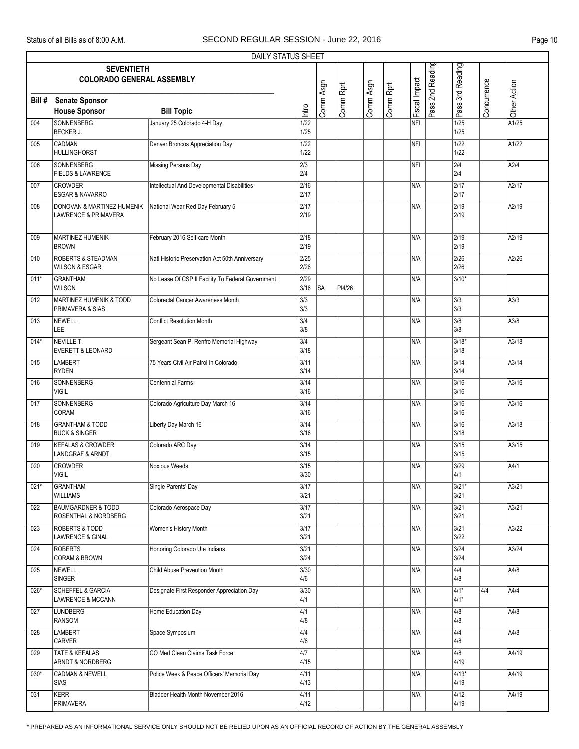|        |                                                                  | DAILY STATUS SHEET                                |                           |           |           |           |           |               |                  |                         |              |                  |
|--------|------------------------------------------------------------------|---------------------------------------------------|---------------------------|-----------|-----------|-----------|-----------|---------------|------------------|-------------------------|--------------|------------------|
|        | <b>SEVENTIETH</b><br><b>COLORADO GENERAL ASSEMBLY</b>            |                                                   |                           |           |           |           |           |               | Pass 2nd Reading | Pass 3rd Reading        |              |                  |
| Bill # | <b>Senate Sponsor</b><br><b>House Sponsor</b>                    | <b>Bill Topic</b>                                 | Intro                     | Comm Asgn | Comm Rprt | Comm Asgn | Comm Rprt | Fiscal Impact |                  |                         | Concurrence  | Other Action     |
| 004    | <b>SONNENBERG</b><br>BECKER J.                                   | January 25 Colorado 4-H Day                       | 1/22<br>1/25              |           |           |           |           | NFI           |                  | $\frac{1}{25}$<br>1/25  |              | A1/25            |
| 005    | <b>CADMAN</b><br>HULLINGHORST                                    | Denver Broncos Appreciation Day                   | 1/22<br>1/22              |           |           |           |           | <b>NFI</b>    |                  | 1/22<br>1/22            |              | A1/22            |
| 006    | <b>SONNENBERG</b><br><b>FIELDS &amp; LAWRENCE</b>                | <b>Missing Persons Day</b>                        | $\sqrt{2/3}$<br>2/4       |           |           |           |           | NFI           |                  | $\overline{2/4}$<br>2/4 |              | A2/4             |
| 007    | <b>CROWDER</b><br><b>ESGAR &amp; NAVARRO</b>                     | Intellectual And Developmental Disabilities       | 2/16<br>2/17              |           |           |           |           | N/A           |                  | $\sqrt{2/17}$<br>2/17   |              | A2/17            |
| 008    | DONOVAN & MARTINEZ HUMENIK<br>LAWRENCE & PRIMAVERA               | National Wear Red Day February 5                  | $\overline{2/17}$<br>2/19 |           |           |           |           | N/A           |                  | 2/19<br>2/19            |              | A2/19            |
| 009    | <b>MARTINEZ HUMENIK</b><br><b>BROWN</b>                          | February 2016 Self-care Month                     | 2/18<br>2/19              |           |           |           |           | N/A           |                  | 2/19<br>2/19            |              | A2/19            |
| 010    | <b>ROBERTS &amp; STEADMAN</b><br><b>WILSON &amp; ESGAR</b>       | Natl Historic Preservation Act 50th Anniversary   | 2/25<br>2/26              |           |           |           |           | N/A           |                  | 2/26<br>2/26            |              | A2/26            |
| $011*$ | GRANTHAM<br><b>WILSON</b>                                        | No Lease Of CSP II Facility To Federal Government | 2/29<br>3/16              | lsa       | PI4/26    |           |           | N/A           |                  | $3/10*$                 |              |                  |
| 012    | MARTINEZ HUMENIK & TODD<br>PRIMAVERA & SIAS                      | Colorectal Cancer Awareness Month                 | 3/3<br>3/3                |           |           |           |           | N/A           |                  | 3/3<br>3/3              |              | A <sub>3/3</sub> |
| 013    | NEWELL<br>LEE                                                    | <b>Conflict Resolution Month</b>                  | 3/4<br>3/8                |           |           |           |           | N/A           |                  | 3/8<br>3/8              |              | A3/8             |
| $014*$ | NEVILLE T.<br><b>EVERETT &amp; LEONARD</b>                       | Sergeant Sean P. Renfro Memorial Highway          | 3/4<br>3/18               |           |           |           |           | N/A           |                  | 3/18*<br>3/18           |              | A3/18            |
| 015    | LAMBERT<br><b>RYDEN</b>                                          | 75 Years Civil Air Patrol In Colorado             | 3/11<br>3/14              |           |           |           |           | N/A           |                  | $3/14$<br>3/14          |              | A3/14            |
| 016    | SONNENBERG<br><b>VIGIL</b>                                       | <b>Centennial Farms</b>                           | 3/14<br>3/16              |           |           |           |           | N/A           |                  | 3/16<br>3/16            |              | A3/16            |
| 017    | <b>SONNENBERG</b><br><b>CORAM</b>                                | Colorado Agriculture Day March 16                 | 3/14<br>3/16              |           |           |           |           | N/A           |                  | $3/16$<br>3/16          |              | A3/16            |
| 018    | <b>GRANTHAM &amp; TODD</b><br><b>BUCK &amp; SINGER</b>           | Liberty Day March 16                              | 3/14<br>3/16              |           |           |           |           | N/A           |                  | 3/16<br>3/18            |              | A3/18            |
| 019    | KEFALAS & CROWDER<br><b>LANDGRAF &amp; ARNDT</b>                 | Colorado ARC Day                                  | 3/14<br>3/15              |           |           |           |           | N/A           |                  | $3/15$<br>3/15          |              | A3/15            |
| 020    | <b>CROWDER</b><br><b>VIGIL</b>                                   | Noxious Weeds                                     | 3/15<br>3/30              |           |           |           |           | N/A           |                  | 3/29<br>4/1             |              | A4/1             |
| $021*$ | <b>GRANTHAM</b><br><b>WILLIAMS</b>                               | Single Parents' Day                               | 3/17<br>3/21              |           |           |           |           | N/A           |                  | 3/21*<br>3/21           |              | A3/21            |
| 022    | <b>BAUMGARDNER &amp; TODD</b><br><b>ROSENTHAL &amp; NORDBERG</b> | Colorado Aerospace Day                            | $3/17$<br>3/21            |           |           |           |           | N/A           |                  | $3/21$<br>3/21          |              | A3/21            |
| 023    | <b>ROBERTS &amp; TODD</b><br><b>LAWRENCE &amp; GINAL</b>         | Women's History Month                             | 3/17<br>3/21              |           |           |           |           | N/A           |                  | $3/21$<br>3/22          |              | A3/22            |
| 024    | <b>ROBERTS</b><br>CORAM & BROWN                                  | Honoring Colorado Ute Indians                     | $3/21$<br>3/24            |           |           |           |           | N/A           |                  | $3/24$<br>3/24          |              | A3/24            |
| 025    | NEWELL<br>SINGER                                                 | Child Abuse Prevention Month                      | 3/30<br>4/6               |           |           |           |           | N/A           |                  | $\overline{4/4}$<br>4/8 |              | A4/8             |
| 026*   | <b>SCHEFFEL &amp; GARCIA</b><br>LAWRENCE & MCCANN                | Designate First Responder Appreciation Day        | 3/30<br>4/1               |           |           |           |           | N/A           |                  | $4/1*$<br>4/1*          | $\sqrt{4/4}$ | A4/4             |
| 027    | <b>LUNDBERG</b><br>RANSOM                                        | Home Education Day                                | 4/1<br>4/8                |           |           |           |           | N/A           |                  | 4/8<br>4/8              |              | A4/8             |
| 028    | <b>LAMBERT</b><br><b>CARVER</b>                                  | Space Symposium                                   | 4/4<br>4/6                |           |           |           |           | N/A           |                  | $\overline{4/4}$<br>4/8 |              | A4/8             |
| 029    | TATE & KEFALAS<br><b>ARNDT &amp; NORDBERG</b>                    | CO Med Clean Claims Task Force                    | 4/7<br>4/15               |           |           |           |           | N/A           |                  | 4/8<br>4/19             |              | A4/19            |
| $030*$ | <b>CADMAN &amp; NEWELL</b><br><b>SIAS</b>                        | Police Week & Peace Officers' Memorial Day        | 4/11<br>4/13              |           |           |           |           | N/A           |                  | 4/13*<br>4/19           |              | A4/19            |
| 031    | KERR<br>PRIMAVERA                                                | Bladder Health Month November 2016                | 4/11<br>4/12              |           |           |           |           | N/A           |                  | 4/12<br>4/19            |              | A4/19            |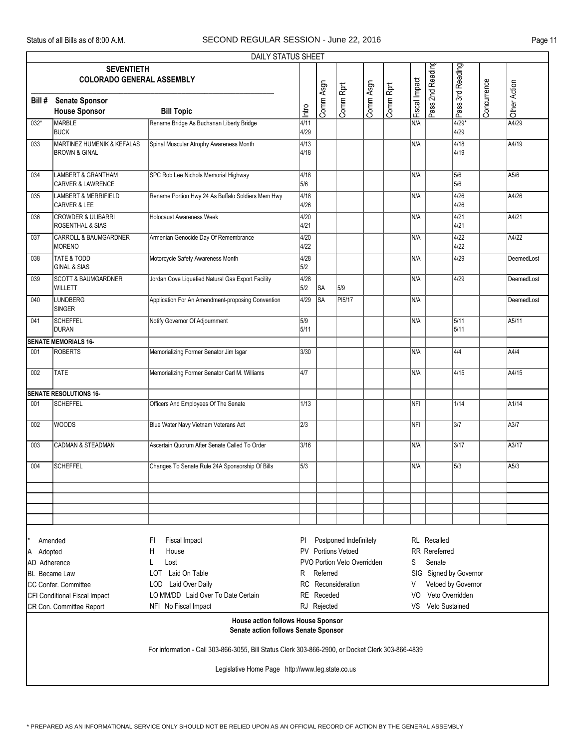|              |                                                                                   | <b>DAILY STATUS SHEET</b>                                                                         |              |             |                             |           |           |               |                      |                        |             |              |
|--------------|-----------------------------------------------------------------------------------|---------------------------------------------------------------------------------------------------|--------------|-------------|-----------------------------|-----------|-----------|---------------|----------------------|------------------------|-------------|--------------|
|              | <b>SEVENTIETH</b>                                                                 |                                                                                                   |              |             |                             |           |           |               |                      |                        |             |              |
|              | <b>COLORADO GENERAL ASSEMBLY</b>                                                  |                                                                                                   |              |             |                             |           |           |               |                      |                        |             |              |
|              |                                                                                   |                                                                                                   |              |             |                             |           |           |               |                      |                        |             |              |
| Bill#        | <b>Senate Sponsor</b>                                                             |                                                                                                   |              | Comm Asgn   | Comm Rprt                   | Comm Asgn | Comm Rprt | Fiscal Impact | Pass 2nd Reading     | Pass 3rd Reading       | Concurrence |              |
|              | <b>House Sponsor</b>                                                              | <b>Bill Topic</b>                                                                                 | Intro        |             |                             |           |           |               |                      |                        |             | Other Action |
| 032*         | MARBLE<br><b>BUCK</b>                                                             | Rename Bridge As Buchanan Liberty Bridge                                                          | 4/11<br>4/29 |             |                             |           |           | N/A           |                      | $4/29*$<br>4/29        |             | A4/29        |
| 033          | <b>MARTINEZ HUMENIK &amp; KEFALAS</b><br><b>BROWN &amp; GINAL</b>                 | Spinal Muscular Atrophy Awareness Month                                                           | 4/13<br>4/18 |             |                             |           |           | N/A           |                      | 4/18<br>4/19           |             | A4/19        |
| 034          | <b>LAMBERT &amp; GRANTHAM</b><br><b>CARVER &amp; LAWRENCE</b>                     | SPC Rob Lee Nichols Memorial Highway                                                              | 4/18<br>5/6  |             |                             |           |           | N/A           |                      | 5/6<br>5/6             |             | A5/6         |
| 035          | <b>LAMBERT &amp; MERRIFIELD</b><br>CARVER & LEE                                   | Rename Portion Hwy 24 As Buffalo Soldiers Mem Hwy                                                 | 4/18<br>4/26 |             |                             |           |           | N/A           |                      | 4/26<br>4/26           |             | A4/26        |
| 036          | <b>CROWDER &amp; ULIBARRI</b><br>ROSENTHAL & SIAS                                 | <b>Holocaust Awareness Week</b>                                                                   | 4/20<br>4/21 |             |                             |           |           | N/A           |                      | 4/21<br>4/21           |             | A4/21        |
| 037          | <b>CARROLL &amp; BAUMGARDNER</b><br>MORENO                                        | Armenian Genocide Day Of Remembrance                                                              | 4/20<br>4/22 |             |                             |           |           | N/A           |                      | 4/22<br>4/22           |             | A4/22        |
| 038          | TATE & TODD<br><b>GINAL &amp; SIAS</b>                                            | Motorcycle Safety Awareness Month                                                                 | 4/28<br>5/2  |             |                             |           |           | N/A           |                      | 4/29                   |             | DeemedLost   |
| 039          | <b>SCOTT &amp; BAUMGARDNER</b><br>WILLETT                                         | Jordan Cove Liquefied Natural Gas Export Facility                                                 | 4/28<br>5/2  | SA          | 5/9                         |           |           | N/A           |                      | 4/29                   |             | DeemedLost   |
| 040          | <b>LUNDBERG</b><br>SINGER                                                         | Application For An Amendment-proposing Convention                                                 | 4/29         | SA          | PI5/17                      |           |           | N/A           |                      |                        |             | DeemedLost   |
| 041          | SCHEFFEL<br>DURAN                                                                 | Notify Governor Of Adjournment                                                                    | 5/9<br>5/11  |             |                             |           |           | N/A           |                      | 5/11<br>5/11           |             | A5/11        |
|              | <b>SENATE MEMORIALS 16-</b>                                                       |                                                                                                   |              |             |                             |           |           |               |                      |                        |             |              |
| 001          | <b>ROBERTS</b>                                                                    | Memorializing Former Senator Jim Isgar                                                            | 3/30         |             |                             |           |           | N/A           |                      | 4/4                    |             | A4/4         |
| 002          | <b>TATE</b>                                                                       | Memorializing Former Senator Carl M. Williams                                                     | 4/7          |             |                             |           |           | N/A           |                      | 4/15                   |             | A4/15        |
|              | <b>SENATE RESOLUTIONS 16-</b>                                                     |                                                                                                   |              |             |                             |           |           |               |                      |                        |             |              |
| 001          | <b>SCHEFFEL</b>                                                                   | Officers And Employees Of The Senate                                                              | 1/13         |             |                             |           |           | <b>NFI</b>    |                      | 1/14                   |             | A1/14        |
| 002          | <b>WOODS</b>                                                                      | Blue Water Navy Vietnam Veterans Act                                                              | 2/3          |             |                             |           |           | NFI           |                      | 3/7                    |             | A3/7         |
| 003          | CADMAN & STEADMAN                                                                 | Ascertain Quorum After Senate Called To Order                                                     | 3/16         |             |                             |           |           | N/A           |                      | $\sqrt{3/17}$          |             | A3/17        |
| 004          | <b>SCHEFFEL</b>                                                                   | Changes To Senate Rule 24A Sponsorship Of Bills                                                   | 5/3          |             |                             |           |           | N/A           |                      | 5/3                    |             | A5/3         |
|              |                                                                                   |                                                                                                   |              |             |                             |           |           |               |                      |                        |             |              |
|              |                                                                                   |                                                                                                   |              |             |                             |           |           |               |                      |                        |             |              |
|              |                                                                                   |                                                                                                   |              |             |                             |           |           |               |                      |                        |             |              |
|              |                                                                                   |                                                                                                   |              |             |                             |           |           |               |                      |                        |             |              |
|              | Amended                                                                           | Fiscal Impact<br>FI                                                                               | PI           |             | Postponed Indefinitely      |           |           |               | RL Recalled          |                        |             |              |
| A Adopted    |                                                                                   | Н<br>House                                                                                        | PV.          |             | <b>Portions Vetoed</b>      |           |           |               | <b>RR</b> Rereferred |                        |             |              |
| AD Adherence |                                                                                   | Lost<br>L                                                                                         |              |             | PVO Portion Veto Overridden |           |           | S             | Senate               |                        |             |              |
|              | <b>BL</b> Became Law                                                              | LOT Laid On Table                                                                                 | R            | Referred    |                             |           |           |               |                      | SIG Signed by Governor |             |              |
|              | CC Confer. Committee                                                              | LOD Laid Over Daily                                                                               | RC           |             | Reconsideration             |           |           | V             |                      | Vetoed by Governor     |             |              |
|              | CFI Conditional Fiscal Impact                                                     | LO MM/DD Laid Over To Date Certain                                                                |              | RE Receded  |                             |           |           | VO.           | Veto Overridden      |                        |             |              |
|              | CR Con. Committee Report                                                          | NFI No Fiscal Impact                                                                              |              | RJ Rejected |                             |           |           | VS            | Veto Sustained       |                        |             |              |
|              | <b>House action follows House Sponsor</b><br>Senate action follows Senate Sponsor |                                                                                                   |              |             |                             |           |           |               |                      |                        |             |              |
|              |                                                                                   | For information - Call 303-866-3055, Bill Status Clerk 303-866-2900, or Docket Clerk 303-866-4839 |              |             |                             |           |           |               |                      |                        |             |              |
|              |                                                                                   | Legislative Home Page http://www.leg.state.co.us                                                  |              |             |                             |           |           |               |                      |                        |             |              |